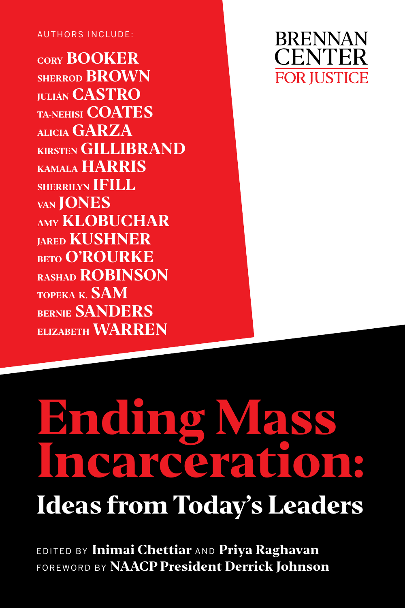#### AUTHORS INCLUDE:

**CORY BOOKER SHERROD BROWN JULIÁN CASTRO TA-NEHISI COATES ALICIA GARZA KIRSTEN GILLIBRAND KAMALA HARRIS SHERRILYN IFILL VAN JONES AMY KLOBUCHAR JARED KUSHNER BETO O'ROURKE RASHAD ROBINSON TOPEKA K. SAM BERNIE SANDERS ELIZABETH WARREN**



# **Ending Mass Incarceration: Ideas from Today's Leaders**

EDITED BY **Inimai Chettiar** AND **Priya Raghavan** FOREWORD BY **NAACP President Derrick Johnson**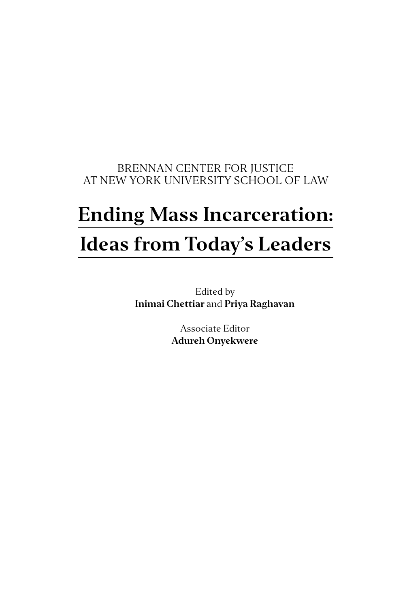#### BRENNAN CENTER FOR JUSTICE AT NEW YORK UNIVERSITY SCHOOL OF LAW

# **Ending Mass Incarceration: Ideas from Today's Leaders**

Edited by **Inimai Chettiar** and **Priya Raghavan**

> Associate Editor **Adureh Onyekwere**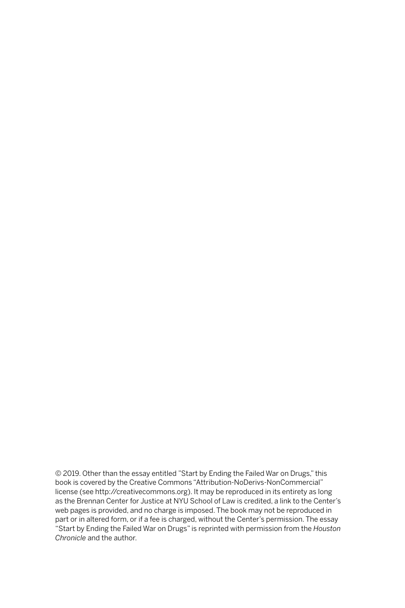© 2019. Other than the essay entitled "Start by Ending the Failed War on Drugs," this book is covered by the Creative Commons "Attribution-NoDerivs-NonCommercial" license (see http://creativecommons.org). It may be reproduced in its entirety as long as the Brennan Center for Justice at NYU School of Law is credited, a link to the Center's web pages is provided, and no charge is imposed. The book may not be reproduced in part or in altered form, or if a fee is charged, without the Center's permission. The essay "Start by Ending the Failed War on Drugs" is reprinted with permission from the *Houston Chronicle* and the author.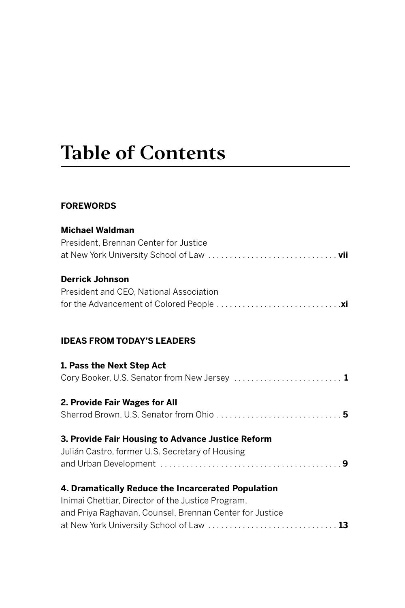# **Table of Contents**

#### **FOREWORDS**

| <b>Michael Waldman</b>                                  |
|---------------------------------------------------------|
| President. Brennan Center for Justice                   |
|                                                         |
| <b>Derrick Johnson</b>                                  |
| President and CEO. National Association                 |
|                                                         |
| <b>IDEAS FROM TODAY'S LEADERS</b>                       |
| 1. Pass the Next Step Act                               |
| Cory Booker, U.S. Senator from New Jersey  1            |
| 2. Provide Fair Wages for All                           |
| Sherrod Brown, U.S. Senator from Ohio  5                |
| 3. Provide Fair Housing to Advance Justice Reform       |
| Julián Castro, former U.S. Secretary of Housing         |
|                                                         |
| 4. Dramatically Reduce the Incarcerated Population      |
| Inimai Chettiar, Director of the Justice Program,       |
| and Priya Raghavan, Counsel, Brennan Center for Justice |
|                                                         |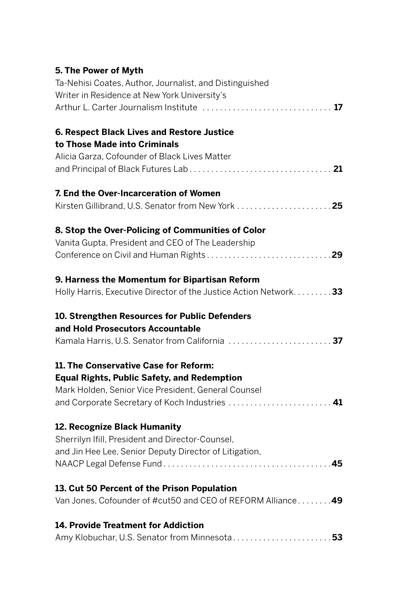#### **5. The Power of Myth**

| Ta-Nehisi Coates, Author, Journalist, and Distinguished            |
|--------------------------------------------------------------------|
| Writer in Residence at New York University's                       |
|                                                                    |
| 6. Respect Black Lives and Restore Justice                         |
| to Those Made into Criminals                                       |
| Alicia Garza, Cofounder of Black Lives Matter                      |
|                                                                    |
| 7. End the Over-Incarceration of Women                             |
| Kirsten Gillibrand, U.S. Senator from New York 25                  |
| 8. Stop the Over-Policing of Communities of Color                  |
| Vanita Gupta, President and CEO of The Leadership                  |
|                                                                    |
| 9. Harness the Momentum for Bipartisan Reform                      |
| Holly Harris, Executive Director of the Justice Action Network. 33 |
| 10. Strengthen Resources for Public Defenders                      |
| and Hold Prosecutors Accountable                                   |
|                                                                    |
| 11. The Conservative Case for Reform:                              |
| <b>Equal Rights, Public Safety, and Redemption</b>                 |
| Mark Holden, Senior Vice President, General Counsel                |
|                                                                    |
| 12. Recognize Black Humanity                                       |
| Sherrilyn Ifill, President and Director-Counsel,                   |
| and Jin Hee Lee, Senior Deputy Director of Litigation,             |
|                                                                    |
| 13. Cut 50 Percent of the Prison Population                        |
| Van Jones, Cofounder of #cut50 and CEO of REFORM Alliance49        |
| <b>14. Provide Treatment for Addiction</b>                         |
| Amy Klobuchar, U.S. Senator from Minnesota 53                      |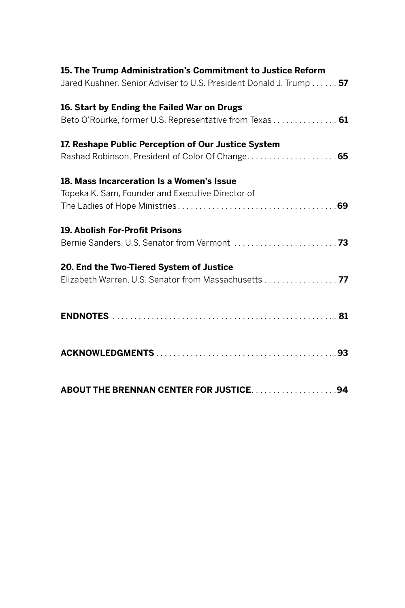| 15. The Trump Administration's Commitment to Justice Reform<br>Jared Kushner, Senior Adviser to U.S. President Donald J. Trump 57 |  |
|-----------------------------------------------------------------------------------------------------------------------------------|--|
| 16. Start by Ending the Failed War on Drugs                                                                                       |  |
| Beto O'Rourke, former U.S. Representative from Texas 61                                                                           |  |
| 17. Reshape Public Perception of Our Justice System                                                                               |  |
| Rashad Robinson, President of Color Of Change 65                                                                                  |  |
| 18. Mass Incarceration Is a Women's Issue                                                                                         |  |
| Topeka K. Sam, Founder and Executive Director of                                                                                  |  |
|                                                                                                                                   |  |
| 19. Abolish For-Profit Prisons                                                                                                    |  |
|                                                                                                                                   |  |
| 20. End the Two-Tiered System of Justice                                                                                          |  |
| Elizabeth Warren, U.S. Senator from Massachusetts 77                                                                              |  |
|                                                                                                                                   |  |
|                                                                                                                                   |  |
|                                                                                                                                   |  |
|                                                                                                                                   |  |
|                                                                                                                                   |  |
|                                                                                                                                   |  |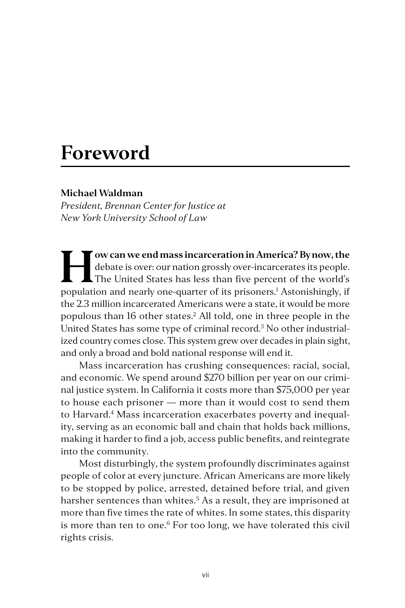### **Foreword**

#### **Michael Waldman**

*President, Brennan Center for Justice at New York University School of Law*

**How can we end mass incarceration in America? By now, the**<br>debate is over: our nation grossly over-incarcerates its people.<br>The United States has less than five percent of the world's<br>population and populy one quanter of debate is over: our nation grossly over-incarcerates its people. The United States has less than five percent of the world's population and nearly one-quarter of its prisoners.<sup>1</sup> Astonishingly, if the 2.3 million incarcerated Americans were a state, it would be more populous than 16 other states.2 All told, one in three people in the United States has some type of criminal record.3 No other industrialized country comes close. This system grew over decades in plain sight, and only a broad and bold national response will end it.

Mass incarceration has crushing consequences: racial, social, and economic. We spend around \$270 billion per year on our criminal justice system. In California it costs more than \$75,000 per year to house each prisoner — more than it would cost to send them to Harvard.<sup>4</sup> Mass incarceration exacerbates poverty and inequality, serving as an economic ball and chain that holds back millions, making it harder to find a job, access public benefits, and reintegrate into the community.

Most disturbingly, the system profoundly discriminates against people of color at every juncture. African Americans are more likely to be stopped by police, arrested, detained before trial, and given harsher sentences than whites.<sup>5</sup> As a result, they are imprisoned at more than five times the rate of whites. In some states, this disparity is more than ten to one.<sup>6</sup> For too long, we have tolerated this civil rights crisis.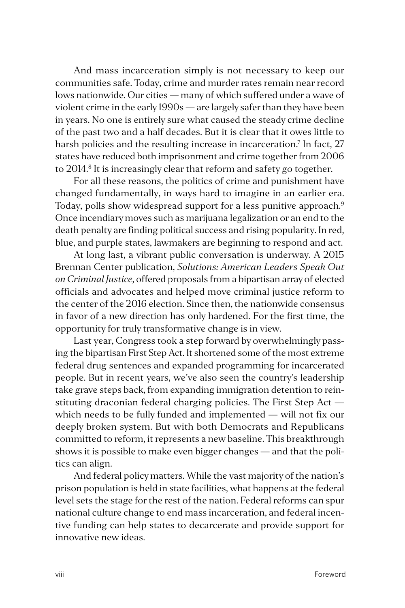And mass incarceration simply is not necessary to keep our communities safe. Today, crime and murder rates remain near record lows nationwide. Our cities — many of which suffered under a wave of violent crime in the early 1990s — are largely safer than they have been in years. No one is entirely sure what caused the steady crime decline of the past two and a half decades. But it is clear that it owes little to harsh policies and the resulting increase in incarceration.<sup>7</sup> In fact, 27 states have reduced both imprisonment and crime together from 2006 to 2014.<sup>8</sup> It is increasingly clear that reform and safety go together.

For all these reasons, the politics of crime and punishment have changed fundamentally, in ways hard to imagine in an earlier era. Today, polls show widespread support for a less punitive approach.<sup>9</sup> Once incendiary moves such as marijuana legalization or an end to the death penalty are finding political success and rising popularity. In red, blue, and purple states, lawmakers are beginning to respond and act.

At long last, a vibrant public conversation is underway. A 2015 Brennan Center publication, *Solutions: American Leaders Speak Out on Criminal Justice*, offered proposals from a bipartisan array of elected officials and advocates and helped move criminal justice reform to the center of the 2016 election. Since then, the nationwide consensus in favor of a new direction has only hardened. For the first time, the opportunity for truly transformative change is in view.

Last year, Congress took a step forward by overwhelmingly passing the bipartisan First Step Act. It shortened some of the most extreme federal drug sentences and expanded programming for incarcerated people. But in recent years, we've also seen the country's leadership take grave steps back, from expanding immigration detention to reinstituting draconian federal charging policies. The First Step Act which needs to be fully funded and implemented — will not fix our deeply broken system. But with both Democrats and Republicans committed to reform, it represents a new baseline. This breakthrough shows it is possible to make even bigger changes — and that the politics can align.

And federal policy matters. While the vast majority of the nation's prison population is held in state facilities, what happens at the federal level sets the stage for the rest of the nation. Federal reforms can spur national culture change to end mass incarceration, and federal incentive funding can help states to decarcerate and provide support for innovative new ideas.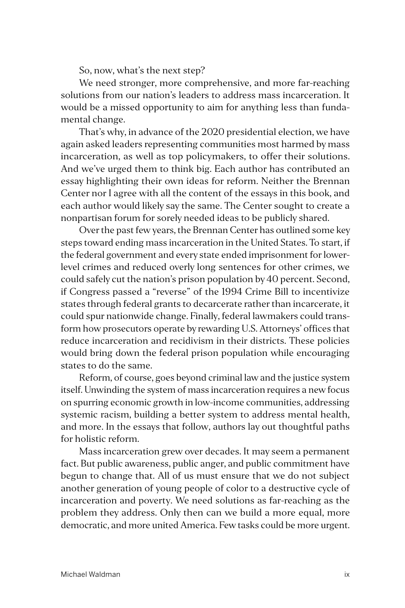So, now, what's the next step?

We need stronger, more comprehensive, and more far-reaching solutions from our nation's leaders to address mass incarceration. It would be a missed opportunity to aim for anything less than fundamental change.

That's why, in advance of the 2020 presidential election, we have again asked leaders representing communities most harmed by mass incarceration, as well as top policymakers, to offer their solutions. And we've urged them to think big. Each author has contributed an essay highlighting their own ideas for reform. Neither the Brennan Center nor I agree with all the content of the essays in this book, and each author would likely say the same. The Center sought to create a nonpartisan forum for sorely needed ideas to be publicly shared.

Over the past few years, the Brennan Center has outlined some key steps toward ending mass incarceration in the United States. To start, if the federal government and every state ended imprisonment for lowerlevel crimes and reduced overly long sentences for other crimes, we could safely cut the nation's prison population by 40 percent. Second, if Congress passed a "reverse" of the 1994 Crime Bill to incentivize states through federal grants to decarcerate rather than incarcerate, it could spur nationwide change. Finally, federal lawmakers could transform how prosecutors operate by rewarding U.S. Attorneys' offices that reduce incarceration and recidivism in their districts. These policies would bring down the federal prison population while encouraging states to do the same.

Reform, of course, goes beyond criminal law and the justice system itself. Unwinding the system of mass incarceration requires a new focus on spurring economic growth in low-income communities, addressing systemic racism, building a better system to address mental health, and more. In the essays that follow, authors lay out thoughtful paths for holistic reform.

Mass incarceration grew over decades. It may seem a permanent fact. But public awareness, public anger, and public commitment have begun to change that. All of us must ensure that we do not subject another generation of young people of color to a destructive cycle of incarceration and poverty. We need solutions as far-reaching as the problem they address. Only then can we build a more equal, more democratic, and more united America. Few tasks could be more urgent.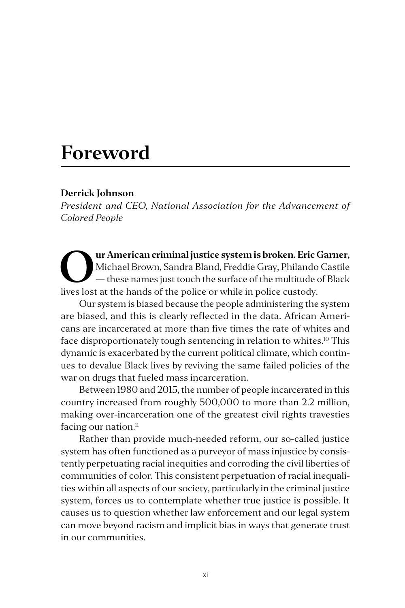### **Foreword**

#### **Derrick Johnson**

*President and CEO, National Association for the Advancement of Colored People*

**Our American criminal justice system is broken. Eric Garner,**<br>Michael Brown, Sandra Bland, Freddie Gray, Philando Castile<br>— these names just touch the surface of the multitude of Black<br>lives lost at the bands of the polic Michael Brown, Sandra Bland, Freddie Gray, Philando Castile — these names just touch the surface of the multitude of Black lives lost at the hands of the police or while in police custody.

Our system is biased because the people administering the system are biased, and this is clearly reflected in the data. African Americans are incarcerated at more than five times the rate of whites and face disproportionately tough sentencing in relation to whites.<sup>10</sup> This dynamic is exacerbated by the current political climate, which continues to devalue Black lives by reviving the same failed policies of the war on drugs that fueled mass incarceration.

Between 1980 and 2015, the number of people incarcerated in this country increased from roughly 500,000 to more than 2.2 million, making over-incarceration one of the greatest civil rights travesties facing our nation.<sup>11</sup>

Rather than provide much-needed reform, our so-called justice system has often functioned as a purveyor of mass injustice by consistently perpetuating racial inequities and corroding the civil liberties of communities of color. This consistent perpetuation of racial inequalities within all aspects of our society, particularly in the criminal justice system, forces us to contemplate whether true justice is possible. It causes us to question whether law enforcement and our legal system can move beyond racism and implicit bias in ways that generate trust in our communities.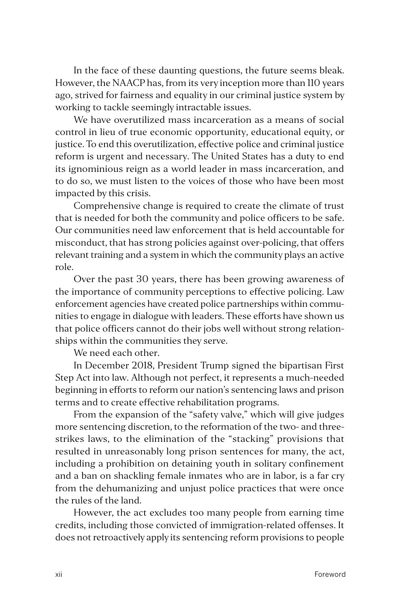In the face of these daunting questions, the future seems bleak. However, the NAACP has, from its very inception more than 110 years ago, strived for fairness and equality in our criminal justice system by working to tackle seemingly intractable issues.

We have overutilized mass incarceration as a means of social control in lieu of true economic opportunity, educational equity, or justice. To end this overutilization, effective police and criminal justice reform is urgent and necessary. The United States has a duty to end its ignominious reign as a world leader in mass incarceration, and to do so, we must listen to the voices of those who have been most impacted by this crisis.

Comprehensive change is required to create the climate of trust that is needed for both the community and police officers to be safe. Our communities need law enforcement that is held accountable for misconduct, that has strong policies against over-policing, that offers relevant training and a system in which the community plays an active role.

Over the past 30 years, there has been growing awareness of the importance of community perceptions to effective policing. Law enforcement agencies have created police partnerships within communities to engage in dialogue with leaders. These efforts have shown us that police officers cannot do their jobs well without strong relationships within the communities they serve.

We need each other.

In December 2018, President Trump signed the bipartisan First Step Act into law. Although not perfect, it represents a much-needed beginning in efforts to reform our nation's sentencing laws and prison terms and to create effective rehabilitation programs.

From the expansion of the "safety valve," which will give judges more sentencing discretion, to the reformation of the two- and threestrikes laws, to the elimination of the "stacking" provisions that resulted in unreasonably long prison sentences for many, the act, including a prohibition on detaining youth in solitary confinement and a ban on shackling female inmates who are in labor, is a far cry from the dehumanizing and unjust police practices that were once the rules of the land.

However, the act excludes too many people from earning time credits, including those convicted of immigration-related offenses. It does not retroactively apply its sentencing reform provisions to people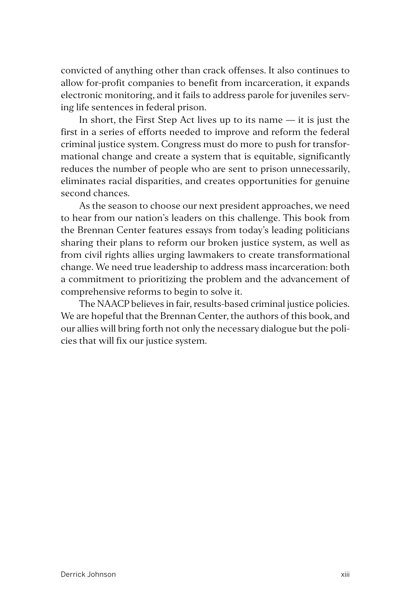convicted of anything other than crack offenses. It also continues to allow for-profit companies to benefit from incarceration, it expands electronic monitoring, and it fails to address parole for juveniles serving life sentences in federal prison.

In short, the First Step Act lives up to its name  $-$  it is just the first in a series of efforts needed to improve and reform the federal criminal justice system. Congress must do more to push for transformational change and create a system that is equitable, significantly reduces the number of people who are sent to prison unnecessarily, eliminates racial disparities, and creates opportunities for genuine second chances.

As the season to choose our next president approaches, we need to hear from our nation's leaders on this challenge. This book from the Brennan Center features essays from today's leading politicians sharing their plans to reform our broken justice system, as well as from civil rights allies urging lawmakers to create transformational change. We need true leadership to address mass incarceration: both a commitment to prioritizing the problem and the advancement of comprehensive reforms to begin to solve it.

The NAACP believes in fair, results-based criminal justice policies. We are hopeful that the Brennan Center, the authors of this book, and our allies will bring forth not only the necessary dialogue but the policies that will fix our justice system.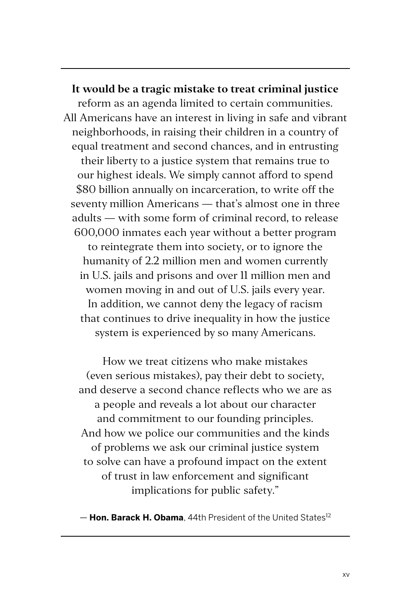**It would be a tragic mistake to treat criminal justice**  reform as an agenda limited to certain communities. All Americans have an interest in living in safe and vibrant neighborhoods, in raising their children in a country of equal treatment and second chances, and in entrusting their liberty to a justice system that remains true to our highest ideals. We simply cannot afford to spend \$80 billion annually on incarceration, to write off the seventy million Americans — that's almost one in three adults — with some form of criminal record, to release 600,000 inmates each year without a better program to reintegrate them into society, or to ignore the humanity of 2.2 million men and women currently in U.S. jails and prisons and over 11 million men and women moving in and out of U.S. jails every year. In addition, we cannot deny the legacy of racism that continues to drive inequality in how the justice system is experienced by so many Americans.

How we treat citizens who make mistakes (even serious mistakes), pay their debt to society, and deserve a second chance reflects who we are as a people and reveals a lot about our character and commitment to our founding principles. And how we police our communities and the kinds of problems we ask our criminal justice system to solve can have a profound impact on the extent of trust in law enforcement and significant implications for public safety."

— **Hon. Barack H. Obama**, 44th President of the United States12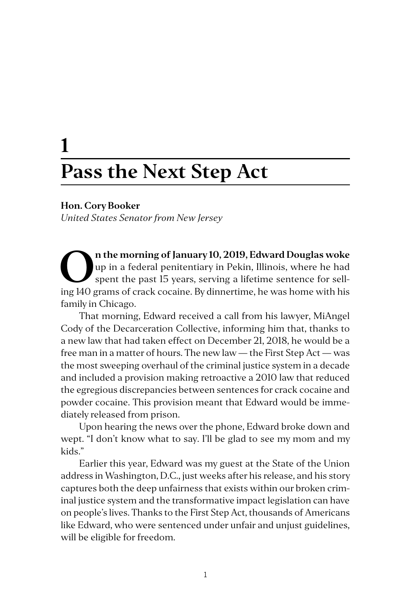## **1 Pass the Next Step Act**

#### **Hon. Cory Booker**

*United States Senator from New Jersey*

**On the morning of January 10, 2019, Edward Douglas woke**<br>up in a federal penitentiary in Pekin, Illinois, where he had<br>spent the past 15 years, serving a lifetime sentence for sell-<br>ing 140 grams of gradk oscaina. Budinne up in a federal penitentiary in Pekin, Illinois, where he had spent the past 15 years, serving a lifetime sentence for selling 140 grams of crack cocaine. By dinnertime, he was home with his family in Chicago.

That morning, Edward received a call from his lawyer, MiAngel Cody of the Decarceration Collective, informing him that, thanks to a new law that had taken effect on December 21, 2018, he would be a free man in a matter of hours. The new law — the First Step Act — was the most sweeping overhaul of the criminal justice system in a decade and included a provision making retroactive a 2010 law that reduced the egregious discrepancies between sentences for crack cocaine and powder cocaine. This provision meant that Edward would be immediately released from prison.

Upon hearing the news over the phone, Edward broke down and wept. "I don't know what to say. I'll be glad to see my mom and my kids."

Earlier this year, Edward was my guest at the State of the Union address in Washington, D.C., just weeks after his release, and his story captures both the deep unfairness that exists within our broken criminal justice system and the transformative impact legislation can have on people's lives. Thanks to the First Step Act, thousands of Americans like Edward, who were sentenced under unfair and unjust guidelines, will be eligible for freedom.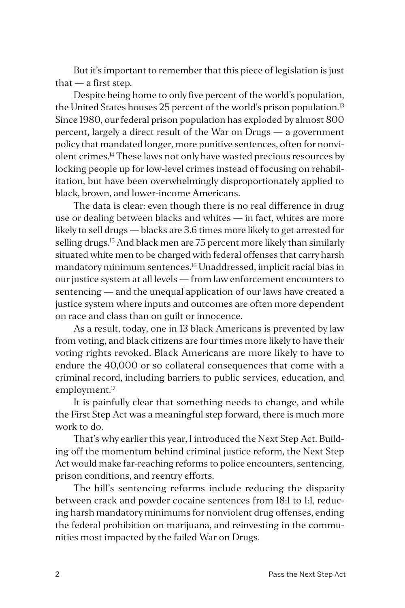But it's important to remember that this piece of legislation is just that  $-$  a first step.

Despite being home to only five percent of the world's population, the United States houses 25 percent of the world's prison population.<sup>13</sup> Since 1980, our federal prison population has exploded by almost 800 percent, largely a direct result of the War on Drugs — a government policy that mandated longer, more punitive sentences, often for nonviolent crimes.14 These laws not only have wasted precious resources by locking people up for low-level crimes instead of focusing on rehabilitation, but have been overwhelmingly disproportionately applied to black, brown, and lower-income Americans.

The data is clear: even though there is no real difference in drug use or dealing between blacks and whites — in fact, whites are more likely to sell drugs — blacks are 3.6 times more likely to get arrested for selling drugs.<sup>15</sup> And black men are 75 percent more likely than similarly situated white men to be charged with federal offenses that carry harsh mandatory minimum sentences.16 Unaddressed, implicit racial bias in our justice system at all levels — from law enforcement encounters to sentencing — and the unequal application of our laws have created a justice system where inputs and outcomes are often more dependent on race and class than on guilt or innocence.

As a result, today, one in 13 black Americans is prevented by law from voting, and black citizens are four times more likely to have their voting rights revoked. Black Americans are more likely to have to endure the 40,000 or so collateral consequences that come with a criminal record, including barriers to public services, education, and employment.<sup>17</sup>

It is painfully clear that something needs to change, and while the First Step Act was a meaningful step forward, there is much more work to do.

That's why earlier this year, I introduced the Next Step Act. Building off the momentum behind criminal justice reform, the Next Step Act would make far-reaching reforms to police encounters, sentencing, prison conditions, and reentry efforts.

The bill's sentencing reforms include reducing the disparity between crack and powder cocaine sentences from 18:1 to 1:1, reducing harsh mandatory minimums for nonviolent drug offenses, ending the federal prohibition on marijuana, and reinvesting in the communities most impacted by the failed War on Drugs.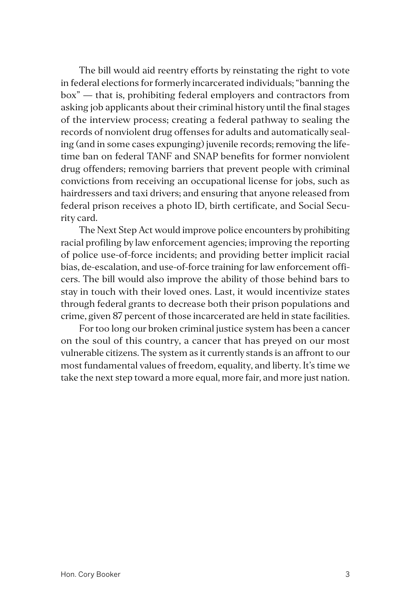The bill would aid reentry efforts by reinstating the right to vote in federal elections for formerly incarcerated individuals; "banning the box" — that is, prohibiting federal employers and contractors from asking job applicants about their criminal history until the final stages of the interview process; creating a federal pathway to sealing the records of nonviolent drug offenses for adults and automatically sealing (and in some cases expunging) juvenile records; removing the lifetime ban on federal TANF and SNAP benefits for former nonviolent drug offenders; removing barriers that prevent people with criminal convictions from receiving an occupational license for jobs, such as hairdressers and taxi drivers; and ensuring that anyone released from federal prison receives a photo ID, birth certificate, and Social Security card.

The Next Step Act would improve police encounters by prohibiting racial profiling by law enforcement agencies; improving the reporting of police use-of-force incidents; and providing better implicit racial bias, de-escalation, and use-of-force training for law enforcement officers. The bill would also improve the ability of those behind bars to stay in touch with their loved ones. Last, it would incentivize states through federal grants to decrease both their prison populations and crime, given 87 percent of those incarcerated are held in state facilities.

For too long our broken criminal justice system has been a cancer on the soul of this country, a cancer that has preyed on our most vulnerable citizens. The system as it currently stands is an affront to our most fundamental values of freedom, equality, and liberty. It's time we take the next step toward a more equal, more fair, and more just nation.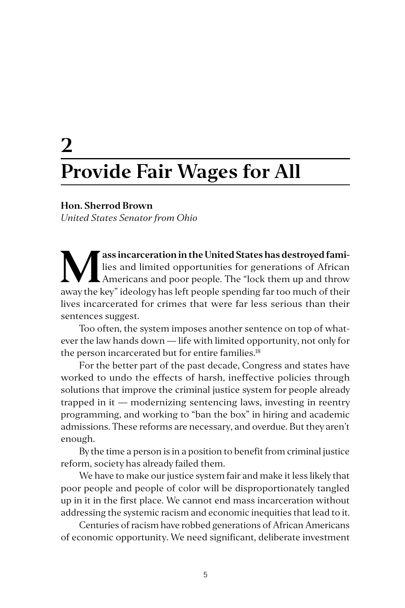# **2 Provide Fair Wages for All**

#### **Hon. Sherrod Brown**

*United States Senator from Ohio*

**Mass incarceration in the United States has destroyed fami-<br>
Americans and poor people. The "lock them up and throw<br>
away the key" idealery has left people aporting factor much of their** lies and limited opportunities for generations of African away the key" ideology has left people spending far too much of their lives incarcerated for crimes that were far less serious than their sentences suggest.

Too often, the system imposes another sentence on top of whatever the law hands down — life with limited opportunity, not only for the person incarcerated but for entire families.<sup>18</sup>

For the better part of the past decade, Congress and states have worked to undo the effects of harsh, ineffective policies through solutions that improve the criminal justice system for people already trapped in it — modernizing sentencing laws, investing in reentry programming, and working to "ban the box" in hiring and academic admissions. These reforms are necessary, and overdue. But they aren't enough.

By the time a person is in a position to benefit from criminal justice reform, society has already failed them.

We have to make our justice system fair and make it less likely that poor people and people of color will be disproportionately tangled up in it in the first place. We cannot end mass incarceration without addressing the systemic racism and economic inequities that lead to it.

Centuries of racism have robbed generations of African Americans of economic opportunity. We need significant, deliberate investment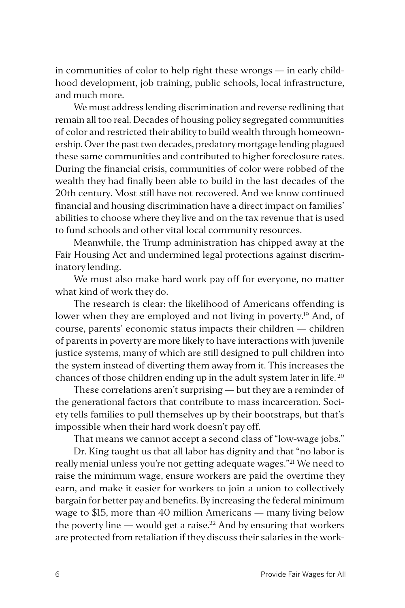in communities of color to help right these wrongs — in early childhood development, job training, public schools, local infrastructure, and much more.

We must address lending discrimination and reverse redlining that remain all too real. Decades of housing policy segregated communities of color and restricted their ability to build wealth through homeownership. Over the past two decades, predatory mortgage lending plagued these same communities and contributed to higher foreclosure rates. During the financial crisis, communities of color were robbed of the wealth they had finally been able to build in the last decades of the 20th century. Most still have not recovered. And we know continued financial and housing discrimination have a direct impact on families' abilities to choose where they live and on the tax revenue that is used to fund schools and other vital local community resources.

Meanwhile, the Trump administration has chipped away at the Fair Housing Act and undermined legal protections against discriminatory lending.

We must also make hard work pay off for everyone, no matter what kind of work they do.

The research is clear: the likelihood of Americans offending is lower when they are employed and not living in poverty.<sup>19</sup> And, of course, parents' economic status impacts their children — children of parents in poverty are more likely to have interactions with juvenile justice systems, many of which are still designed to pull children into the system instead of diverting them away from it. This increases the chances of those children ending up in the adult system later in life. 20

These correlations aren't surprising — but they are a reminder of the generational factors that contribute to mass incarceration. Society tells families to pull themselves up by their bootstraps, but that's impossible when their hard work doesn't pay off.

That means we cannot accept a second class of "low-wage jobs."

Dr. King taught us that all labor has dignity and that "no labor is really menial unless you're not getting adequate wages."<sup>21</sup> We need to raise the minimum wage, ensure workers are paid the overtime they earn, and make it easier for workers to join a union to collectively bargain for better pay and benefits. By increasing the federal minimum wage to \$15, more than 40 million Americans — many living below the poverty line — would get a raise.<sup>22</sup> And by ensuring that workers are protected from retaliation if they discuss their salaries in the work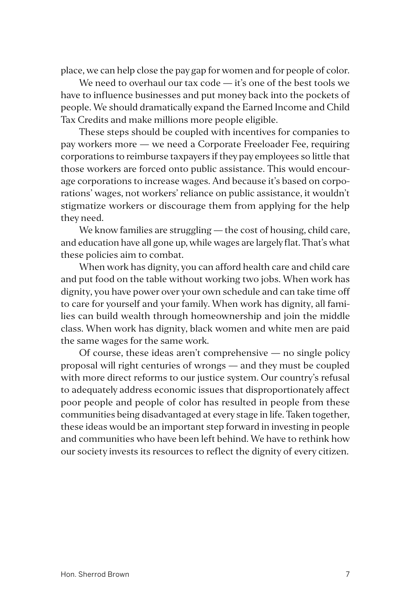place, we can help close the pay gap for women and for people of color.

We need to overhaul our tax code - it's one of the best tools we have to influence businesses and put money back into the pockets of people. We should dramatically expand the Earned Income and Child Tax Credits and make millions more people eligible.

These steps should be coupled with incentives for companies to pay workers more — we need a Corporate Freeloader Fee, requiring corporations to reimburse taxpayers if they pay employees so little that those workers are forced onto public assistance. This would encourage corporations to increase wages. And because it's based on corporations' wages, not workers' reliance on public assistance, it wouldn't stigmatize workers or discourage them from applying for the help they need.

We know families are struggling — the cost of housing, child care, and education have all gone up, while wages are largely flat. That's what these policies aim to combat.

When work has dignity, you can afford health care and child care and put food on the table without working two jobs. When work has dignity, you have power over your own schedule and can take time off to care for yourself and your family. When work has dignity, all families can build wealth through homeownership and join the middle class. When work has dignity, black women and white men are paid the same wages for the same work.

Of course, these ideas aren't comprehensive  $-$  no single policy proposal will right centuries of wrongs — and they must be coupled with more direct reforms to our justice system. Our country's refusal to adequately address economic issues that disproportionately affect poor people and people of color has resulted in people from these communities being disadvantaged at every stage in life. Taken together, these ideas would be an important step forward in investing in people and communities who have been left behind. We have to rethink how our society invests its resources to reflect the dignity of every citizen.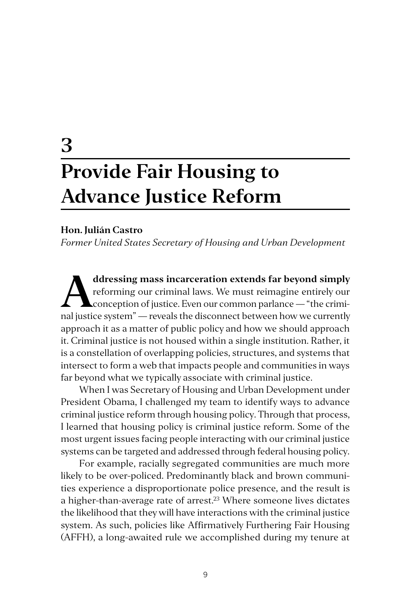# **3 Provide Fair Housing to Advance Justice Reform**

#### **Hon. Julián Castro**

*Former United States Secretary of Housing and Urban Development*

ddressing mass incarceration extends far beyond simply reforming our criminal laws. We must reimagine entirely our conception of justice. Even our common parlance — "the criminal lawting extent" reveals the disconnect betw reforming our criminal laws. We must reimagine entirely our nal justice system" — reveals the disconnect between how we currently approach it as a matter of public policy and how we should approach it. Criminal justice is not housed within a single institution. Rather, it is a constellation of overlapping policies, structures, and systems that intersect to form a web that impacts people and communities in ways far beyond what we typically associate with criminal justice.

When I was Secretary of Housing and Urban Development under President Obama, I challenged my team to identify ways to advance criminal justice reform through housing policy. Through that process, I learned that housing policy is criminal justice reform. Some of the most urgent issues facing people interacting with our criminal justice systems can be targeted and addressed through federal housing policy.

For example, racially segregated communities are much more likely to be over-policed. Predominantly black and brown communities experience a disproportionate police presence, and the result is a higher-than-average rate of arrest.<sup>23</sup> Where someone lives dictates the likelihood that they will have interactions with the criminal justice system. As such, policies like Affirmatively Furthering Fair Housing (AFFH), a long-awaited rule we accomplished during my tenure at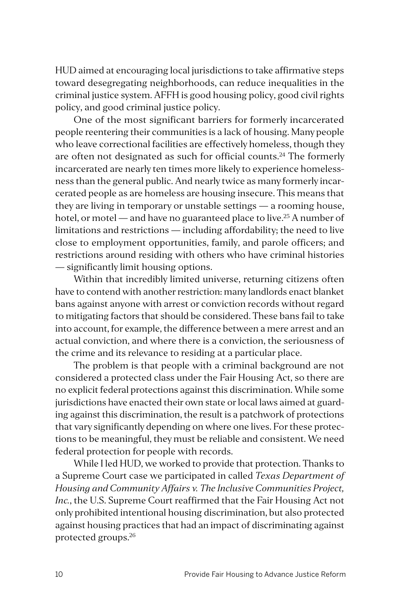HUD aimed at encouraging local jurisdictions to take affirmative steps toward desegregating neighborhoods, can reduce inequalities in the criminal justice system. AFFH is good housing policy, good civil rights policy, and good criminal justice policy.

One of the most significant barriers for formerly incarcerated people reentering their communities is a lack of housing. Many people who leave correctional facilities are effectively homeless, though they are often not designated as such for official counts.<sup>24</sup> The formerly incarcerated are nearly ten times more likely to experience homelessness than the general public. And nearly twice as many formerly incarcerated people as are homeless are housing insecure. This means that they are living in temporary or unstable settings — a rooming house, hotel, or motel — and have no guaranteed place to live.<sup>25</sup> A number of limitations and restrictions — including affordability; the need to live close to employment opportunities, family, and parole officers; and restrictions around residing with others who have criminal histories — significantly limit housing options.

Within that incredibly limited universe, returning citizens often have to contend with another restriction: many landlords enact blanket bans against anyone with arrest or conviction records without regard to mitigating factors that should be considered. These bans fail to take into account, for example, the difference between a mere arrest and an actual conviction, and where there is a conviction, the seriousness of the crime and its relevance to residing at a particular place.

The problem is that people with a criminal background are not considered a protected class under the Fair Housing Act, so there are no explicit federal protections against this discrimination. While some jurisdictions have enacted their own state or local laws aimed at guarding against this discrimination, the result is a patchwork of protections that vary significantly depending on where one lives. For these protections to be meaningful, they must be reliable and consistent. We need federal protection for people with records.

While I led HUD, we worked to provide that protection. Thanks to a Supreme Court case we participated in called *Texas Department of Housing and Community Affairs v. The Inclusive Communities Project, Inc.*, the U.S. Supreme Court reaffirmed that the Fair Housing Act not only prohibited intentional housing discrimination, but also protected against housing practices that had an impact of discriminating against protected groups.26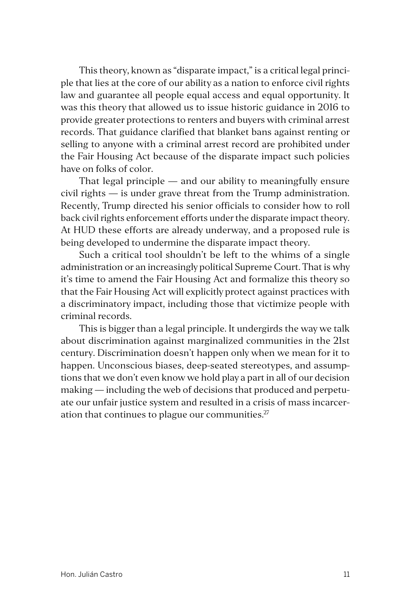This theory, known as "disparate impact," is a critical legal principle that lies at the core of our ability as a nation to enforce civil rights law and guarantee all people equal access and equal opportunity. It was this theory that allowed us to issue historic guidance in 2016 to provide greater protections to renters and buyers with criminal arrest records. That guidance clarified that blanket bans against renting or selling to anyone with a criminal arrest record are prohibited under the Fair Housing Act because of the disparate impact such policies have on folks of color.

That legal principle — and our ability to meaningfully ensure civil rights — is under grave threat from the Trump administration. Recently, Trump directed his senior officials to consider how to roll back civil rights enforcement efforts under the disparate impact theory. At HUD these efforts are already underway, and a proposed rule is being developed to undermine the disparate impact theory.

Such a critical tool shouldn't be left to the whims of a single administration or an increasingly political Supreme Court. That is why it's time to amend the Fair Housing Act and formalize this theory so that the Fair Housing Act will explicitly protect against practices with a discriminatory impact, including those that victimize people with criminal records.

This is bigger than a legal principle. It undergirds the way we talk about discrimination against marginalized communities in the 21st century. Discrimination doesn't happen only when we mean for it to happen. Unconscious biases, deep-seated stereotypes, and assumptions that we don't even know we hold play a part in all of our decision making — including the web of decisions that produced and perpetuate our unfair justice system and resulted in a crisis of mass incarceration that continues to plague our communities. $27$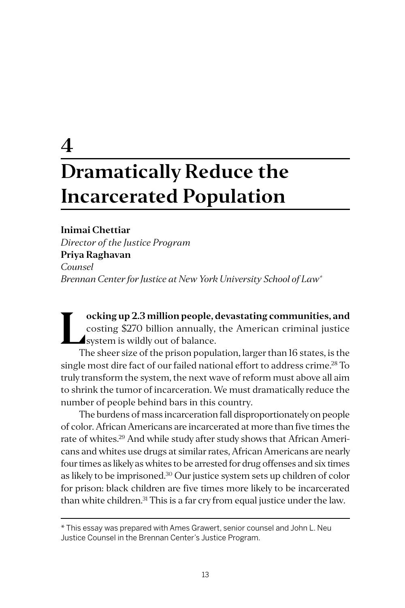# **4 Dramatically Reduce the Incarcerated Population**

**Inimai Chettiar**  *Director of the Justice Program* **Priya Raghavan** *Counsel Brennan Center for Justice at New York University School of Law\**

ocking up 2.3 million people, devastating communities, and costing \$270 billion annually, the American criminal justice system is wildly out of balance.<br>The short size of the prison population larger than 16 states is the costing \$270 billion annually, the American criminal justice system is wildly out of balance.

The sheer size of the prison population, larger than 16 states, is the single most dire fact of our failed national effort to address crime.<sup>28</sup> To truly transform the system, the next wave of reform must above all aim to shrink the tumor of incarceration. We must dramatically reduce the number of people behind bars in this country.

The burdens of mass incarceration fall disproportionately on people of color. African Americans are incarcerated at more than five times the rate of whites.<sup>29</sup> And while study after study shows that African Americans and whites use drugs at similar rates, African Americans are nearly four times as likely as whites to be arrested for drug offenses and six times as likely to be imprisoned.30 Our justice system sets up children of color for prison: black children are five times more likely to be incarcerated than white children.<sup>31</sup> This is a far cry from equal justice under the law.

\* This essay was prepared with Ames Grawert, senior counsel and John L. Neu Justice Counsel in the Brennan Center's Justice Program.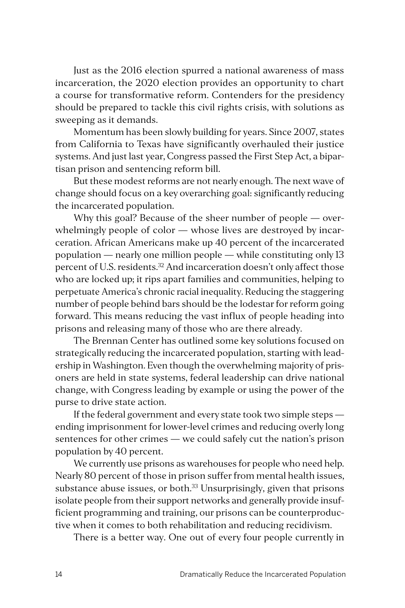Just as the 2016 election spurred a national awareness of mass incarceration, the 2020 election provides an opportunity to chart a course for transformative reform. Contenders for the presidency should be prepared to tackle this civil rights crisis, with solutions as sweeping as it demands.

Momentum has been slowly building for years. Since 2007, states from California to Texas have significantly overhauled their justice systems. And just last year, Congress passed the First Step Act, a bipartisan prison and sentencing reform bill.

But these modest reforms are not nearly enough. The next wave of change should focus on a key overarching goal: significantly reducing the incarcerated population.

Why this goal? Because of the sheer number of people — overwhelmingly people of color — whose lives are destroyed by incarceration. African Americans make up 40 percent of the incarcerated population — nearly one million people — while constituting only 13 percent of U.S. residents.<sup>32</sup> And incarceration doesn't only affect those who are locked up; it rips apart families and communities, helping to perpetuate America's chronic racial inequality. Reducing the staggering number of people behind bars should be the lodestar for reform going forward. This means reducing the vast influx of people heading into prisons and releasing many of those who are there already.

The Brennan Center has outlined some key solutions focused on strategically reducing the incarcerated population, starting with leadership in Washington. Even though the overwhelming majority of prisoners are held in state systems, federal leadership can drive national change, with Congress leading by example or using the power of the purse to drive state action.

If the federal government and every state took two simple steps ending imprisonment for lower-level crimes and reducing overly long sentences for other crimes — we could safely cut the nation's prison population by 40 percent.

We currently use prisons as warehouses for people who need help. Nearly 80 percent of those in prison suffer from mental health issues, substance abuse issues, or both.<sup>33</sup> Unsurprisingly, given that prisons isolate people from their support networks and generally provide insufficient programming and training, our prisons can be counterproductive when it comes to both rehabilitation and reducing recidivism.

There is a better way. One out of every four people currently in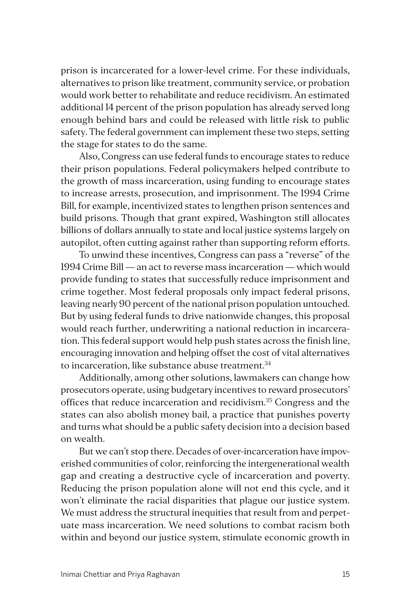prison is incarcerated for a lower-level crime. For these individuals, alternatives to prison like treatment, community service, or probation would work better to rehabilitate and reduce recidivism. An estimated additional 14 percent of the prison population has already served long enough behind bars and could be released with little risk to public safety. The federal government can implement these two steps, setting the stage for states to do the same.

Also, Congress can use federal funds to encourage states to reduce their prison populations. Federal policymakers helped contribute to the growth of mass incarceration, using funding to encourage states to increase arrests, prosecution, and imprisonment. The 1994 Crime Bill, for example, incentivized states to lengthen prison sentences and build prisons. Though that grant expired, Washington still allocates billions of dollars annually to state and local justice systems largely on autopilot, often cutting against rather than supporting reform efforts.

To unwind these incentives, Congress can pass a "reverse" of the 1994 Crime Bill — an act to reverse mass incarceration — which would provide funding to states that successfully reduce imprisonment and crime together. Most federal proposals only impact federal prisons, leaving nearly 90 percent of the national prison population untouched. But by using federal funds to drive nationwide changes, this proposal would reach further, underwriting a national reduction in incarceration. This federal support would help push states across the finish line, encouraging innovation and helping offset the cost of vital alternatives to incarceration, like substance abuse treatment.<sup>34</sup>

Additionally, among other solutions, lawmakers can change how prosecutors operate, using budgetary incentives to reward prosecutors' offices that reduce incarceration and recidivism.35 Congress and the states can also abolish money bail, a practice that punishes poverty and turns what should be a public safety decision into a decision based on wealth.

But we can't stop there. Decades of over-incarceration have impoverished communities of color, reinforcing the intergenerational wealth gap and creating a destructive cycle of incarceration and poverty. Reducing the prison population alone will not end this cycle, and it won't eliminate the racial disparities that plague our justice system. We must address the structural inequities that result from and perpetuate mass incarceration. We need solutions to combat racism both within and beyond our justice system, stimulate economic growth in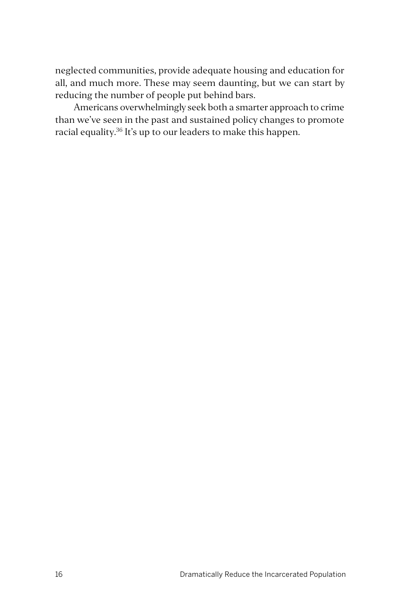neglected communities, provide adequate housing and education for all, and much more. These may seem daunting, but we can start by reducing the number of people put behind bars.

Americans overwhelmingly seek both a smarter approach to crime than we've seen in the past and sustained policy changes to promote racial equality.36 It's up to our leaders to make this happen.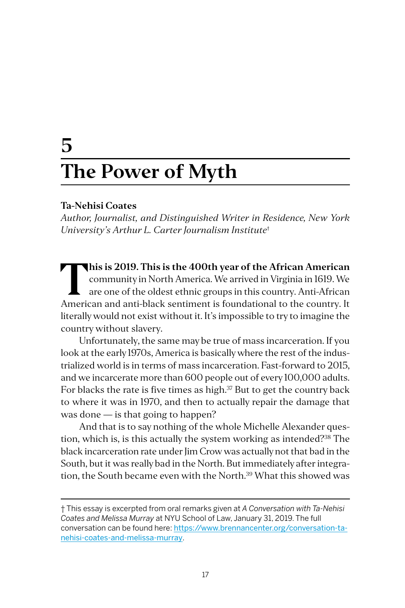# **5 The Power of Myth**

#### **Ta-Nehisi Coates**

*Author, Journalist, and Distinguished Writer in Residence, New York University's Arthur L. Carter Journalism Institute*†

**This is 2019. This is the 400th year of the African American**<br>
community in North America. We arrived in Virginia in 1619. We<br>
are one of the oldest ethnic groups in this country. Anti-African<br>
American and anti-black con community in North America. We arrived in Virginia in 1619. We American and anti-black sentiment is foundational to the country. It literally would not exist without it. It's impossible to try to imagine the country without slavery.

Unfortunately, the same may be true of mass incarceration. If you look at the early 1970s, America is basically where the rest of the industrialized world is in terms of mass incarceration. Fast-forward to 2015, and we incarcerate more than 600 people out of every 100,000 adults. For blacks the rate is five times as high. $37$  But to get the country back to where it was in 1970, and then to actually repair the damage that was done — is that going to happen?

And that is to say nothing of the whole Michelle Alexander question, which is, is this actually the system working as intended?38 The black incarceration rate under Jim Crow was actually not that bad in the South, but it was really bad in the North. But immediately after integration, the South became even with the North.<sup>39</sup> What this showed was

<sup>†</sup> This essay is excerpted from oral remarks given at *A Conversation with Ta-Nehisi Coates and Melissa Murray* at NYU School of Law, January 31, 2019. The full conversation can be found here: [https://www.brennancenter.org/conversation-ta](https://www.brennancenter.org/conversation-ta-nehisi-coates-and-melissa-murray)[nehisi-coates-and-melissa-murray](https://www.brennancenter.org/conversation-ta-nehisi-coates-and-melissa-murray).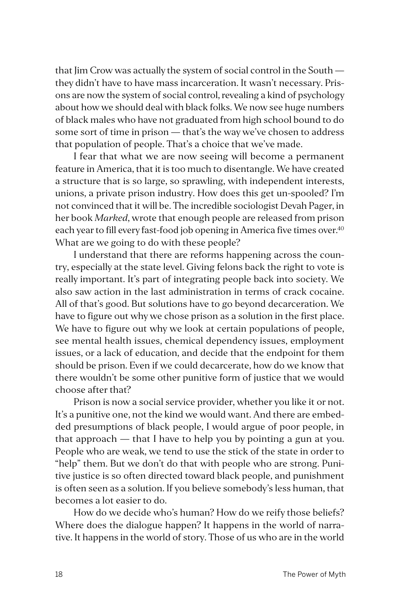that Jim Crow was actually the system of social control in the South they didn't have to have mass incarceration. It wasn't necessary. Prisons are now the system of social control, revealing a kind of psychology about how we should deal with black folks. We now see huge numbers of black males who have not graduated from high school bound to do some sort of time in prison — that's the way we've chosen to address that population of people. That's a choice that we've made.

I fear that what we are now seeing will become a permanent feature in America, that it is too much to disentangle. We have created a structure that is so large, so sprawling, with independent interests, unions, a private prison industry. How does this get un-spooled? I'm not convinced that it will be. The incredible sociologist Devah Pager, in her book *Marked*, wrote that enough people are released from prison each year to fill every fast-food job opening in America five times over.<sup>40</sup> What are we going to do with these people?

I understand that there are reforms happening across the country, especially at the state level. Giving felons back the right to vote is really important. It's part of integrating people back into society. We also saw action in the last administration in terms of crack cocaine. All of that's good. But solutions have to go beyond decarceration. We have to figure out why we chose prison as a solution in the first place. We have to figure out why we look at certain populations of people, see mental health issues, chemical dependency issues, employment issues, or a lack of education, and decide that the endpoint for them should be prison. Even if we could decarcerate, how do we know that there wouldn't be some other punitive form of justice that we would choose after that?

Prison is now a social service provider, whether you like it or not. It's a punitive one, not the kind we would want. And there are embedded presumptions of black people, I would argue of poor people, in that approach — that I have to help you by pointing a gun at you. People who are weak, we tend to use the stick of the state in order to "help" them. But we don't do that with people who are strong. Punitive justice is so often directed toward black people, and punishment is often seen as a solution. If you believe somebody's less human, that becomes a lot easier to do.

How do we decide who's human? How do we reify those beliefs? Where does the dialogue happen? It happens in the world of narrative. It happens in the world of story. Those of us who are in the world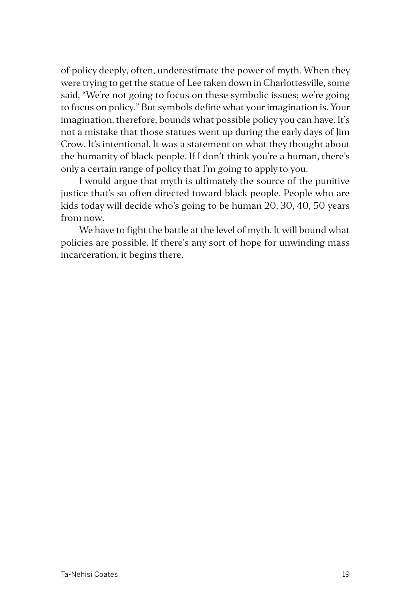of policy deeply, often, underestimate the power of myth. When they were trying to get the statue of Lee taken down in Charlottesville, some said, "We're not going to focus on these symbolic issues; we're going to focus on policy." But symbols define what your imagination is. Your imagination, therefore, bounds what possible policy you can have. It's not a mistake that those statues went up during the early days of Jim Crow. It's intentional. It was a statement on what they thought about the humanity of black people. If I don't think you're a human, there's only a certain range of policy that I'm going to apply to you.

I would argue that myth is ultimately the source of the punitive justice that's so often directed toward black people. People who are kids today will decide who's going to be human 20, 30, 40, 50 years from now.

We have to fight the battle at the level of myth. It will bound what policies are possible. If there's any sort of hope for unwinding mass incarceration, it begins there.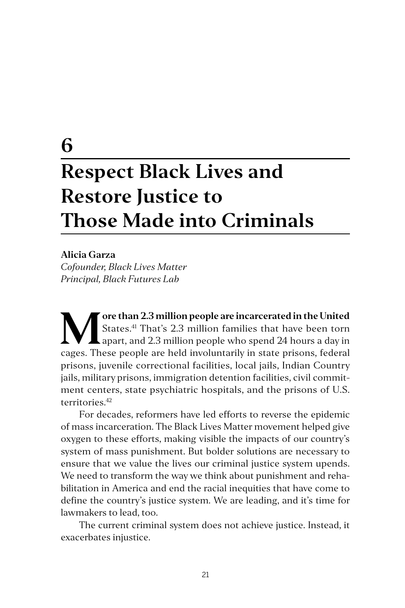### **6**

# **Respect Black Lives and Restore Justice to Those Made into Criminals**

#### **Alicia Garza**

*Cofounder, Black Lives Matter Principal, Black Futures Lab*

**M** ore than 2.3 million people are incarcerated in the United States.<sup>41</sup> That's 2.3 million families that have been torn apart, and 2.3 million people who spend 24 hours a day in States.41 That's 2.3 million families that have been torn  $\mathsf L$  apart, and 2.3 million people who spend 24 hours a day in cages. These people are held involuntarily in state prisons, federal prisons, juvenile correctional facilities, local jails, Indian Country jails, military prisons, immigration detention facilities, civil commitment centers, state psychiatric hospitals, and the prisons of U.S. territories.42

For decades, reformers have led efforts to reverse the epidemic of mass incarceration. The Black Lives Matter movement helped give oxygen to these efforts, making visible the impacts of our country's system of mass punishment. But bolder solutions are necessary to ensure that we value the lives our criminal justice system upends. We need to transform the way we think about punishment and rehabilitation in America and end the racial inequities that have come to define the country's justice system. We are leading, and it's time for lawmakers to lead, too.

The current criminal system does not achieve justice. Instead, it exacerbates injustice.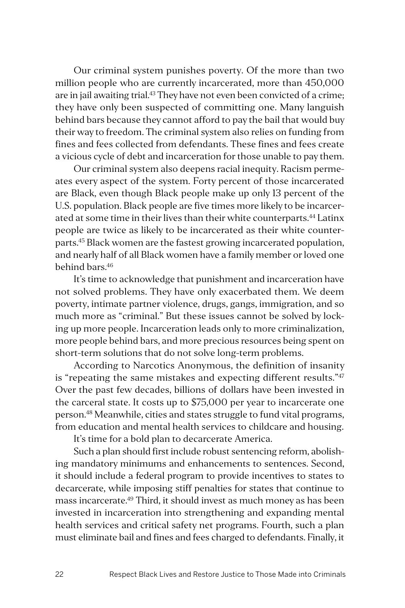Our criminal system punishes poverty. Of the more than two million people who are currently incarcerated, more than 450,000 are in jail awaiting trial.<sup>43</sup> They have not even been convicted of a crime; they have only been suspected of committing one. Many languish behind bars because they cannot afford to pay the bail that would buy their way to freedom. The criminal system also relies on funding from fines and fees collected from defendants. These fines and fees create a vicious cycle of debt and incarceration for those unable to pay them.

Our criminal system also deepens racial inequity. Racism permeates every aspect of the system. Forty percent of those incarcerated are Black, even though Black people make up only 13 percent of the U.S. population. Black people are five times more likely to be incarcerated at some time in their lives than their white counterparts.<sup>44</sup> Latinx people are twice as likely to be incarcerated as their white counterparts.45 Black women are the fastest growing incarcerated population, and nearly half of all Black women have a family member or loved one behind bars.46

It's time to acknowledge that punishment and incarceration have not solved problems. They have only exacerbated them. We deem poverty, intimate partner violence, drugs, gangs, immigration, and so much more as "criminal." But these issues cannot be solved by locking up more people. Incarceration leads only to more criminalization, more people behind bars, and more precious resources being spent on short-term solutions that do not solve long-term problems.

According to Narcotics Anonymous, the definition of insanity is "repeating the same mistakes and expecting different results."<sup>47</sup> Over the past few decades, billions of dollars have been invested in the carceral state. It costs up to \$75,000 per year to incarcerate one person.48 Meanwhile, cities and states struggle to fund vital programs, from education and mental health services to childcare and housing.

It's time for a bold plan to decarcerate America.

Such a plan should first include robust sentencing reform, abolishing mandatory minimums and enhancements to sentences. Second, it should include a federal program to provide incentives to states to decarcerate, while imposing stiff penalties for states that continue to mass incarcerate.49 Third, it should invest as much money as has been invested in incarceration into strengthening and expanding mental health services and critical safety net programs. Fourth, such a plan must eliminate bail and fines and fees charged to defendants. Finally, it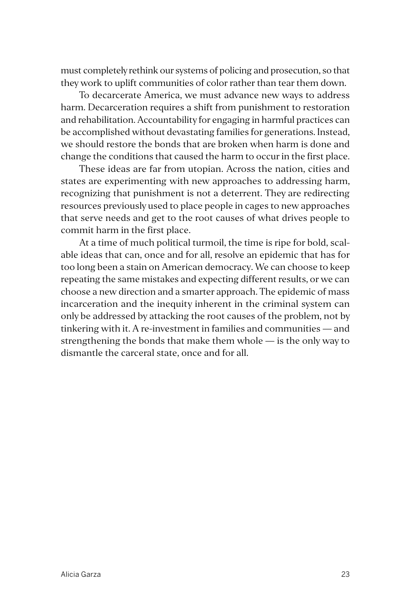must completely rethink our systems of policing and prosecution, so that they work to uplift communities of color rather than tear them down.

To decarcerate America, we must advance new ways to address harm. Decarceration requires a shift from punishment to restoration and rehabilitation. Accountability for engaging in harmful practices can be accomplished without devastating families for generations. Instead, we should restore the bonds that are broken when harm is done and change the conditions that caused the harm to occur in the first place.

These ideas are far from utopian. Across the nation, cities and states are experimenting with new approaches to addressing harm, recognizing that punishment is not a deterrent. They are redirecting resources previously used to place people in cages to new approaches that serve needs and get to the root causes of what drives people to commit harm in the first place.

At a time of much political turmoil, the time is ripe for bold, scalable ideas that can, once and for all, resolve an epidemic that has for too long been a stain on American democracy. We can choose to keep repeating the same mistakes and expecting different results, or we can choose a new direction and a smarter approach. The epidemic of mass incarceration and the inequity inherent in the criminal system can only be addressed by attacking the root causes of the problem, not by tinkering with it. A re-investment in families and communities — and strengthening the bonds that make them whole — is the only way to dismantle the carceral state, once and for all.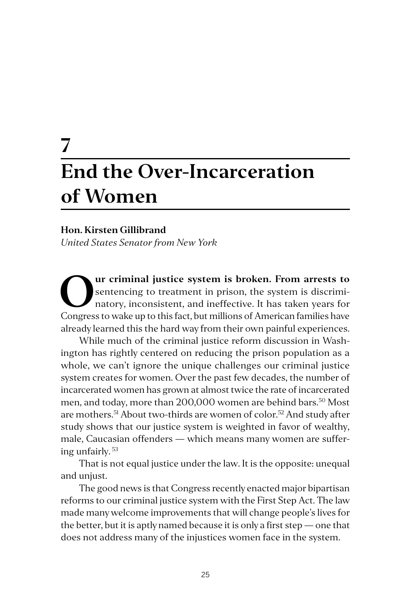## **7 End the Over-Incarceration of Women**

#### **Hon. Kirsten Gillibrand**

*United States Senator from New York*

**Our criminal justice system is broken. From arrests to** sentencing to treatment in prison, the system is discriminatory, inconsistent, and ineffective. It has taken years for Congress to welcome to this fact but millions sentencing to treatment in prison, the system is discriminatory, inconsistent, and ineffective. It has taken years for Congress to wake up to this fact, but millions of American families have already learned this the hard way from their own painful experiences.

While much of the criminal justice reform discussion in Washington has rightly centered on reducing the prison population as a whole, we can't ignore the unique challenges our criminal justice system creates for women. Over the past few decades, the number of incarcerated women has grown at almost twice the rate of incarcerated men, and today, more than 200,000 women are behind bars.<sup>50</sup> Most are mothers.51 About two-thirds are women of color.52 And study after study shows that our justice system is weighted in favor of wealthy, male, Caucasian offenders — which means many women are suffering unfairly. 53

That is not equal justice under the law. It is the opposite: unequal and unjust.

The good news is that Congress recently enacted major bipartisan reforms to our criminal justice system with the First Step Act. The law made many welcome improvements that will change people's lives for the better, but it is aptly named because it is only a first step — one that does not address many of the injustices women face in the system.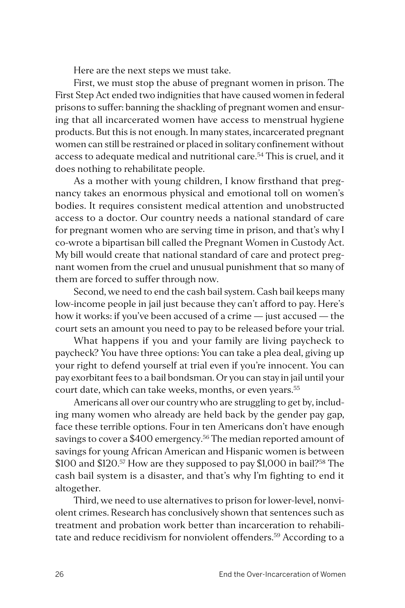Here are the next steps we must take.

First, we must stop the abuse of pregnant women in prison. The First Step Act ended two indignities that have caused women in federal prisons to suffer: banning the shackling of pregnant women and ensuring that all incarcerated women have access to menstrual hygiene products. But this is not enough. In many states, incarcerated pregnant women can still be restrained or placed in solitary confinement without access to adequate medical and nutritional care.54 This is cruel, and it does nothing to rehabilitate people.

As a mother with young children, I know firsthand that pregnancy takes an enormous physical and emotional toll on women's bodies. It requires consistent medical attention and unobstructed access to a doctor. Our country needs a national standard of care for pregnant women who are serving time in prison, and that's why I co-wrote a bipartisan bill called the Pregnant Women in Custody Act. My bill would create that national standard of care and protect pregnant women from the cruel and unusual punishment that so many of them are forced to suffer through now.

Second, we need to end the cash bail system. Cash bail keeps many low-income people in jail just because they can't afford to pay. Here's how it works: if you've been accused of a crime — just accused — the court sets an amount you need to pay to be released before your trial.

What happens if you and your family are living paycheck to paycheck? You have three options: You can take a plea deal, giving up your right to defend yourself at trial even if you're innocent. You can pay exorbitant fees to a bail bondsman. Or you can stay in jail until your court date, which can take weeks, months, or even years.<sup>55</sup>

Americans all over our country who are struggling to get by, including many women who already are held back by the gender pay gap, face these terrible options. Four in ten Americans don't have enough savings to cover a \$400 emergency.<sup>56</sup> The median reported amount of savings for young African American and Hispanic women is between \$100 and \$120.<sup>57</sup> How are they supposed to pay \$1,000 in bail?<sup>58</sup> The cash bail system is a disaster, and that's why I'm fighting to end it altogether.

Third, we need to use alternatives to prison for lower-level, nonviolent crimes. Research has conclusively shown that sentences such as treatment and probation work better than incarceration to rehabilitate and reduce recidivism for nonviolent offenders.<sup>59</sup> According to a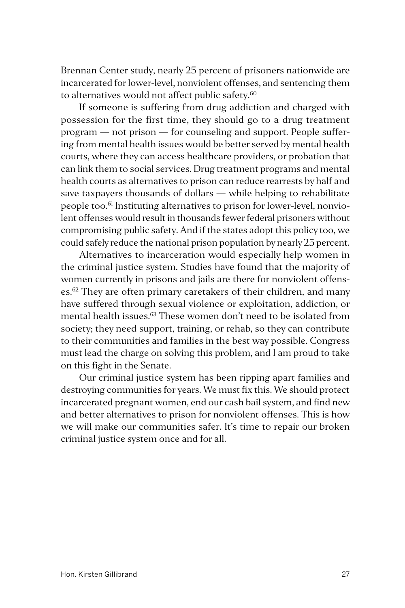Brennan Center study, nearly 25 percent of prisoners nationwide are incarcerated for lower-level, nonviolent offenses, and sentencing them to alternatives would not affect public safety.<sup>60</sup>

If someone is suffering from drug addiction and charged with possession for the first time, they should go to a drug treatment program — not prison — for counseling and support. People suffering from mental health issues would be better served by mental health courts, where they can access healthcare providers, or probation that can link them to social services. Drug treatment programs and mental health courts as alternatives to prison can reduce rearrests by half and save taxpayers thousands of dollars — while helping to rehabilitate people too.61 Instituting alternatives to prison for lower-level, nonviolent offenses would result in thousands fewer federal prisoners without compromising public safety. And if the states adopt this policy too, we could safely reduce the national prison population by nearly 25 percent.

Alternatives to incarceration would especially help women in the criminal justice system. Studies have found that the majority of women currently in prisons and jails are there for nonviolent offenses.<sup>62</sup> They are often primary caretakers of their children, and many have suffered through sexual violence or exploitation, addiction, or mental health issues.<sup>63</sup> These women don't need to be isolated from society; they need support, training, or rehab, so they can contribute to their communities and families in the best way possible. Congress must lead the charge on solving this problem, and I am proud to take on this fight in the Senate.

Our criminal justice system has been ripping apart families and destroying communities for years. We must fix this. We should protect incarcerated pregnant women, end our cash bail system, and find new and better alternatives to prison for nonviolent offenses. This is how we will make our communities safer. It's time to repair our broken criminal justice system once and for all.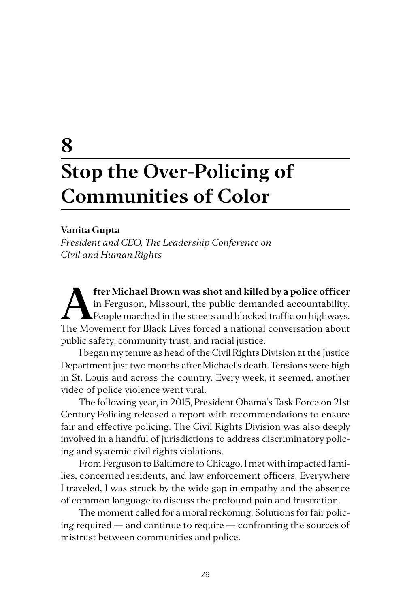## **8 Stop the Over-Policing of Communities of Color**

#### **Vanita Gupta**

*President and CEO, The Leadership Conference on Civil and Human Rights*

**A fter Michael Brown was shot and killed by a police officer**<br>in Ferguson, Missouri, the public demanded accountability.<br>People marched in the streets and blocked traffic on highways.<br>The Movement for Black Lives forced a in Ferguson, Missouri, the public demanded accountability. People marched in the streets and blocked traffic on highways. The Movement for Black Lives forced a national conversation about public safety, community trust, and racial justice.

I began my tenure as head of the Civil Rights Division at the Justice Department just two months after Michael's death. Tensions were high in St. Louis and across the country. Every week, it seemed, another video of police violence went viral.

The following year, in 2015, President Obama's Task Force on 21st Century Policing released a report with recommendations to ensure fair and effective policing. The Civil Rights Division was also deeply involved in a handful of jurisdictions to address discriminatory policing and systemic civil rights violations.

From Ferguson to Baltimore to Chicago, I met with impacted families, concerned residents, and law enforcement officers. Everywhere I traveled, I was struck by the wide gap in empathy and the absence of common language to discuss the profound pain and frustration.

The moment called for a moral reckoning. Solutions for fair policing required — and continue to require — confronting the sources of mistrust between communities and police.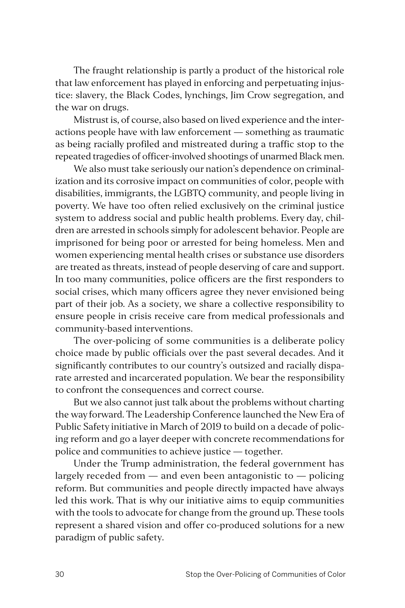The fraught relationship is partly a product of the historical role that law enforcement has played in enforcing and perpetuating injustice: slavery, the Black Codes, lynchings, Jim Crow segregation, and the war on drugs.

Mistrust is, of course, also based on lived experience and the interactions people have with law enforcement — something as traumatic as being racially profiled and mistreated during a traffic stop to the repeated tragedies of officer-involved shootings of unarmed Black men.

We also must take seriously our nation's dependence on criminalization and its corrosive impact on communities of color, people with disabilities, immigrants, the LGBTQ community, and people living in poverty. We have too often relied exclusively on the criminal justice system to address social and public health problems. Every day, children are arrested in schools simply for adolescent behavior. People are imprisoned for being poor or arrested for being homeless. Men and women experiencing mental health crises or substance use disorders are treated as threats, instead of people deserving of care and support. In too many communities, police officers are the first responders to social crises, which many officers agree they never envisioned being part of their job. As a society, we share a collective responsibility to ensure people in crisis receive care from medical professionals and community-based interventions.

The over-policing of some communities is a deliberate policy choice made by public officials over the past several decades. And it significantly contributes to our country's outsized and racially disparate arrested and incarcerated population. We bear the responsibility to confront the consequences and correct course.

But we also cannot just talk about the problems without charting the way forward. The Leadership Conference launched the New Era of Public Safety initiative in March of 2019 to build on a decade of policing reform and go a layer deeper with concrete recommendations for police and communities to achieve justice — together.

Under the Trump administration, the federal government has largely receded from  $-$  and even been antagonistic to  $-$  policing reform. But communities and people directly impacted have always led this work. That is why our initiative aims to equip communities with the tools to advocate for change from the ground up. These tools represent a shared vision and offer co-produced solutions for a new paradigm of public safety.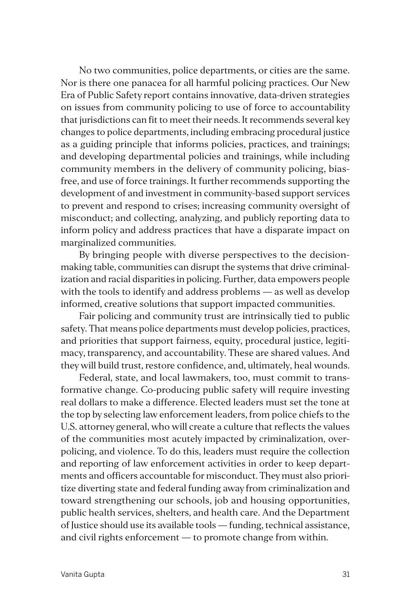No two communities, police departments, or cities are the same. Nor is there one panacea for all harmful policing practices. Our New Era of Public Safety report contains innovative, data-driven strategies on issues from community policing to use of force to accountability that jurisdictions can fit to meet their needs. It recommends several key changes to police departments, including embracing procedural justice as a guiding principle that informs policies, practices, and trainings; and developing departmental policies and trainings, while including community members in the delivery of community policing, biasfree, and use of force trainings. It further recommends supporting the development of and investment in community-based support services to prevent and respond to crises; increasing community oversight of misconduct; and collecting, analyzing, and publicly reporting data to inform policy and address practices that have a disparate impact on marginalized communities.

By bringing people with diverse perspectives to the decisionmaking table, communities can disrupt the systems that drive criminalization and racial disparities in policing. Further, data empowers people with the tools to identify and address problems — as well as develop informed, creative solutions that support impacted communities.

Fair policing and community trust are intrinsically tied to public safety. That means police departments must develop policies, practices, and priorities that support fairness, equity, procedural justice, legitimacy, transparency, and accountability. These are shared values. And they will build trust, restore confidence, and, ultimately, heal wounds.

Federal, state, and local lawmakers, too, must commit to transformative change. Co-producing public safety will require investing real dollars to make a difference. Elected leaders must set the tone at the top by selecting law enforcement leaders, from police chiefs to the U.S. attorney general, who will create a culture that reflects the values of the communities most acutely impacted by criminalization, overpolicing, and violence. To do this, leaders must require the collection and reporting of law enforcement activities in order to keep departments and officers accountable for misconduct. They must also prioritize diverting state and federal funding away from criminalization and toward strengthening our schools, job and housing opportunities, public health services, shelters, and health care. And the Department of Justice should use its available tools — funding, technical assistance, and civil rights enforcement — to promote change from within.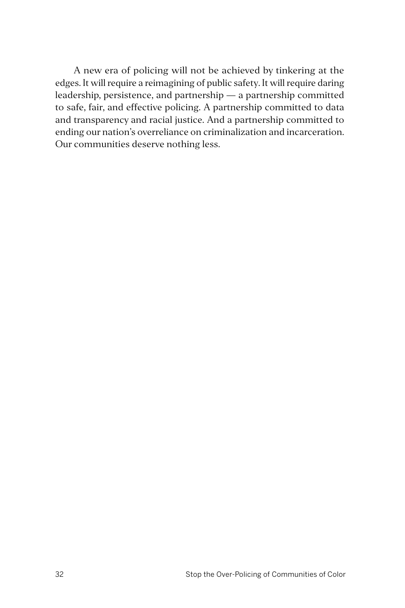A new era of policing will not be achieved by tinkering at the edges. It will require a reimagining of public safety. It will require daring leadership, persistence, and partnership — a partnership committed to safe, fair, and effective policing. A partnership committed to data and transparency and racial justice. And a partnership committed to ending our nation's overreliance on criminalization and incarceration. Our communities deserve nothing less.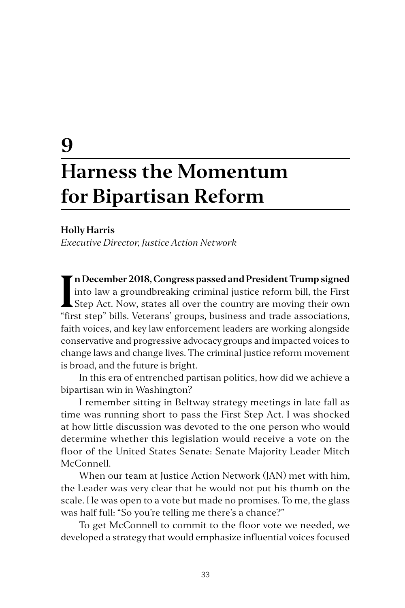# **9 Harness the Momentum for Bipartisan Reform**

#### **Holly Harris**

*Executive Director, Justice Action Network*

I**n December 2018, Congress passed and President Trump signed**<br>
into law a groundbreaking criminal justice reform bill, the First<br>
Step Act. Now, states all over the country are moving their own<br>
"first stap" bills Veteran **n December 2018, Congress passed and President Trump signed**  into law a groundbreaking criminal justice reform bill, the First "first step" bills. Veterans' groups, business and trade associations, faith voices, and key law enforcement leaders are working alongside conservative and progressive advocacy groups and impacted voices to change laws and change lives. The criminal justice reform movement is broad, and the future is bright.

In this era of entrenched partisan politics, how did we achieve a bipartisan win in Washington?

I remember sitting in Beltway strategy meetings in late fall as time was running short to pass the First Step Act. I was shocked at how little discussion was devoted to the one person who would determine whether this legislation would receive a vote on the floor of the United States Senate: Senate Majority Leader Mitch McConnell.

When our team at Justice Action Network (JAN) met with him, the Leader was very clear that he would not put his thumb on the scale. He was open to a vote but made no promises. To me, the glass was half full: "So you're telling me there's a chance?"

To get McConnell to commit to the floor vote we needed, we developed a strategy that would emphasize influential voices focused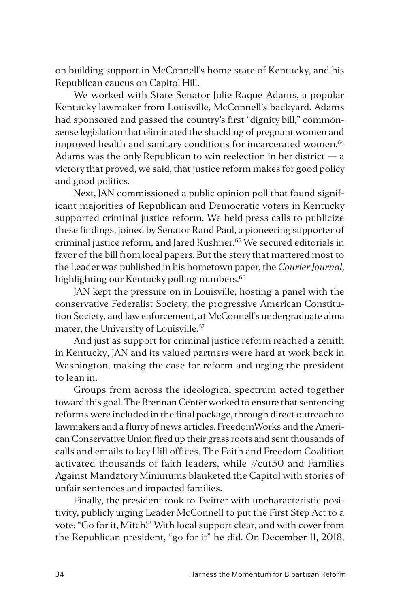on building support in McConnell's home state of Kentucky, and his Republican caucus on Capitol Hill.

We worked with State Senator Julie Raque Adams, a popular Kentucky lawmaker from Louisville, McConnell's backyard. Adams had sponsored and passed the country's first "dignity bill," commonsense legislation that eliminated the shackling of pregnant women and improved health and sanitary conditions for incarcerated women.<sup>64</sup> Adams was the only Republican to win reelection in her district — a victory that proved, we said, that justice reform makes for good policy and good politics.

Next, JAN commissioned a public opinion poll that found significant majorities of Republican and Democratic voters in Kentucky supported criminal justice reform. We held press calls to publicize these findings, joined by Senator Rand Paul, a pioneering supporter of criminal justice reform, and Jared Kushner.<sup>65</sup> We secured editorials in favor of the bill from local papers. But the story that mattered most to the Leader was published in his hometown paper, the *Courier Journal*, highlighting our Kentucky polling numbers.<sup>66</sup>

JAN kept the pressure on in Louisville, hosting a panel with the conservative Federalist Society, the progressive American Constitution Society, and law enforcement, at McConnell's undergraduate alma mater, the University of Louisville.<sup>67</sup>

And just as support for criminal justice reform reached a zenith in Kentucky, JAN and its valued partners were hard at work back in Washington, making the case for reform and urging the president to lean in.

Groups from across the ideological spectrum acted together toward this goal. The Brennan Center worked to ensure that sentencing reforms were included in the final package, through direct outreach to lawmakers and a flurry of news articles. FreedomWorks and the American Conservative Union fired up their grass roots and sent thousands of calls and emails to key Hill offices. The Faith and Freedom Coalition activated thousands of faith leaders, while #cut50 and Families Against Mandatory Minimums blanketed the Capitol with stories of unfair sentences and impacted families.

Finally, the president took to Twitter with uncharacteristic positivity, publicly urging Leader McConnell to put the First Step Act to a vote: "Go for it, Mitch!" With local support clear, and with cover from the Republican president, "go for it" he did. On December 11, 2018,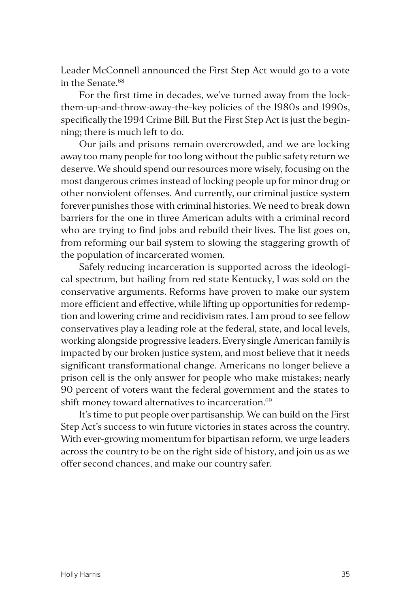Leader McConnell announced the First Step Act would go to a vote in the Senate.<sup>68</sup>

For the first time in decades, we've turned away from the lockthem-up-and-throw-away-the-key policies of the 1980s and 1990s, specifically the 1994 Crime Bill. But the First Step Act is just the beginning; there is much left to do.

Our jails and prisons remain overcrowded, and we are locking away too many people for too long without the public safety return we deserve. We should spend our resources more wisely, focusing on the most dangerous crimes instead of locking people up for minor drug or other nonviolent offenses. And currently, our criminal justice system forever punishes those with criminal histories. We need to break down barriers for the one in three American adults with a criminal record who are trying to find jobs and rebuild their lives. The list goes on, from reforming our bail system to slowing the staggering growth of the population of incarcerated women.

Safely reducing incarceration is supported across the ideological spectrum, but hailing from red state Kentucky, I was sold on the conservative arguments. Reforms have proven to make our system more efficient and effective, while lifting up opportunities for redemption and lowering crime and recidivism rates. I am proud to see fellow conservatives play a leading role at the federal, state, and local levels, working alongside progressive leaders. Every single American family is impacted by our broken justice system, and most believe that it needs significant transformational change. Americans no longer believe a prison cell is the only answer for people who make mistakes; nearly 90 percent of voters want the federal government and the states to shift money toward alternatives to incarceration.<sup>69</sup>

It's time to put people over partisanship. We can build on the First Step Act's success to win future victories in states across the country. With ever-growing momentum for bipartisan reform, we urge leaders across the country to be on the right side of history, and join us as we offer second chances, and make our country safer.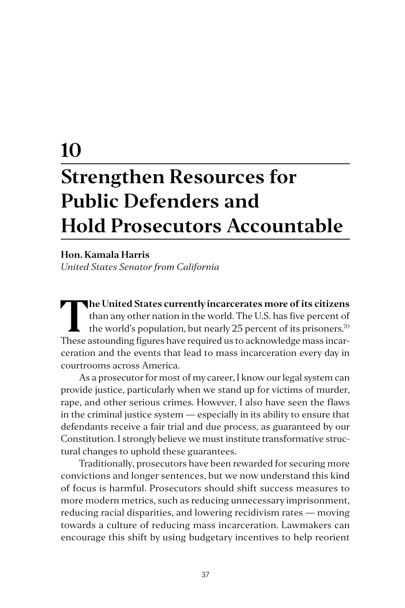# **10 Strengthen Resources for Public Defenders and Hold Prosecutors Accountable**

#### **Hon. Kamala Harris**

*United States Senator from California*

**The United States currently incarcerates more of its citizens**<br>than any other nation in the world. The U.S. has five percent of<br>the world's population, but nearly 25 percent of its prisoners.<sup>70</sup><br>These acteurating figures than any other nation in the world. The U.S. has five percent of the world's population, but nearly 25 percent of its prisoners.<sup>70</sup> These astounding figures have required us to acknowledge mass incarceration and the events that lead to mass incarceration every day in courtrooms across America.

As a prosecutor for most of my career, I know our legal system can provide justice, particularly when we stand up for victims of murder, rape, and other serious crimes. However, I also have seen the flaws in the criminal justice system — especially in its ability to ensure that defendants receive a fair trial and due process, as guaranteed by our Constitution. I strongly believe we must institute transformative structural changes to uphold these guarantees.

Traditionally, prosecutors have been rewarded for securing more convictions and longer sentences, but we now understand this kind of focus is harmful. Prosecutors should shift success measures to more modern metrics, such as reducing unnecessary imprisonment, reducing racial disparities, and lowering recidivism rates — moving towards a culture of reducing mass incarceration. Lawmakers can encourage this shift by using budgetary incentives to help reorient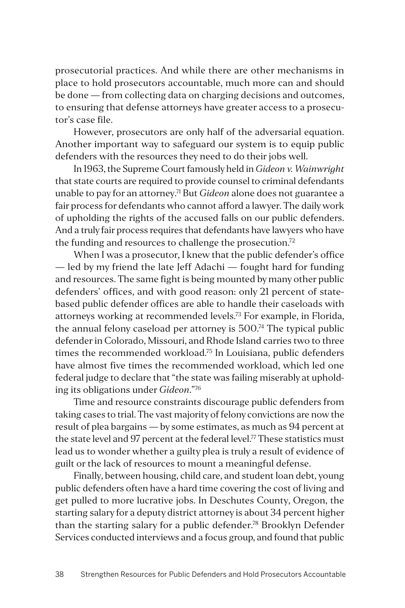prosecutorial practices. And while there are other mechanisms in place to hold prosecutors accountable, much more can and should be done — from collecting data on charging decisions and outcomes, to ensuring that defense attorneys have greater access to a prosecutor's case file.

However, prosecutors are only half of the adversarial equation. Another important way to safeguard our system is to equip public defenders with the resources they need to do their jobs well.

In 1963, the Supreme Court famously held in *Gideon v. Wainwright* that state courts are required to provide counsel to criminal defendants unable to pay for an attorney.71 But *Gideon* alone does not guarantee a fair process for defendants who cannot afford a lawyer. The daily work of upholding the rights of the accused falls on our public defenders. And a truly fair process requires that defendants have lawyers who have the funding and resources to challenge the prosecution.<sup>72</sup>

When I was a prosecutor, I knew that the public defender's office — led by my friend the late Jeff Adachi — fought hard for funding and resources. The same fight is being mounted by many other public defenders' offices, and with good reason: only 21 percent of statebased public defender offices are able to handle their caseloads with attorneys working at recommended levels.73 For example, in Florida, the annual felony caseload per attorney is  $500<sup>74</sup>$  The typical public defender in Colorado, Missouri, and Rhode Island carries two to three times the recommended workload.<sup>75</sup> In Louisiana, public defenders have almost five times the recommended workload, which led one federal judge to declare that "the state was failing miserably at upholding its obligations under *Gideon*."76

Time and resource constraints discourage public defenders from taking cases to trial. The vast majority of felony convictions are now the result of plea bargains — by some estimates, as much as 94 percent at the state level and 97 percent at the federal level.<sup>77</sup> These statistics must lead us to wonder whether a guilty plea is truly a result of evidence of guilt or the lack of resources to mount a meaningful defense.

Finally, between housing, child care, and student loan debt, young public defenders often have a hard time covering the cost of living and get pulled to more lucrative jobs. In Deschutes County, Oregon, the starting salary for a deputy district attorney is about 34 percent higher than the starting salary for a public defender.<sup>78</sup> Brooklyn Defender Services conducted interviews and a focus group, and found that public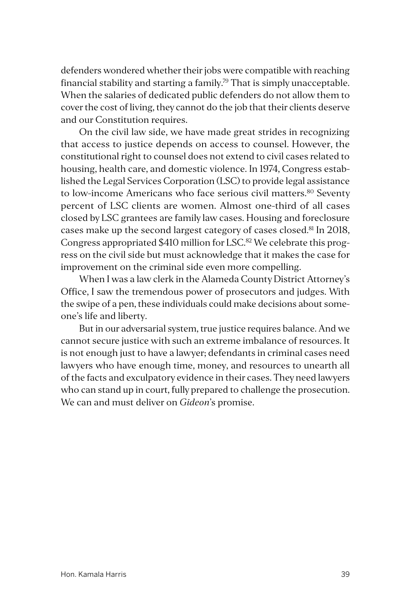defenders wondered whether their jobs were compatible with reaching financial stability and starting a family.79 That is simply unacceptable. When the salaries of dedicated public defenders do not allow them to cover the cost of living, they cannot do the job that their clients deserve and our Constitution requires.

On the civil law side, we have made great strides in recognizing that access to justice depends on access to counsel. However, the constitutional right to counsel does not extend to civil cases related to housing, health care, and domestic violence. In 1974, Congress established the Legal Services Corporation (LSC) to provide legal assistance to low-income Americans who face serious civil matters.<sup>80</sup> Seventy percent of LSC clients are women. Almost one-third of all cases closed by LSC grantees are family law cases. Housing and foreclosure cases make up the second largest category of cases closed.81 In 2018, Congress appropriated \$410 million for LSC.82 We celebrate this progress on the civil side but must acknowledge that it makes the case for improvement on the criminal side even more compelling.

When I was a law clerk in the Alameda County District Attorney's Office, I saw the tremendous power of prosecutors and judges. With the swipe of a pen, these individuals could make decisions about someone's life and liberty.

But in our adversarial system, true justice requires balance. And we cannot secure justice with such an extreme imbalance of resources. It is not enough just to have a lawyer; defendants in criminal cases need lawyers who have enough time, money, and resources to unearth all of the facts and exculpatory evidence in their cases. They need lawyers who can stand up in court, fully prepared to challenge the prosecution. We can and must deliver on *Gideon*'s promise.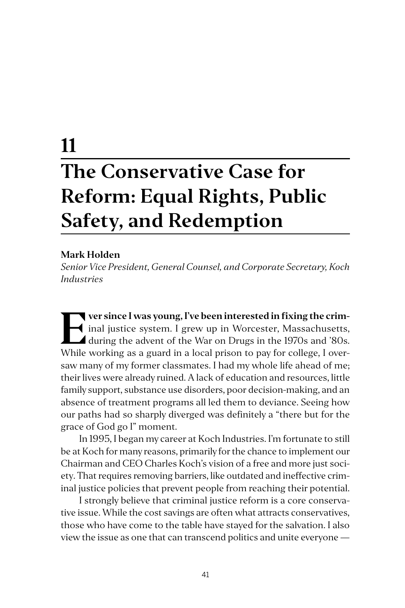# **11 The Conservative Case for Reform: Equal Rights, Public Safety, and Redemption**

#### **Mark Holden**

*Senior Vice President, General Counsel, and Corporate Secretary, Koch Industries*

**Ever since I was young, I've been interested in fixing the crim-**<br>
inal justice system. I grew up in Worcester, Massachusetts,<br>
during the advent of the War on Drugs in the 1970s and '80s.<br>
While working as a guard in a l inal justice system. I grew up in Worcester, Massachusetts, during the advent of the War on Drugs in the 1970s and '80s. While working as a guard in a local prison to pay for college, I oversaw many of my former classmates. I had my whole life ahead of me; their lives were already ruined. A lack of education and resources, little family support, substance use disorders, poor decision-making, and an absence of treatment programs all led them to deviance. Seeing how our paths had so sharply diverged was definitely a "there but for the grace of God go I" moment.

In 1995, I began my career at Koch Industries. I'm fortunate to still be at Koch for many reasons, primarily for the chance to implement our Chairman and CEO Charles Koch's vision of a free and more just society. That requires removing barriers, like outdated and ineffective criminal justice policies that prevent people from reaching their potential.

I strongly believe that criminal justice reform is a core conservative issue. While the cost savings are often what attracts conservatives, those who have come to the table have stayed for the salvation. I also view the issue as one that can transcend politics and unite everyone —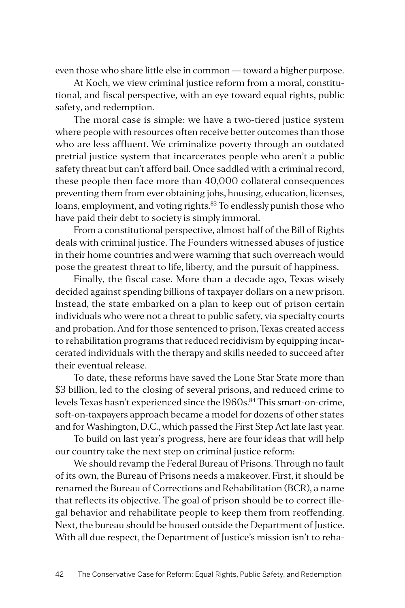even those who share little else in common — toward a higher purpose.

At Koch, we view criminal justice reform from a moral, constitutional, and fiscal perspective, with an eye toward equal rights, public safety, and redemption.

The moral case is simple: we have a two-tiered justice system where people with resources often receive better outcomes than those who are less affluent. We criminalize poverty through an outdated pretrial justice system that incarcerates people who aren't a public safety threat but can't afford bail. Once saddled with a criminal record, these people then face more than 40,000 collateral consequences preventing them from ever obtaining jobs, housing, education, licenses, loans, employment, and voting rights.<sup>83</sup> To endlessly punish those who have paid their debt to society is simply immoral.

From a constitutional perspective, almost half of the Bill of Rights deals with criminal justice. The Founders witnessed abuses of justice in their home countries and were warning that such overreach would pose the greatest threat to life, liberty, and the pursuit of happiness.

Finally, the fiscal case. More than a decade ago, Texas wisely decided against spending billions of taxpayer dollars on a new prison. Instead, the state embarked on a plan to keep out of prison certain individuals who were not a threat to public safety, via specialty courts and probation. And for those sentenced to prison, Texas created access to rehabilitation programs that reduced recidivism by equipping incarcerated individuals with the therapy and skills needed to succeed after their eventual release.

To date, these reforms have saved the Lone Star State more than \$3 billion, led to the closing of several prisons, and reduced crime to levels Texas hasn't experienced since the 1960s.<sup>84</sup> This smart-on-crime, soft-on-taxpayers approach became a model for dozens of other states and for Washington, D.C., which passed the First Step Act late last year.

To build on last year's progress, here are four ideas that will help our country take the next step on criminal justice reform:

We should revamp the Federal Bureau of Prisons. Through no fault of its own, the Bureau of Prisons needs a makeover. First, it should be renamed the Bureau of Corrections and Rehabilitation (BCR), a name that reflects its objective. The goal of prison should be to correct illegal behavior and rehabilitate people to keep them from reoffending. Next, the bureau should be housed outside the Department of Justice. With all due respect, the Department of Justice's mission isn't to reha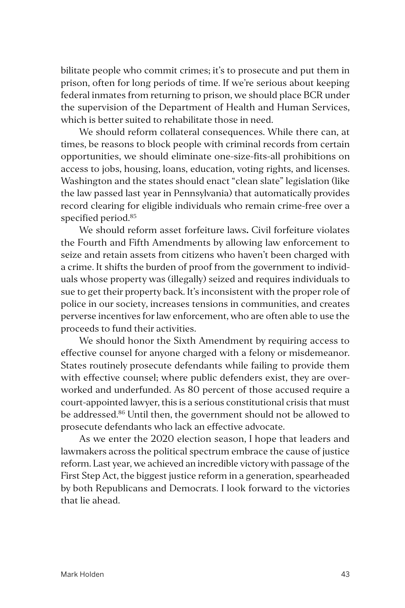bilitate people who commit crimes; it's to prosecute and put them in prison, often for long periods of time. If we're serious about keeping federal inmates from returning to prison, we should place BCR under the supervision of the Department of Health and Human Services, which is better suited to rehabilitate those in need.

We should reform collateral consequences. While there can, at times, be reasons to block people with criminal records from certain opportunities, we should eliminate one-size-fits-all prohibitions on access to jobs, housing, loans, education, voting rights, and licenses. Washington and the states should enact "clean slate" legislation (like the law passed last year in Pennsylvania) that automatically provides record clearing for eligible individuals who remain crime-free over a specified period.85

We should reform asset forfeiture laws**.** Civil forfeiture violates the Fourth and Fifth Amendments by allowing law enforcement to seize and retain assets from citizens who haven't been charged with a crime. It shifts the burden of proof from the government to individuals whose property was (illegally) seized and requires individuals to sue to get their property back. It's inconsistent with the proper role of police in our society, increases tensions in communities, and creates perverse incentives for law enforcement, who are often able to use the proceeds to fund their activities.

We should honor the Sixth Amendment by requiring access to effective counsel for anyone charged with a felony or misdemeanor. States routinely prosecute defendants while failing to provide them with effective counsel; where public defenders exist, they are overworked and underfunded. As 80 percent of those accused require a court-appointed lawyer, this is a serious constitutional crisis that must be addressed.<sup>86</sup> Until then, the government should not be allowed to prosecute defendants who lack an effective advocate.

As we enter the 2020 election season, I hope that leaders and lawmakers across the political spectrum embrace the cause of justice reform. Last year, we achieved an incredible victory with passage of the First Step Act, the biggest justice reform in a generation, spearheaded by both Republicans and Democrats. I look forward to the victories that lie ahead.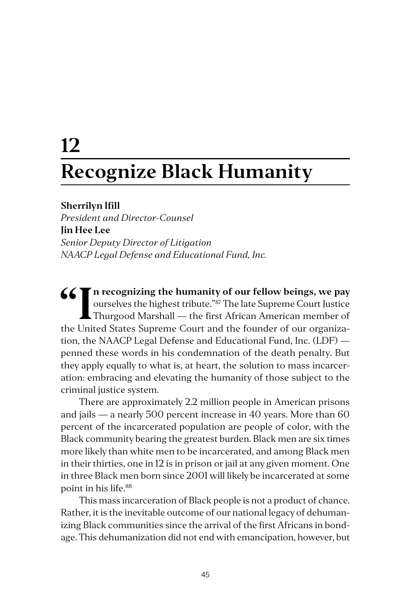# **12 Recognize Black Humanity**

#### **Sherrilyn Ifill**

*President and Director-Counsel* **Jin Hee Lee** *Senior Deputy Director of Litigation NAACP Legal Defense and Educational Fund, Inc.*

**1 Set of the mumanity of our fellow beings, we pay ourselves the highest tribute."<sup>87</sup> The late Supreme Court Justice Thurgood Marshall — the first African American member of the United States Supreme Court and the founde** ourselves the highest tribute."87 The late Supreme Court Justice Thurgood Marshall — the first African American member of the United States Supreme Court and the founder of our organization, the NAACP Legal Defense and Educational Fund, Inc. (LDF) penned these words in his condemnation of the death penalty. But they apply equally to what is, at heart, the solution to mass incarceration: embracing and elevating the humanity of those subject to the criminal justice system.

There are approximately 2.2 million people in American prisons and jails — a nearly 500 percent increase in 40 years. More than 60 percent of the incarcerated population are people of color, with the Black community bearing the greatest burden. Black men are six times more likely than white men to be incarcerated, and among Black men in their thirties, one in 12 is in prison or jail at any given moment. One in three Black men born since 2001 will likely be incarcerated at some point in his life.88

This mass incarceration of Black people is not a product of chance. Rather, it is the inevitable outcome of our national legacy of dehumanizing Black communities since the arrival of the first Africans in bondage. This dehumanization did not end with emancipation, however, but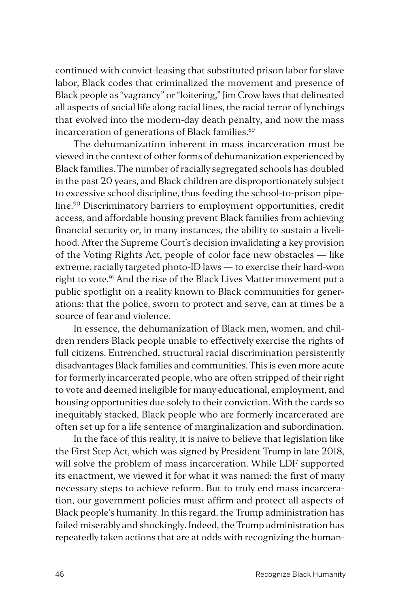continued with convict-leasing that substituted prison labor for slave labor, Black codes that criminalized the movement and presence of Black people as "vagrancy" or "loitering," Jim Crow laws that delineated all aspects of social life along racial lines, the racial terror of lynchings that evolved into the modern-day death penalty, and now the mass incarceration of generations of Black families.<sup>89</sup>

The dehumanization inherent in mass incarceration must be viewed in the context of other forms of dehumanization experienced by Black families. The number of racially segregated schools has doubled in the past 20 years, and Black children are disproportionately subject to excessive school discipline, thus feeding the school-to-prison pipeline.90 Discriminatory barriers to employment opportunities, credit access, and affordable housing prevent Black families from achieving financial security or, in many instances, the ability to sustain a livelihood. After the Supreme Court's decision invalidating a key provision of the Voting Rights Act, people of color face new obstacles — like extreme, racially targeted photo-ID laws — to exercise their hard-won right to vote.<sup>91</sup> And the rise of the Black Lives Matter movement put a public spotlight on a reality known to Black communities for generations: that the police, sworn to protect and serve, can at times be a source of fear and violence.

In essence, the dehumanization of Black men, women, and children renders Black people unable to effectively exercise the rights of full citizens. Entrenched, structural racial discrimination persistently disadvantages Black families and communities. This is even more acute for formerly incarcerated people, who are often stripped of their right to vote and deemed ineligible for many educational, employment, and housing opportunities due solely to their conviction. With the cards so inequitably stacked, Black people who are formerly incarcerated are often set up for a life sentence of marginalization and subordination.

In the face of this reality, it is naive to believe that legislation like the First Step Act, which was signed by President Trump in late 2018, will solve the problem of mass incarceration. While LDF supported its enactment, we viewed it for what it was named: the first of many necessary steps to achieve reform. But to truly end mass incarceration, our government policies must affirm and protect all aspects of Black people's humanity. In this regard, the Trump administration has failed miserably and shockingly. Indeed, the Trump administration has repeatedly taken actions that are at odds with recognizing the human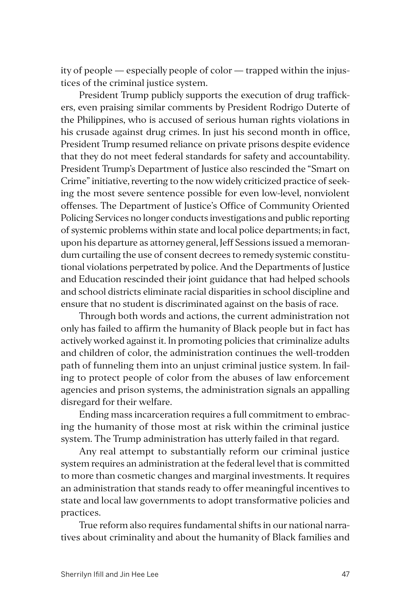ity of people — especially people of color — trapped within the injustices of the criminal justice system.

President Trump publicly supports the execution of drug traffickers, even praising similar comments by President Rodrigo Duterte of the Philippines, who is accused of serious human rights violations in his crusade against drug crimes. In just his second month in office, President Trump resumed reliance on private prisons despite evidence that they do not meet federal standards for safety and accountability. President Trump's Department of Justice also rescinded the "Smart on Crime" initiative, reverting to the now widely criticized practice of seeking the most severe sentence possible for even low-level, nonviolent offenses. The Department of Justice's Office of Community Oriented Policing Services no longer conducts investigations and public reporting of systemic problems within state and local police departments; in fact, upon his departure as attorney general, Jeff Sessions issued a memorandum curtailing the use of consent decrees to remedy systemic constitutional violations perpetrated by police. And the Departments of Justice and Education rescinded their joint guidance that had helped schools and school districts eliminate racial disparities in school discipline and ensure that no student is discriminated against on the basis of race.

Through both words and actions, the current administration not only has failed to affirm the humanity of Black people but in fact has actively worked against it. In promoting policies that criminalize adults and children of color, the administration continues the well-trodden path of funneling them into an unjust criminal justice system. In failing to protect people of color from the abuses of law enforcement agencies and prison systems, the administration signals an appalling disregard for their welfare.

Ending mass incarceration requires a full commitment to embracing the humanity of those most at risk within the criminal justice system. The Trump administration has utterly failed in that regard.

Any real attempt to substantially reform our criminal justice system requires an administration at the federal level that is committed to more than cosmetic changes and marginal investments. It requires an administration that stands ready to offer meaningful incentives to state and local law governments to adopt transformative policies and practices.

True reform also requires fundamental shifts in our national narratives about criminality and about the humanity of Black families and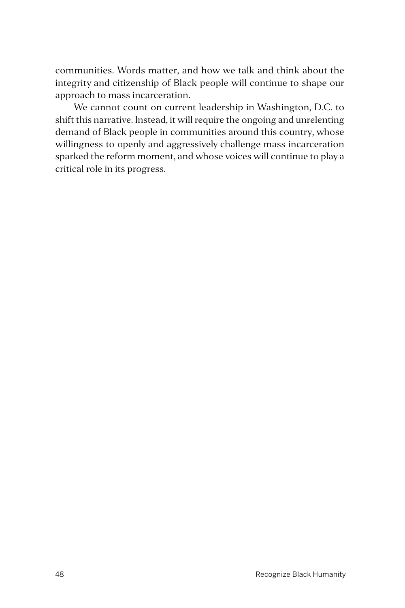communities. Words matter, and how we talk and think about the integrity and citizenship of Black people will continue to shape our approach to mass incarceration.

We cannot count on current leadership in Washington, D.C. to shift this narrative. Instead, it will require the ongoing and unrelenting demand of Black people in communities around this country, whose willingness to openly and aggressively challenge mass incarceration sparked the reform moment, and whose voices will continue to play a critical role in its progress.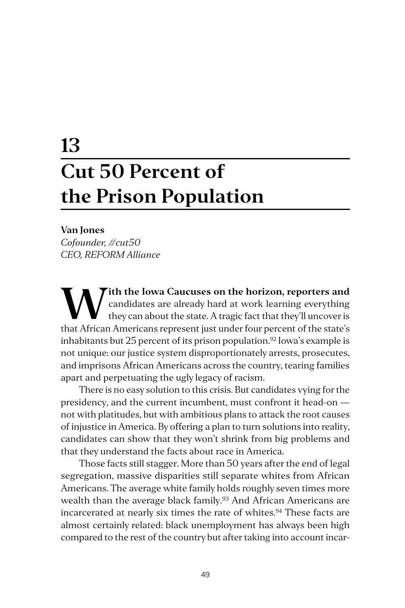# **13 Cut 50 Percent of the Prison Population**

#### **Van Jones**

*Cofounder, #cut50 CEO, REFORM Alliance*

**W** ith the Iowa Caucuses on the horizon, reporters and candidates are already hard at work learning everything they can about the state. A tragic fact that they'll uncover is that A frigan Americans represent just under f candidates are already hard at work learning everything they can about the state. A tragic fact that they'll uncover is that African Americans represent just under four percent of the state's inhabitants but  $25$  percent of its prison population.<sup>92</sup> Iowa's example is not unique: our justice system disproportionately arrests, prosecutes, and imprisons African Americans across the country, tearing families apart and perpetuating the ugly legacy of racism.

There is no easy solution to this crisis. But candidates vying for the presidency, and the current incumbent, must confront it head-on not with platitudes, but with ambitious plans to attack the root causes of injustice in America. By offering a plan to turn solutions into reality, candidates can show that they won't shrink from big problems and that they understand the facts about race in America.

Those facts still stagger. More than 50 years after the end of legal segregation, massive disparities still separate whites from African Americans. The average white family holds roughly seven times more wealth than the average black family.<sup>93</sup> And African Americans are incarcerated at nearly six times the rate of whites.<sup>94</sup> These facts are almost certainly related: black unemployment has always been high compared to the rest of the country but after taking into account incar-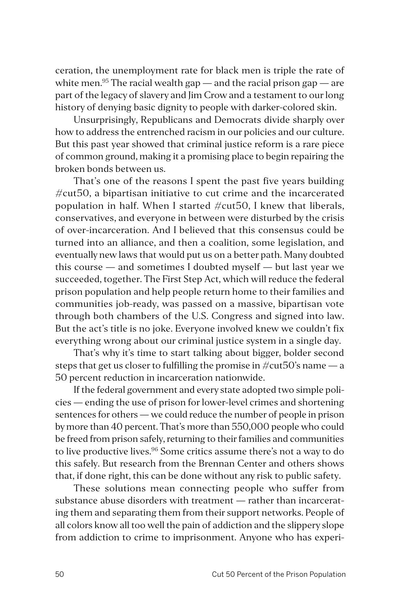ceration, the unemployment rate for black men is triple the rate of white men.<sup>95</sup> The racial wealth gap  $-$  and the racial prison gap  $-$  are part of the legacy of slavery and Jim Crow and a testament to our long history of denying basic dignity to people with darker-colored skin.

Unsurprisingly, Republicans and Democrats divide sharply over how to address the entrenched racism in our policies and our culture. But this past year showed that criminal justice reform is a rare piece of common ground, making it a promising place to begin repairing the broken bonds between us.

That's one of the reasons I spent the past five years building  $\#$ cut $50$ , a bipartisan initiative to cut crime and the incarcerated population in half. When I started  $\#cut50$ , I knew that liberals, conservatives, and everyone in between were disturbed by the crisis of over-incarceration. And I believed that this consensus could be turned into an alliance, and then a coalition, some legislation, and eventually new laws that would put us on a better path. Many doubted this course — and sometimes I doubted myself — but last year we succeeded, together. The First Step Act, which will reduce the federal prison population and help people return home to their families and communities job-ready, was passed on a massive, bipartisan vote through both chambers of the U.S. Congress and signed into law. But the act's title is no joke. Everyone involved knew we couldn't fix everything wrong about our criminal justice system in a single day.

That's why it's time to start talking about bigger, bolder second steps that get us closer to fulfilling the promise in  $\#cut 50$ 's name — a 50 percent reduction in incarceration nationwide.

If the federal government and every state adopted two simple policies — ending the use of prison for lower-level crimes and shortening sentences for others — we could reduce the number of people in prison by more than 40 percent. That's more than 550,000 people who could be freed from prison safely, returning to their families and communities to live productive lives.<sup>96</sup> Some critics assume there's not a way to do this safely. But research from the Brennan Center and others shows that, if done right, this can be done without any risk to public safety.

These solutions mean connecting people who suffer from substance abuse disorders with treatment — rather than incarcerating them and separating them from their support networks. People of all colors know all too well the pain of addiction and the slippery slope from addiction to crime to imprisonment. Anyone who has experi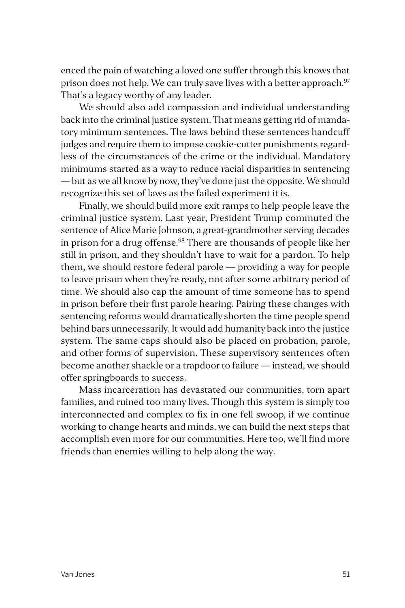enced the pain of watching a loved one suffer through this knows that prison does not help. We can truly save lives with a better approach.<sup>97</sup> That's a legacy worthy of any leader.

We should also add compassion and individual understanding back into the criminal justice system. That means getting rid of mandatory minimum sentences. The laws behind these sentences handcuff judges and require them to impose cookie-cutter punishments regardless of the circumstances of the crime or the individual. Mandatory minimums started as a way to reduce racial disparities in sentencing — but as we all know by now, they've done just the opposite. We should recognize this set of laws as the failed experiment it is.

Finally, we should build more exit ramps to help people leave the criminal justice system. Last year, President Trump commuted the sentence of Alice Marie Johnson, a great-grandmother serving decades in prison for a drug offense.<sup>98</sup> There are thousands of people like her still in prison, and they shouldn't have to wait for a pardon. To help them, we should restore federal parole — providing a way for people to leave prison when they're ready, not after some arbitrary period of time. We should also cap the amount of time someone has to spend in prison before their first parole hearing. Pairing these changes with sentencing reforms would dramatically shorten the time people spend behind bars unnecessarily. It would add humanity back into the justice system. The same caps should also be placed on probation, parole, and other forms of supervision. These supervisory sentences often become another shackle or a trapdoor to failure — instead, we should offer springboards to success.

Mass incarceration has devastated our communities, torn apart families, and ruined too many lives. Though this system is simply too interconnected and complex to fix in one fell swoop, if we continue working to change hearts and minds, we can build the next steps that accomplish even more for our communities. Here too, we'll find more friends than enemies willing to help along the way.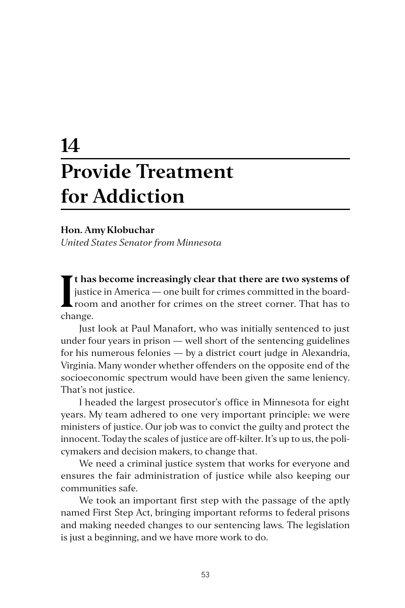# **14 Provide Treatment for Addiction**

#### **Hon. Amy Klobuchar**

*United States Senator from Minnesota*

I<sup>t has</sup><br>
justic<br>
room<br>
change. **t has become increasingly clear that there are two systems of**  justice in America — one built for crimes committed in the boardroom and another for crimes on the street corner. That has to

Just look at Paul Manafort, who was initially sentenced to just under four years in prison — well short of the sentencing guidelines for his numerous felonies — by a district court judge in Alexandria, Virginia. Many wonder whether offenders on the opposite end of the socioeconomic spectrum would have been given the same leniency. That's not justice.

I headed the largest prosecutor's office in Minnesota for eight years. My team adhered to one very important principle: we were ministers of justice. Our job was to convict the guilty and protect the innocent. Today the scales of justice are off-kilter. It's up to us, the policymakers and decision makers, to change that.

We need a criminal justice system that works for everyone and ensures the fair administration of justice while also keeping our communities safe.

We took an important first step with the passage of the aptly named First Step Act, bringing important reforms to federal prisons and making needed changes to our sentencing laws*.* The legislation is just a beginning, and we have more work to do.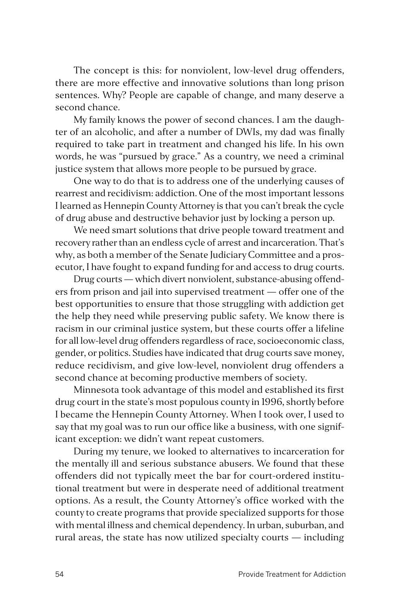The concept is this: for nonviolent, low-level drug offenders, there are more effective and innovative solutions than long prison sentences. Why? People are capable of change, and many deserve a second chance.

My family knows the power of second chances. I am the daughter of an alcoholic, and after a number of DWIs, my dad was finally required to take part in treatment and changed his life. In his own words, he was "pursued by grace." As a country, we need a criminal justice system that allows more people to be pursued by grace.

One way to do that is to address one of the underlying causes of rearrest and recidivism: addiction. One of the most important lessons I learned as Hennepin County Attorney is that you can't break the cycle of drug abuse and destructive behavior just by locking a person up.

We need smart solutions that drive people toward treatment and recovery rather than an endless cycle of arrest and incarceration. That's why, as both a member of the Senate Judiciary Committee and a prosecutor, I have fought to expand funding for and access to drug courts.

Drug courts — which divert nonviolent, substance-abusing offenders from prison and jail into supervised treatment — offer one of the best opportunities to ensure that those struggling with addiction get the help they need while preserving public safety. We know there is racism in our criminal justice system, but these courts offer a lifeline for all low-level drug offenders regardless of race, socioeconomic class, gender, or politics. Studies have indicated that drug courts save money, reduce recidivism, and give low-level, nonviolent drug offenders a second chance at becoming productive members of society.

Minnesota took advantage of this model and established its first drug court in the state's most populous county in 1996, shortly before I became the Hennepin County Attorney. When I took over, I used to say that my goal was to run our office like a business, with one significant exception: we didn't want repeat customers.

During my tenure, we looked to alternatives to incarceration for the mentally ill and serious substance abusers. We found that these offenders did not typically meet the bar for court-ordered institutional treatment but were in desperate need of additional treatment options. As a result, the County Attorney's office worked with the county to create programs that provide specialized supports for those with mental illness and chemical dependency. In urban, suburban, and rural areas, the state has now utilized specialty courts — including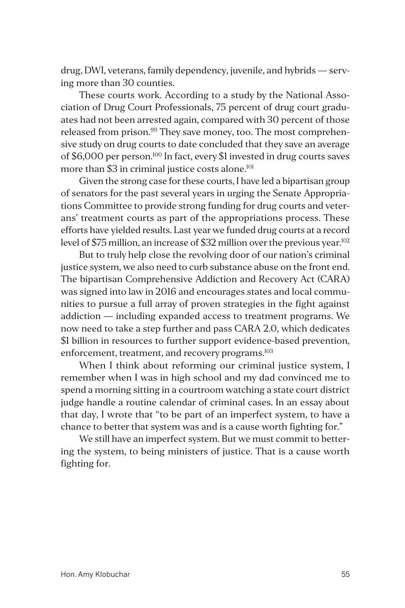drug, DWI, veterans, family dependency, juvenile, and hybrids — serving more than 30 counties.

These courts work. According to a study by the National Association of Drug Court Professionals, 75 percent of drug court graduates had not been arrested again, compared with 30 percent of those released from prison.<sup>99</sup> They save money, too. The most comprehensive study on drug courts to date concluded that they save an average of \$6,000 per person.100 In fact, every \$1 invested in drug courts saves more than \$3 in criminal justice costs alone.<sup>101</sup>

Given the strong case for these courts, I have led a bipartisan group of senators for the past several years in urging the Senate Appropriations Committee to provide strong funding for drug courts and veterans' treatment courts as part of the appropriations process. These efforts have yielded results. Last year we funded drug courts at a record level of \$75 million, an increase of \$32 million over the previous year.<sup>102</sup>

But to truly help close the revolving door of our nation's criminal justice system, we also need to curb substance abuse on the front end. The bipartisan Comprehensive Addiction and Recovery Act (CARA) was signed into law in 2016 and encourages states and local communities to pursue a full array of proven strategies in the fight against addiction — including expanded access to treatment programs. We now need to take a step further and pass CARA 2.0, which dedicates \$1 billion in resources to further support evidence-based prevention, enforcement, treatment, and recovery programs.<sup>103</sup>

When I think about reforming our criminal justice system, I remember when I was in high school and my dad convinced me to spend a morning sitting in a courtroom watching a state court district judge handle a routine calendar of criminal cases. In an essay about that day, I wrote that "to be part of an imperfect system, to have a chance to better that system was and is a cause worth fighting for."

We still have an imperfect system. But we must commit to bettering the system, to being ministers of justice. That is a cause worth fighting for.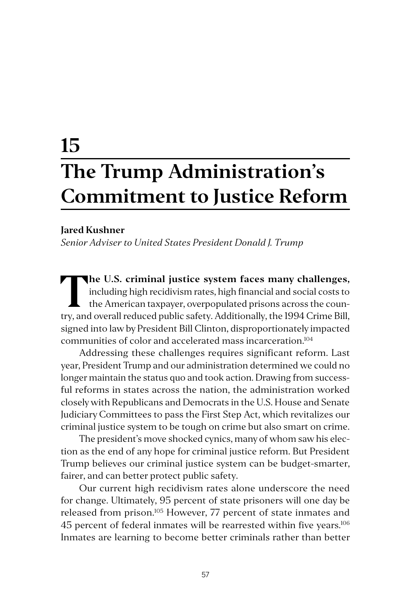# **15 The Trump Administration's Commitment to Justice Reform**

#### **Jared Kushner**

*Senior Adviser to United States President Donald J. Trump*

**The U.S. criminal justice system faces many challenges,**<br>including high recidivism rates, high financial and social costs to<br>the American taxpayer, overpopulated prisons across the coun-<br>try and systemly reduced public so including high recidivism rates, high financial and social costs to the American taxpayer, overpopulated prisons across the country, and overall reduced public safety. Additionally, the 1994 Crime Bill, signed into law by President Bill Clinton, disproportionately impacted communities of color and accelerated mass incarceration.104

Addressing these challenges requires significant reform. Last year, President Trump and our administration determined we could no longer maintain the status quo and took action. Drawing from successful reforms in states across the nation, the administration worked closely with Republicans and Democrats in the U.S. House and Senate Judiciary Committees to pass the First Step Act, which revitalizes our criminal justice system to be tough on crime but also smart on crime.

The president's move shocked cynics, many of whom saw his election as the end of any hope for criminal justice reform. But President Trump believes our criminal justice system can be budget-smarter, fairer, and can better protect public safety.

Our current high recidivism rates alone underscore the need for change. Ultimately, 95 percent of state prisoners will one day be released from prison.105 However, 77 percent of state inmates and 45 percent of federal inmates will be rearrested within five years.<sup>106</sup> Inmates are learning to become better criminals rather than better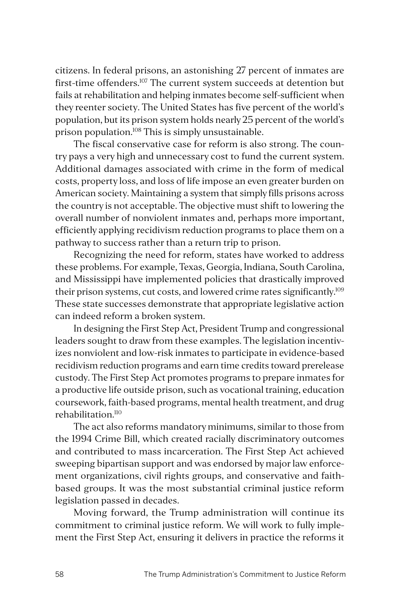citizens. In federal prisons, an astonishing 27 percent of inmates are first-time offenders.<sup>107</sup> The current system succeeds at detention but fails at rehabilitation and helping inmates become self-sufficient when they reenter society. The United States has five percent of the world's population, but its prison system holds nearly 25 percent of the world's prison population.<sup>108</sup> This is simply unsustainable.

The fiscal conservative case for reform is also strong. The country pays a very high and unnecessary cost to fund the current system. Additional damages associated with crime in the form of medical costs, property loss, and loss of life impose an even greater burden on American society. Maintaining a system that simply fills prisons across the country is not acceptable. The objective must shift to lowering the overall number of nonviolent inmates and, perhaps more important, efficiently applying recidivism reduction programs to place them on a pathway to success rather than a return trip to prison.

Recognizing the need for reform, states have worked to address these problems. For example, Texas, Georgia, Indiana, South Carolina, and Mississippi have implemented policies that drastically improved their prison systems, cut costs, and lowered crime rates significantly.<sup>109</sup> These state successes demonstrate that appropriate legislative action can indeed reform a broken system.

In designing the First Step Act, President Trump and congressional leaders sought to draw from these examples. The legislation incentivizes nonviolent and low-risk inmates to participate in evidence-based recidivism reduction programs and earn time credits toward prerelease custody. The First Step Act promotes programs to prepare inmates for a productive life outside prison, such as vocational training, education coursework, faith-based programs, mental health treatment, and drug rehabilitation.110

The act also reforms mandatory minimums, similar to those from the 1994 Crime Bill, which created racially discriminatory outcomes and contributed to mass incarceration. The First Step Act achieved sweeping bipartisan support and was endorsed by major law enforcement organizations, civil rights groups, and conservative and faithbased groups. It was the most substantial criminal justice reform legislation passed in decades.

Moving forward, the Trump administration will continue its commitment to criminal justice reform. We will work to fully implement the First Step Act, ensuring it delivers in practice the reforms it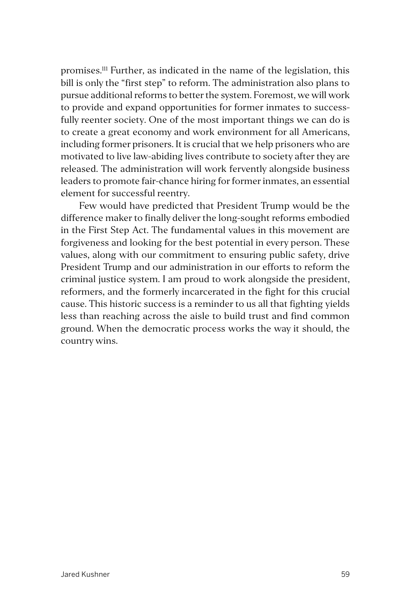promises.111 Further, as indicated in the name of the legislation, this bill is only the "first step" to reform. The administration also plans to pursue additional reforms to better the system. Foremost, we will work to provide and expand opportunities for former inmates to successfully reenter society. One of the most important things we can do is to create a great economy and work environment for all Americans, including former prisoners. It is crucial that we help prisoners who are motivated to live law-abiding lives contribute to society after they are released. The administration will work fervently alongside business leaders to promote fair-chance hiring for former inmates, an essential element for successful reentry.

Few would have predicted that President Trump would be the difference maker to finally deliver the long-sought reforms embodied in the First Step Act. The fundamental values in this movement are forgiveness and looking for the best potential in every person. These values, along with our commitment to ensuring public safety, drive President Trump and our administration in our efforts to reform the criminal justice system. I am proud to work alongside the president, reformers, and the formerly incarcerated in the fight for this crucial cause. This historic success is a reminder to us all that fighting yields less than reaching across the aisle to build trust and find common ground. When the democratic process works the way it should, the country wins.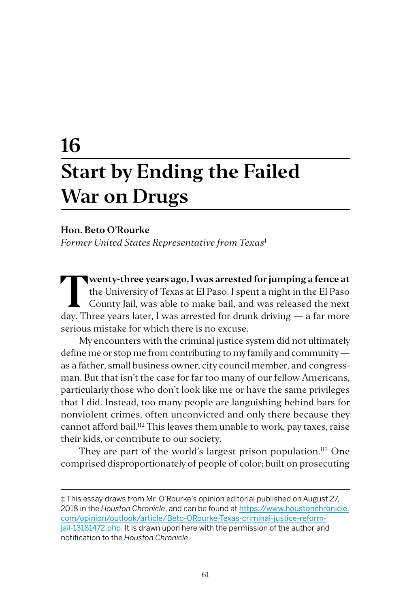# **16 Start by Ending the Failed War on Drugs**

#### **Hon. Beto O'Rourke**

*Former United States Representative from Texas*‡

**Twenty-three years ago, I was arrested for jumping a fence at**<br>the University of Texas at El Paso. I spent a night in the El Paso<br>County Jail, was able to make bail, and was released the next<br>day. Three years later. I was the University of Texas at El Paso. I spent a night in the El Paso County Jail, was able to make bail, and was released the next day. Three years later, I was arrested for drunk driving — a far more serious mistake for which there is no excuse.

My encounters with the criminal justice system did not ultimately define me or stop me from contributing to my family and community as a father, small business owner, city council member, and congressman. But that isn't the case for far too many of our fellow Americans, particularly those who don't look like me or have the same privileges that I did. Instead, too many people are languishing behind bars for nonviolent crimes, often unconvicted and only there because they cannot afford bail.<sup>112</sup> This leaves them unable to work, pay taxes, raise their kids, or contribute to our society.

They are part of the world's largest prison population.<sup>113</sup> One comprised disproportionately of people of color; built on prosecuting

<sup>‡</sup> This essay draws from Mr. O'Rourke's opinion editorial published on August 27, 2018 in the *Houston Chronicle*, and can be found at [https://www.houstonchronicle.](https://www.houstonchronicle.com/opinion/outlook/article/Beto-ORourke-Texas-criminal-justice-reform-jail-13181472.php) [com/opinion/outlook/article/Beto-ORourke-Texas-criminal-justice-reform](https://www.houstonchronicle.com/opinion/outlook/article/Beto-ORourke-Texas-criminal-justice-reform-jail-13181472.php)[jail-13181472.php](https://www.houstonchronicle.com/opinion/outlook/article/Beto-ORourke-Texas-criminal-justice-reform-jail-13181472.php). It is drawn upon here with the permission of the author and notification to the *Houston Chronicle*.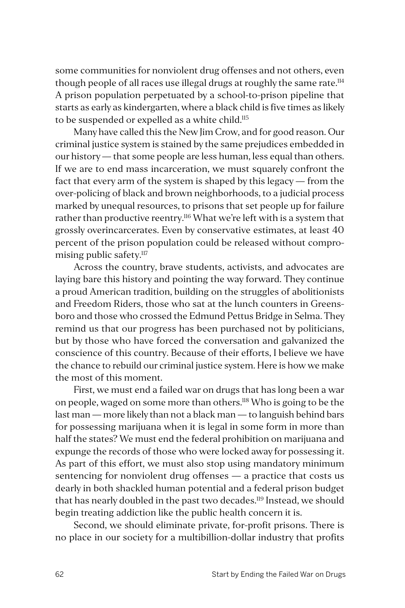some communities for nonviolent drug offenses and not others, even though people of all races use illegal drugs at roughly the same rate.<sup>114</sup> A prison population perpetuated by a school-to-prison pipeline that starts as early as kindergarten, where a black child is five times as likely to be suspended or expelled as a white child.<sup>115</sup>

Many have called this the New Jim Crow, and for good reason. Our criminal justice system is stained by the same prejudices embedded in our history — that some people are less human, less equal than others. If we are to end mass incarceration, we must squarely confront the fact that every arm of the system is shaped by this legacy — from the over-policing of black and brown neighborhoods, to a judicial process marked by unequal resources, to prisons that set people up for failure rather than productive reentry.<sup>116</sup> What we're left with is a system that grossly overincarcerates. Even by conservative estimates, at least 40 percent of the prison population could be released without compromising public safety.<sup>117</sup>

Across the country, brave students, activists, and advocates are laying bare this history and pointing the way forward. They continue a proud American tradition, building on the struggles of abolitionists and Freedom Riders, those who sat at the lunch counters in Greensboro and those who crossed the Edmund Pettus Bridge in Selma. They remind us that our progress has been purchased not by politicians, but by those who have forced the conversation and galvanized the conscience of this country. Because of their efforts, I believe we have the chance to rebuild our criminal justice system. Here is how we make the most of this moment.

First, we must end a failed war on drugs that has long been a war on people, waged on some more than others.118 Who is going to be the last man — more likely than not a black man — to languish behind bars for possessing marijuana when it is legal in some form in more than half the states? We must end the federal prohibition on marijuana and expunge the records of those who were locked away for possessing it. As part of this effort, we must also stop using mandatory minimum sentencing for nonviolent drug offenses — a practice that costs us dearly in both shackled human potential and a federal prison budget that has nearly doubled in the past two decades.<sup>119</sup> Instead, we should begin treating addiction like the public health concern it is.

Second, we should eliminate private, for-profit prisons. There is no place in our society for a multibillion-dollar industry that profits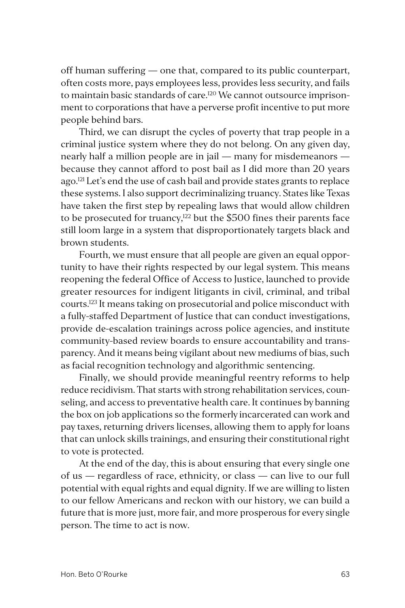off human suffering — one that, compared to its public counterpart, often costs more, pays employees less, provides less security, and fails to maintain basic standards of care.<sup>120</sup> We cannot outsource imprisonment to corporations that have a perverse profit incentive to put more people behind bars.

Third, we can disrupt the cycles of poverty that trap people in a criminal justice system where they do not belong. On any given day, nearly half a million people are in jail — many for misdemeanors because they cannot afford to post bail as I did more than 20 years ago.<sup>121</sup> Let's end the use of cash bail and provide states grants to replace these systems. I also support decriminalizing truancy. States like Texas have taken the first step by repealing laws that would allow children to be prosecuted for truancy, $122$  but the \$500 fines their parents face still loom large in a system that disproportionately targets black and brown students.

Fourth, we must ensure that all people are given an equal opportunity to have their rights respected by our legal system. This means reopening the federal Office of Access to Justice, launched to provide greater resources for indigent litigants in civil, criminal, and tribal courts.123 It means taking on prosecutorial and police misconduct with a fully-staffed Department of Justice that can conduct investigations, provide de-escalation trainings across police agencies, and institute community-based review boards to ensure accountability and transparency. And it means being vigilant about new mediums of bias, such as facial recognition technology and algorithmic sentencing.

Finally, we should provide meaningful reentry reforms to help reduce recidivism. That starts with strong rehabilitation services, counseling, and access to preventative health care. It continues by banning the box on job applications so the formerly incarcerated can work and pay taxes, returning drivers licenses, allowing them to apply for loans that can unlock skills trainings, and ensuring their constitutional right to vote is protected.

At the end of the day, this is about ensuring that every single one of us — regardless of race, ethnicity, or class — can live to our full potential with equal rights and equal dignity. If we are willing to listen to our fellow Americans and reckon with our history, we can build a future that is more just, more fair, and more prosperous for every single person. The time to act is now.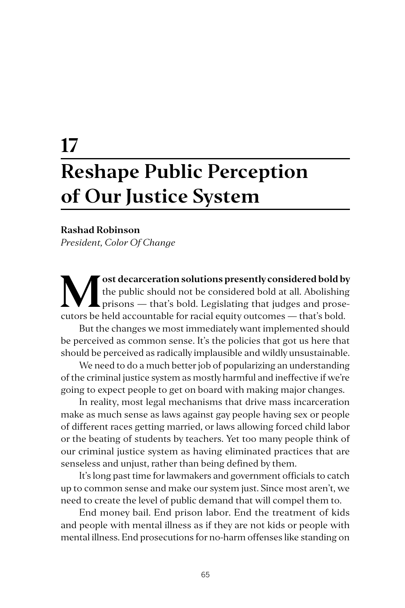# **17 Reshape Public Perception of Our Justice System**

#### **Rashad Robinson**

*President, Color Of Change*

**M** ost decarceration solutions presently considered bold by the public should not be considered bold at all. Abolishing prisons — that's bold. Legislating that judges and prose-<br>
sutors be hold accountable for mainlaguity the public should not be considered bold at all. Abolishing cutors be held accountable for racial equity outcomes — that's bold.

But the changes we most immediately want implemented should be perceived as common sense. It's the policies that got us here that should be perceived as radically implausible and wildly unsustainable.

We need to do a much better job of popularizing an understanding of the criminal justice system as mostly harmful and ineffective if we're going to expect people to get on board with making major changes.

In reality, most legal mechanisms that drive mass incarceration make as much sense as laws against gay people having sex or people of different races getting married, or laws allowing forced child labor or the beating of students by teachers. Yet too many people think of our criminal justice system as having eliminated practices that are senseless and unjust, rather than being defined by them.

It's long past time for lawmakers and government officials to catch up to common sense and make our system just. Since most aren't, we need to create the level of public demand that will compel them to.

End money bail. End prison labor. End the treatment of kids and people with mental illness as if they are not kids or people with mental illness. End prosecutions for no-harm offenses like standing on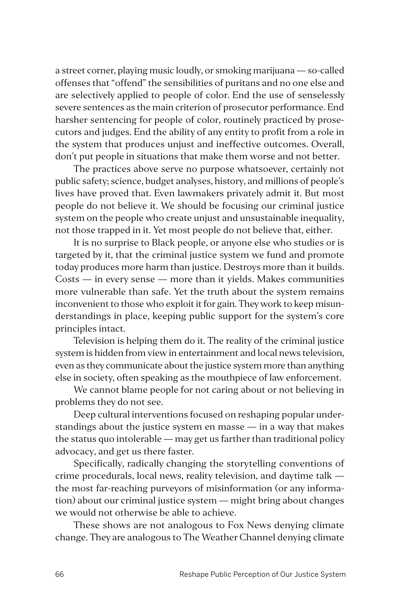a street corner, playing music loudly, or smoking marijuana — so-called offenses that "offend" the sensibilities of puritans and no one else and are selectively applied to people of color. End the use of senselessly severe sentences as the main criterion of prosecutor performance. End harsher sentencing for people of color, routinely practiced by prosecutors and judges. End the ability of any entity to profit from a role in the system that produces unjust and ineffective outcomes. Overall, don't put people in situations that make them worse and not better.

The practices above serve no purpose whatsoever, certainly not public safety; science, budget analyses, history, and millions of people's lives have proved that. Even lawmakers privately admit it. But most people do not believe it. We should be focusing our criminal justice system on the people who create unjust and unsustainable inequality, not those trapped in it. Yet most people do not believe that, either.

It is no surprise to Black people, or anyone else who studies or is targeted by it, that the criminal justice system we fund and promote today produces more harm than justice. Destroys more than it builds. Costs — in every sense — more than it yields. Makes communities more vulnerable than safe. Yet the truth about the system remains inconvenient to those who exploit it for gain. They work to keep misunderstandings in place, keeping public support for the system's core principles intact.

Television is helping them do it. The reality of the criminal justice system is hidden from view in entertainment and local news television, even as they communicate about the justice system more than anything else in society, often speaking as the mouthpiece of law enforcement.

We cannot blame people for not caring about or not believing in problems they do not see.

Deep cultural interventions focused on reshaping popular understandings about the justice system en masse — in a way that makes the status quo intolerable — may get us farther than traditional policy advocacy, and get us there faster.

Specifically, radically changing the storytelling conventions of crime procedurals, local news, reality television, and daytime talk the most far-reaching purveyors of misinformation (or any information) about our criminal justice system — might bring about changes we would not otherwise be able to achieve.

These shows are not analogous to Fox News denying climate change. They are analogous to The Weather Channel denying climate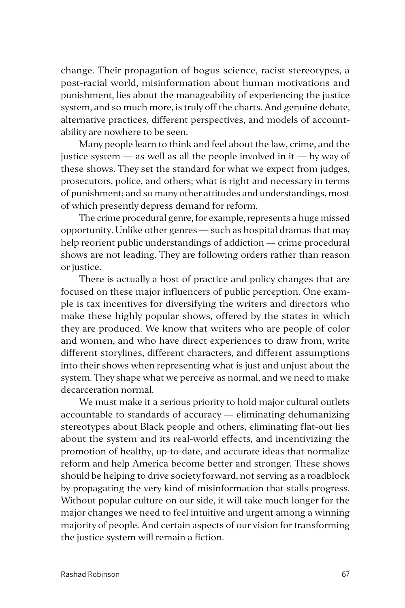change. Their propagation of bogus science, racist stereotypes, a post-racial world, misinformation about human motivations and punishment, lies about the manageability of experiencing the justice system, and so much more, is truly off the charts. And genuine debate, alternative practices, different perspectives, and models of accountability are nowhere to be seen.

Many people learn to think and feel about the law, crime, and the justice system  $-$  as well as all the people involved in it  $-$  by way of these shows. They set the standard for what we expect from judges, prosecutors, police, and others; what is right and necessary in terms of punishment; and so many other attitudes and understandings, most of which presently depress demand for reform.

The crime procedural genre, for example, represents a huge missed opportunity. Unlike other genres — such as hospital dramas that may help reorient public understandings of addiction — crime procedural shows are not leading. They are following orders rather than reason or justice.

There is actually a host of practice and policy changes that are focused on these major influencers of public perception. One example is tax incentives for diversifying the writers and directors who make these highly popular shows, offered by the states in which they are produced. We know that writers who are people of color and women, and who have direct experiences to draw from, write different storylines, different characters, and different assumptions into their shows when representing what is just and unjust about the system. They shape what we perceive as normal, and we need to make decarceration normal.

We must make it a serious priority to hold major cultural outlets accountable to standards of accuracy — eliminating dehumanizing stereotypes about Black people and others, eliminating flat-out lies about the system and its real-world effects, and incentivizing the promotion of healthy, up-to-date, and accurate ideas that normalize reform and help America become better and stronger. These shows should be helping to drive society forward, not serving as a roadblock by propagating the very kind of misinformation that stalls progress. Without popular culture on our side, it will take much longer for the major changes we need to feel intuitive and urgent among a winning majority of people. And certain aspects of our vision for transforming the justice system will remain a fiction.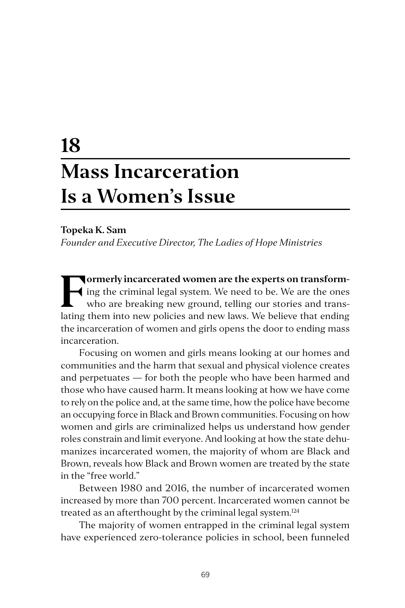## **18 Mass Incarceration Is a Women's Issue**

#### **Topeka K. Sam**

*Founder and Executive Director, The Ladies of Hope Ministries*

**Formerly incarcerated women are the experts on transform-<br>ing the criminal legal system. We need to be. We are the ones<br>who are breaking new ground, telling our stories and trans-<br>lating them into new policies and new law** ing the criminal legal system. We need to be. We are the ones who are breaking new ground, telling our stories and translating them into new policies and new laws. We believe that ending the incarceration of women and girls opens the door to ending mass incarceration.

Focusing on women and girls means looking at our homes and communities and the harm that sexual and physical violence creates and perpetuates — for both the people who have been harmed and those who have caused harm. It means looking at how we have come to rely on the police and, at the same time, how the police have become an occupying force in Black and Brown communities. Focusing on how women and girls are criminalized helps us understand how gender roles constrain and limit everyone. And looking at how the state dehumanizes incarcerated women, the majority of whom are Black and Brown, reveals how Black and Brown women are treated by the state in the "free world."

Between 1980 and 2016, the number of incarcerated women increased by more than 700 percent. Incarcerated women cannot be treated as an afterthought by the criminal legal system.<sup>124</sup>

The majority of women entrapped in the criminal legal system have experienced zero-tolerance policies in school, been funneled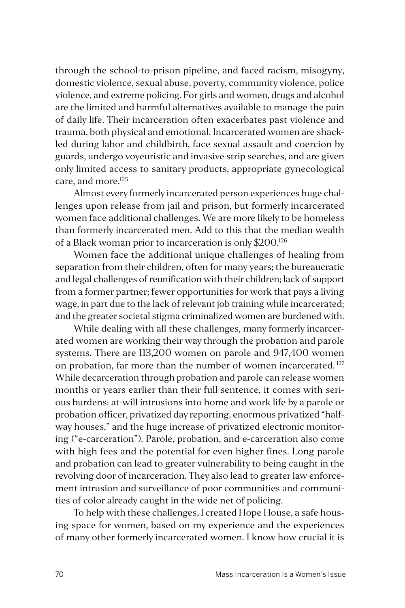through the school-to-prison pipeline, and faced racism, misogyny, domestic violence, sexual abuse, poverty, community violence, police violence, and extreme policing. For girls and women, drugs and alcohol are the limited and harmful alternatives available to manage the pain of daily life. Their incarceration often exacerbates past violence and trauma, both physical and emotional. Incarcerated women are shackled during labor and childbirth, face sexual assault and coercion by guards, undergo voyeuristic and invasive strip searches, and are given only limited access to sanitary products, appropriate gynecological care, and more.125

Almost every formerly incarcerated person experiences huge challenges upon release from jail and prison, but formerly incarcerated women face additional challenges. We are more likely to be homeless than formerly incarcerated men. Add to this that the median wealth of a Black woman prior to incarceration is only \$200.126

Women face the additional unique challenges of healing from separation from their children, often for many years; the bureaucratic and legal challenges of reunification with their children; lack of support from a former partner; fewer opportunities for work that pays a living wage, in part due to the lack of relevant job training while incarcerated; and the greater societal stigma criminalized women are burdened with.

While dealing with all these challenges, many formerly incarcerated women are working their way through the probation and parole systems. There are 113,200 women on parole and 947,400 women on probation, far more than the number of women incarcerated.<sup>127</sup> While decarceration through probation and parole can release women months or years earlier than their full sentence, it comes with serious burdens: at-will intrusions into home and work life by a parole or probation officer, privatized day reporting, enormous privatized "halfway houses," and the huge increase of privatized electronic monitoring ("e-carceration"). Parole, probation, and e-carceration also come with high fees and the potential for even higher fines. Long parole and probation can lead to greater vulnerability to being caught in the revolving door of incarceration. They also lead to greater law enforcement intrusion and surveillance of poor communities and communities of color already caught in the wide net of policing.

To help with these challenges, I created Hope House, a safe housing space for women, based on my experience and the experiences of many other formerly incarcerated women. I know how crucial it is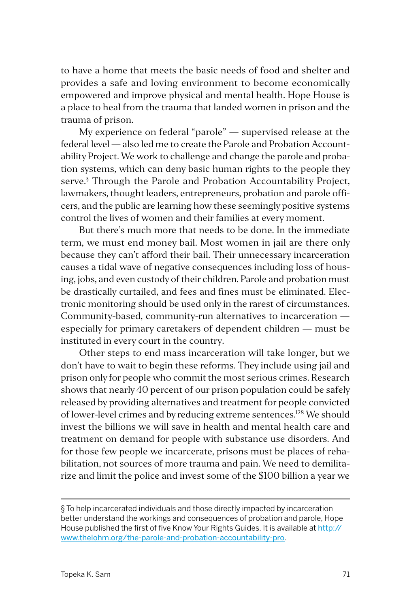to have a home that meets the basic needs of food and shelter and provides a safe and loving environment to become economically empowered and improve physical and mental health. Hope House is a place to heal from the trauma that landed women in prison and the trauma of prison.

My experience on federal "parole" — supervised release at the federal level — also led me to create the Parole and Probation Accountability Project. We work to challenge and change the parole and probation systems, which can deny basic human rights to the people they serve.§ Through the Parole and Probation Accountability Project, lawmakers, thought leaders, entrepreneurs, probation and parole officers, and the public are learning how these seemingly positive systems control the lives of women and their families at every moment.

But there's much more that needs to be done. In the immediate term, we must end money bail. Most women in jail are there only because they can't afford their bail. Their unnecessary incarceration causes a tidal wave of negative consequences including loss of housing, jobs, and even custody of their children. Parole and probation must be drastically curtailed, and fees and fines must be eliminated. Electronic monitoring should be used only in the rarest of circumstances. Community-based, community-run alternatives to incarceration especially for primary caretakers of dependent children — must be instituted in every court in the country.

Other steps to end mass incarceration will take longer, but we don't have to wait to begin these reforms. They include using jail and prison only for people who commit the most serious crimes. Research shows that nearly 40 percent of our prison population could be safely released by providing alternatives and treatment for people convicted of lower-level crimes and by reducing extreme sentences.<sup>128</sup> We should invest the billions we will save in health and mental health care and treatment on demand for people with substance use disorders. And for those few people we incarcerate, prisons must be places of rehabilitation, not sources of more trauma and pain. We need to demilitarize and limit the police and invest some of the \$100 billion a year we

<sup>§</sup> To help incarcerated individuals and those directly impacted by incarceration better understand the workings and consequences of probation and parole, Hope House published the first of five Know Your Rights Guides. It is available at [http://](http://www.thelohm.org/the-parole-and-probation-accountability-pro) [www.thelohm.org/the-parole-and-probation-accountability-pro](http://www.thelohm.org/the-parole-and-probation-accountability-pro).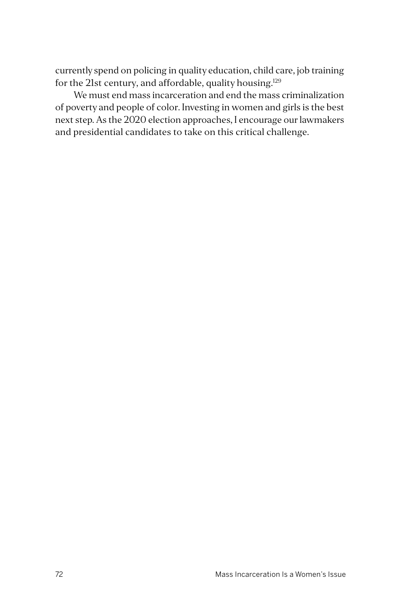currently spend on policing in quality education, child care, job training for the 21st century, and affordable, quality housing.<sup>129</sup>

We must end mass incarceration and end the mass criminalization of poverty and people of color. Investing in women and girls is the best next step. As the 2020 election approaches, I encourage our lawmakers and presidential candidates to take on this critical challenge.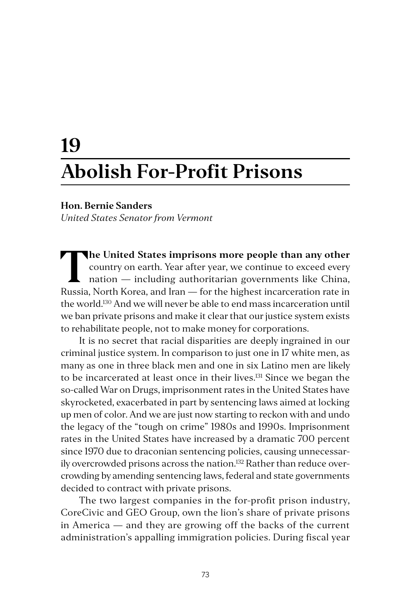# **19 Abolish For-Profit Prisons**

### **Hon. Bernie Sanders**

*United States Senator from Vermont*

**The United States imprisons more people than any other**<br>country on earth. Year after year, we continue to exceed every<br>nation — including authoritarian governments like China,<br>puccio North Korea and Juan — for the bigheet country on earth. Year after year, we continue to exceed every nation — including authoritarian governments like China, Russia, North Korea, and Iran — for the highest incarceration rate in the world.130 And we will never be able to end mass incarceration until we ban private prisons and make it clear that our justice system exists to rehabilitate people, not to make money for corporations.

It is no secret that racial disparities are deeply ingrained in our criminal justice system. In comparison to just one in 17 white men, as many as one in three black men and one in six Latino men are likely to be incarcerated at least once in their lives.<sup>131</sup> Since we began the so-called War on Drugs, imprisonment rates in the United States have skyrocketed, exacerbated in part by sentencing laws aimed at locking up men of color. And we are just now starting to reckon with and undo the legacy of the "tough on crime" 1980s and 1990s. Imprisonment rates in the United States have increased by a dramatic 700 percent since 1970 due to draconian sentencing policies, causing unnecessarily overcrowded prisons across the nation.<sup>132</sup> Rather than reduce overcrowding by amending sentencing laws, federal and state governments decided to contract with private prisons.

The two largest companies in the for-profit prison industry, CoreCivic and GEO Group, own the lion's share of private prisons in America — and they are growing off the backs of the current administration's appalling immigration policies. During fiscal year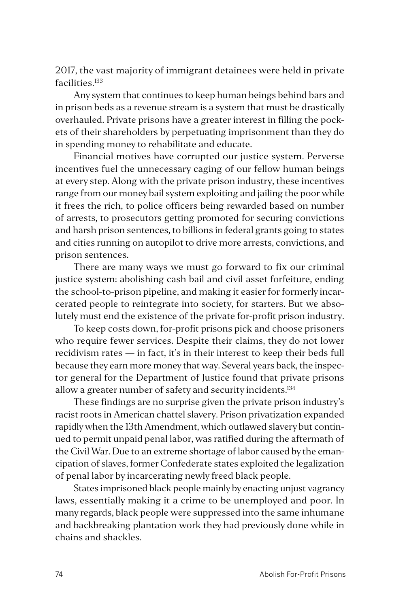2017, the vast majority of immigrant detainees were held in private facilities.<sup>133</sup>

Any system that continues to keep human beings behind bars and in prison beds as a revenue stream is a system that must be drastically overhauled. Private prisons have a greater interest in filling the pockets of their shareholders by perpetuating imprisonment than they do in spending money to rehabilitate and educate.

Financial motives have corrupted our justice system. Perverse incentives fuel the unnecessary caging of our fellow human beings at every step. Along with the private prison industry, these incentives range from our money bail system exploiting and jailing the poor while it frees the rich, to police officers being rewarded based on number of arrests, to prosecutors getting promoted for securing convictions and harsh prison sentences, to billions in federal grants going to states and cities running on autopilot to drive more arrests, convictions, and prison sentences.

There are many ways we must go forward to fix our criminal justice system: abolishing cash bail and civil asset forfeiture, ending the school-to-prison pipeline, and making it easier for formerly incarcerated people to reintegrate into society, for starters. But we absolutely must end the existence of the private for-profit prison industry.

To keep costs down, for-profit prisons pick and choose prisoners who require fewer services. Despite their claims, they do not lower recidivism rates — in fact, it's in their interest to keep their beds full because they earn more money that way. Several years back, the inspector general for the Department of Justice found that private prisons allow a greater number of safety and security incidents.<sup>134</sup>

These findings are no surprise given the private prison industry's racist roots in American chattel slavery. Prison privatization expanded rapidly when the 13th Amendment, which outlawed slavery but continued to permit unpaid penal labor, was ratified during the aftermath of the Civil War. Due to an extreme shortage of labor caused by the emancipation of slaves, former Confederate states exploited the legalization of penal labor by incarcerating newly freed black people.

States imprisoned black people mainly by enacting unjust vagrancy laws, essentially making it a crime to be unemployed and poor. In many regards, black people were suppressed into the same inhumane and backbreaking plantation work they had previously done while in chains and shackles.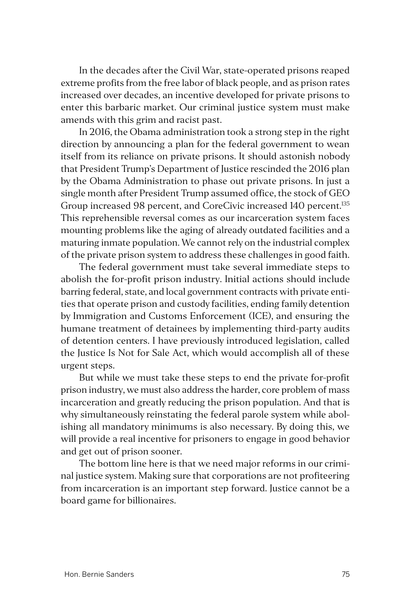In the decades after the Civil War, state-operated prisons reaped extreme profits from the free labor of black people, and as prison rates increased over decades, an incentive developed for private prisons to enter this barbaric market. Our criminal justice system must make amends with this grim and racist past.

In 2016, the Obama administration took a strong step in the right direction by announcing a plan for the federal government to wean itself from its reliance on private prisons. It should astonish nobody that President Trump's Department of Justice rescinded the 2016 plan by the Obama Administration to phase out private prisons. In just a single month after President Trump assumed office, the stock of GEO Group increased 98 percent, and CoreCivic increased 140 percent.<sup>135</sup> This reprehensible reversal comes as our incarceration system faces mounting problems like the aging of already outdated facilities and a maturing inmate population. We cannot rely on the industrial complex of the private prison system to address these challenges in good faith.

The federal government must take several immediate steps to abolish the for-profit prison industry. Initial actions should include barring federal, state, and local government contracts with private entities that operate prison and custody facilities, ending family detention by Immigration and Customs Enforcement (ICE), and ensuring the humane treatment of detainees by implementing third-party audits of detention centers. I have previously introduced legislation, called the Justice Is Not for Sale Act, which would accomplish all of these urgent steps.

But while we must take these steps to end the private for-profit prison industry, we must also address the harder, core problem of mass incarceration and greatly reducing the prison population. And that is why simultaneously reinstating the federal parole system while abolishing all mandatory minimums is also necessary. By doing this, we will provide a real incentive for prisoners to engage in good behavior and get out of prison sooner.

The bottom line here is that we need major reforms in our criminal justice system. Making sure that corporations are not profiteering from incarceration is an important step forward. Justice cannot be a board game for billionaires.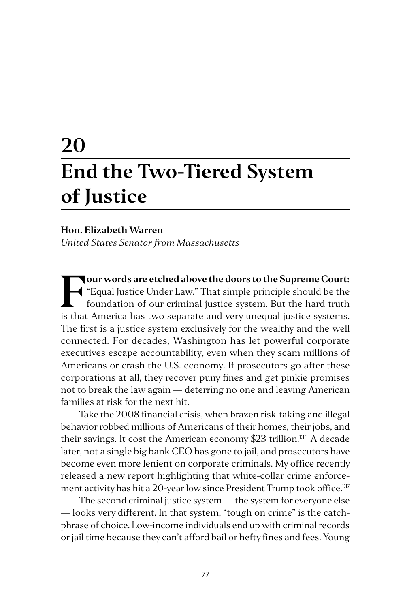# **20 End the Two-Tiered System of Justice**

#### **Hon. Elizabeth Warren**

*United States Senator from Massachusetts*

**Four words are etched above the doors to the Supreme Court:**<br> **Foundation** of our criminal justice system. But the hard truth<br>
is that America has two separate and you unequal justice systems "Equal Justice Under Law." That simple principle should be the is that America has two separate and very unequal justice systems. The first is a justice system exclusively for the wealthy and the well connected. For decades, Washington has let powerful corporate executives escape accountability, even when they scam millions of Americans or crash the U.S. economy. If prosecutors go after these corporations at all, they recover puny fines and get pinkie promises not to break the law again — deterring no one and leaving American families at risk for the next hit.

Take the 2008 financial crisis, when brazen risk-taking and illegal behavior robbed millions of Americans of their homes, their jobs, and their savings. It cost the American economy \$23 trillion.136 A decade later, not a single big bank CEO has gone to jail, and prosecutors have become even more lenient on corporate criminals. My office recently released a new report highlighting that white-collar crime enforcement activity has hit a 20-year low since President Trump took office.<sup>137</sup>

The second criminal justice system — the system for everyone else — looks very different. In that system, "tough on crime" is the catchphrase of choice. Low-income individuals end up with criminal records or jail time because they can't afford bail or hefty fines and fees. Young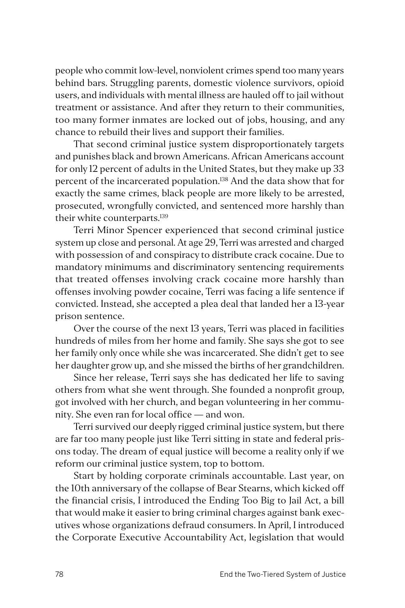people who commit low-level, nonviolent crimes spend too many years behind bars. Struggling parents, domestic violence survivors, opioid users, and individuals with mental illness are hauled off to jail without treatment or assistance. And after they return to their communities, too many former inmates are locked out of jobs, housing, and any chance to rebuild their lives and support their families.

That second criminal justice system disproportionately targets and punishes black and brown Americans. African Americans account for only 12 percent of adults in the United States, but they make up 33 percent of the incarcerated population.<sup>138</sup> And the data show that for exactly the same crimes, black people are more likely to be arrested, prosecuted, wrongfully convicted, and sentenced more harshly than their white counterparts.<sup>139</sup>

Terri Minor Spencer experienced that second criminal justice system up close and personal. At age 29, Terri was arrested and charged with possession of and conspiracy to distribute crack cocaine. Due to mandatory minimums and discriminatory sentencing requirements that treated offenses involving crack cocaine more harshly than offenses involving powder cocaine, Terri was facing a life sentence if convicted. Instead, she accepted a plea deal that landed her a 13-year prison sentence.

Over the course of the next 13 years, Terri was placed in facilities hundreds of miles from her home and family. She says she got to see her family only once while she was incarcerated. She didn't get to see her daughter grow up, and she missed the births of her grandchildren.

Since her release, Terri says she has dedicated her life to saving others from what she went through. She founded a nonprofit group, got involved with her church, and began volunteering in her community. She even ran for local office — and won.

Terri survived our deeply rigged criminal justice system, but there are far too many people just like Terri sitting in state and federal prisons today. The dream of equal justice will become a reality only if we reform our criminal justice system, top to bottom.

Start by holding corporate criminals accountable. Last year, on the 10th anniversary of the collapse of Bear Stearns, which kicked off the financial crisis, I introduced the Ending Too Big to Jail Act, a bill that would make it easier to bring criminal charges against bank executives whose organizations defraud consumers. In April, I introduced the Corporate Executive Accountability Act, legislation that would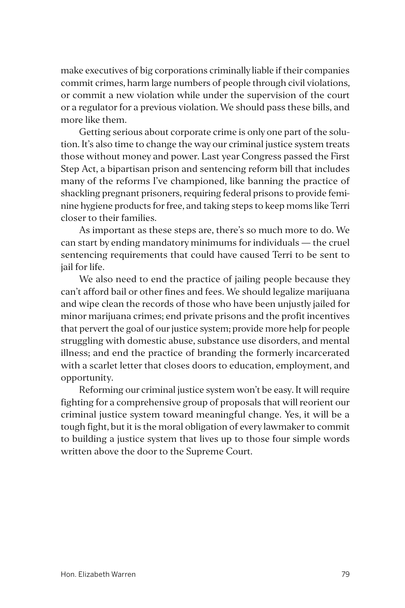make executives of big corporations criminally liable if their companies commit crimes, harm large numbers of people through civil violations, or commit a new violation while under the supervision of the court or a regulator for a previous violation. We should pass these bills, and more like them.

Getting serious about corporate crime is only one part of the solution. It's also time to change the way our criminal justice system treats those without money and power. Last year Congress passed the First Step Act, a bipartisan prison and sentencing reform bill that includes many of the reforms I've championed, like banning the practice of shackling pregnant prisoners, requiring federal prisons to provide feminine hygiene products for free, and taking steps to keep moms like Terri closer to their families.

As important as these steps are, there's so much more to do. We can start by ending mandatory minimums for individuals — the cruel sentencing requirements that could have caused Terri to be sent to jail for life.

We also need to end the practice of jailing people because they can't afford bail or other fines and fees. We should legalize marijuana and wipe clean the records of those who have been unjustly jailed for minor marijuana crimes; end private prisons and the profit incentives that pervert the goal of our justice system; provide more help for people struggling with domestic abuse, substance use disorders, and mental illness; and end the practice of branding the formerly incarcerated with a scarlet letter that closes doors to education, employment, and opportunity.

Reforming our criminal justice system won't be easy. It will require fighting for a comprehensive group of proposals that will reorient our criminal justice system toward meaningful change. Yes, it will be a tough fight, but it is the moral obligation of every lawmaker to commit to building a justice system that lives up to those four simple words written above the door to the Supreme Court.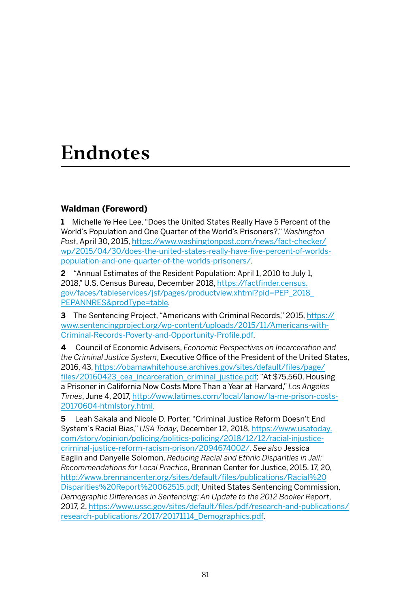## **Endnotes**

## **Waldman (Foreword)**

**1** Michelle Ye Hee Lee, "Does the United States Really Have 5 Percent of the World's Population and One Quarter of the World's Prisoners?," *Washington Post*, April 30, 2015, [https://www.washingtonpost.com/news/fact-checker/](https://www.washingtonpost.com/news/fact-checker/wp/2015/04/30/does-the-united-states-really-have-five-percent-of-worlds-population-and-one-quarter-of-the-worlds-prisoners/) [wp/2015/04/30/does-the-united-states-really-have-five-percent-of-worlds](https://www.washingtonpost.com/news/fact-checker/wp/2015/04/30/does-the-united-states-really-have-five-percent-of-worlds-population-and-one-quarter-of-the-worlds-prisoners/)[population-and-one-quarter-of-the-worlds-prisoners/](https://www.washingtonpost.com/news/fact-checker/wp/2015/04/30/does-the-united-states-really-have-five-percent-of-worlds-population-and-one-quarter-of-the-worlds-prisoners/).

**2** "Annual Estimates of the Resident Population: April 1, 2010 to July 1, 2018," U.S. Census Bureau, December 2018, [https://factfinder.census.](https://factfinder.census.gov/faces/tableservices/jsf/pages/productview.xhtml?pid=PEP_2018_PEPANNRES&prodType=table) [gov/faces/tableservices/jsf/pages/productview.xhtml?pid=PEP\\_2018\\_](https://factfinder.census.gov/faces/tableservices/jsf/pages/productview.xhtml?pid=PEP_2018_PEPANNRES&prodType=table) [PEPANNRES&prodType=table](https://factfinder.census.gov/faces/tableservices/jsf/pages/productview.xhtml?pid=PEP_2018_PEPANNRES&prodType=table).

**3** The Sentencing Project, "Americans with Criminal Records," 2015, [https://](https://www.sentencingproject.org/wp-content/uploads/2015/11/Americans-with-Criminal-Records-Poverty-and-Opportunity-Profile.pdf) [www.sentencingproject.org/wp-content/uploads/2015/11/Americans-with-](https://www.sentencingproject.org/wp-content/uploads/2015/11/Americans-with-Criminal-Records-Poverty-and-Opportunity-Profile.pdf)[Criminal-Records-Poverty-and-Opportunity-Profile.pdf](https://www.sentencingproject.org/wp-content/uploads/2015/11/Americans-with-Criminal-Records-Poverty-and-Opportunity-Profile.pdf).

**4** Council of Economic Advisers, *Economic Perspectives on Incarceration and the Criminal Justice System*, Executive Office of the President of the United States, 2016, 43, [https://obamawhitehouse.archives.gov/sites/default/files/page/](https://obamawhitehouse.archives.gov/sites/default/files/page/files/20160423_cea_incarceration_criminal_justice.pdf) [files/20160423\\_cea\\_incarceration\\_criminal\\_justice.pdf;](https://obamawhitehouse.archives.gov/sites/default/files/page/files/20160423_cea_incarceration_criminal_justice.pdf) "At \$75,560, Housing a Prisoner in California Now Costs More Than a Year at Harvard," *Los Angeles Times*, June 4, 2017, [http://www.latimes.com/local/lanow/la-me-prison-costs-](http://www.latimes.com/local/lanow/la-me-prison-costs-20170604-htmlstory.html)[20170604-htmlstory.html](http://www.latimes.com/local/lanow/la-me-prison-costs-20170604-htmlstory.html).

**5** Leah Sakala and Nicole D. Porter, "Criminal Justice Reform Doesn't End System's Racial Bias," *USA Today*, December 12, 2018, [https://www.usatoday.](https://www.usatoday.com/story/opinion/policing/politics-policing/2018/12/12/racial-injustice-criminal-justice-reform-racism-prison/2094674002/) [com/story/opinion/policing/politics-policing/2018/12/12/racial-injustice](https://www.usatoday.com/story/opinion/policing/politics-policing/2018/12/12/racial-injustice-criminal-justice-reform-racism-prison/2094674002/)[criminal-justice-reform-racism-prison/2094674002/.](https://www.usatoday.com/story/opinion/policing/politics-policing/2018/12/12/racial-injustice-criminal-justice-reform-racism-prison/2094674002/) *See also* Jessica Eaglin and Danyelle Solomon, *Reducing Racial and Ethnic Disparities in Jail: Recommendations for Local Practice*, Brennan Center for Justice, 2015, 17, 20, [http://www.brennancenter.org/sites/default/files/publications/Racial%20](http://www.brennancenter.org/sites/default/files/publications/Racial%20Disparities%20Report%20062515.pdf) [Disparities%20Report%20062515.pdf](http://www.brennancenter.org/sites/default/files/publications/Racial%20Disparities%20Report%20062515.pdf); United States Sentencing Commission, *Demographic Differences in Sentencing: An Update to the 2012 Booker Report*, 2017, 2, [https://www.ussc.gov/sites/default/files/pdf/research-and-publications/](https://www.ussc.gov/sites/default/files/pdf/research-and-publications/research-publications/2017/20171114_Demographics.pdf) [research-publications/2017/20171114\\_Demographics.pdf](https://www.ussc.gov/sites/default/files/pdf/research-and-publications/research-publications/2017/20171114_Demographics.pdf).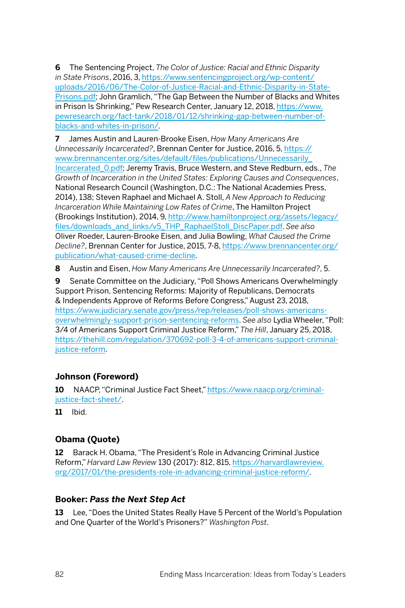**6** The Sentencing Project, *The Color of Justice: Racial and Ethnic Disparity in State Prisons*, 2016, 3, [https://www.sentencingproject.org/wp-content/](https://www.sentencingproject.org/wp-content/uploads/2016/06/The-Color-of-Justice-Racial-and-Ethnic-Disparity-in-State-Prisons.pdf) [uploads/2016/06/The-Color-of-Justice-Racial-and-Ethnic-Disparity-in-State-](https://www.sentencingproject.org/wp-content/uploads/2016/06/The-Color-of-Justice-Racial-and-Ethnic-Disparity-in-State-Prisons.pdf)[Prisons.pdf](https://www.sentencingproject.org/wp-content/uploads/2016/06/The-Color-of-Justice-Racial-and-Ethnic-Disparity-in-State-Prisons.pdf); John Gramlich, "The Gap Between the Number of Blacks and Whites in Prison Is Shrinking," Pew Research Center, January 12, 2018, [https://www.](https://www.pewresearch.org/fact-tank/2018/01/12/shrinking-gap-between-number-of-blacks-and-whites-in-prison/) [pewresearch.org/fact-tank/2018/01/12/shrinking-gap-between-number-of](https://www.pewresearch.org/fact-tank/2018/01/12/shrinking-gap-between-number-of-blacks-and-whites-in-prison/)[blacks-and-whites-in-prison/.](https://www.pewresearch.org/fact-tank/2018/01/12/shrinking-gap-between-number-of-blacks-and-whites-in-prison/)

**7** James Austin and Lauren-Brooke Eisen, *How Many Americans Are Unnecessarily Incarcerated?*, Brennan Center for Justice, 2016, 5, [https://](https://www.brennancenter.org/sites/default/files/publications/Unnecessarily_Incarcerated_0.pdf) [www.brennancenter.org/sites/default/files/publications/Unnecessarily\\_](https://www.brennancenter.org/sites/default/files/publications/Unnecessarily_Incarcerated_0.pdf) [Incarcerated\\_0.pdf;](https://www.brennancenter.org/sites/default/files/publications/Unnecessarily_Incarcerated_0.pdf) Jeremy Travis, Bruce Western, and Steve Redburn, eds., *The Growth of Incarceration in the United States: Exploring Causes and Consequences*, National Research Council (Washington, D.C.: The National Academies Press, 2014), 138; Steven Raphael and Michael A. Stoll, *A New Approach to Reducing Incarceration While Maintaining Low Rates of Crime*, The Hamilton Project (Brookings Institution), 2014, 9, [http://www.hamiltonproject.org/assets/legacy/](http://www.hamiltonproject.org/assets/legacy/files/downloads_and_links/v5_THP_RaphaelStoll_DiscPaper.pdf) [files/downloads\\_and\\_links/v5\\_THP\\_RaphaelStoll\\_DiscPaper.pdf](http://www.hamiltonproject.org/assets/legacy/files/downloads_and_links/v5_THP_RaphaelStoll_DiscPaper.pdf). *See also* Oliver Roeder, Lauren-Brooke Eisen, and Julia Bowling, *What Caused the Crime Decline?*, Brennan Center for Justice, 2015, 7-8, [https://www.brennancenter.org/](https://www.brennancenter.org/publication/what-caused-crime-decline) [publication/what-caused-crime-decline.](https://www.brennancenter.org/publication/what-caused-crime-decline)

**8** Austin and Eisen, *How Many Americans Are Unnecessarily Incarcerated?*, 5.

**9** Senate Committee on the Judiciary, "Poll Shows Americans Overwhelmingly Support Prison, Sentencing Reforms: Majority of Republicans, Democrats & Independents Approve of Reforms Before Congress," August 23, 2018, [https://www.judiciary.senate.gov/press/rep/releases/poll-shows-americans](https://www.judiciary.senate.gov/press/rep/releases/poll-shows-americans-overwhelmingly-support-prison-sentencing-reforms)[overwhelmingly-support-prison-sentencing-reforms.](https://www.judiciary.senate.gov/press/rep/releases/poll-shows-americans-overwhelmingly-support-prison-sentencing-reforms) *See also* Lydia Wheeler, "Poll: 3/4 of Americans Support Criminal Justice Reform," *The Hill*, January 25, 2018, [https://thehill.com/regulation/370692-poll-3-4-of-americans-support-criminal](https://thehill.com/regulation/370692-poll-3-4-of-americans-support-criminal-justice-reform)[justice-reform](https://thehill.com/regulation/370692-poll-3-4-of-americans-support-criminal-justice-reform).

## **Johnson (Foreword)**

**10** NAACP, "Criminal Justice Fact Sheet," [https://www.naacp.org/criminal](https://www.naacp.org/criminal-justice-fact-sheet/)[justice-fact-sheet/.](https://www.naacp.org/criminal-justice-fact-sheet/)

**11** Ibid.

## **Obama (Quote)**

**12** Barack H. Obama, "The President's Role in Advancing Criminal Justice Reform," *Harvard Law Review* 130 (2017): 812, 815, [https://harvardlawreview.](https://harvardlawreview.org/2017/01/the-presidents-role-in-advancing-criminal-justice-reform/) [org/2017/01/the-presidents-role-in-advancing-criminal-justice-reform/](https://harvardlawreview.org/2017/01/the-presidents-role-in-advancing-criminal-justice-reform/).

## **Booker:** *Pass the Next Step Act*

**13** Lee, "Does the United States Really Have 5 Percent of the World's Population and One Quarter of the World's Prisoners?" *Washington Post*.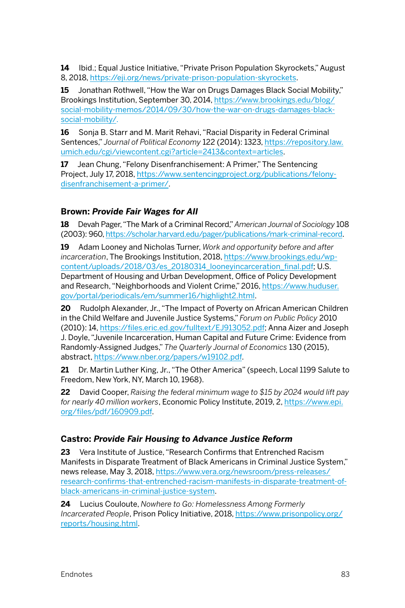**14** Ibid.; Equal Justice Initiative, "Private Prison Population Skyrockets," August 8, 2018, [https://eji.org/news/private-prison-population-skyrockets.](https://eji.org/news/private-prison-population-skyrockets)

**15** Jonathan Rothwell, "How the War on Drugs Damages Black Social Mobility," Brookings Institution, September 30, 2014, [https://www.brookings.edu/blog/](https://www.brookings.edu/blog/social-mobility-memos/2014/09/30/how-the-war-on-drugs-damages-black-social-mobility/) [social-mobility-memos/2014/09/30/how-the-war-on-drugs-damages-black](https://www.brookings.edu/blog/social-mobility-memos/2014/09/30/how-the-war-on-drugs-damages-black-social-mobility/)[social-mobility/.](https://www.brookings.edu/blog/social-mobility-memos/2014/09/30/how-the-war-on-drugs-damages-black-social-mobility/)

**16** Sonja B. Starr and M. Marit Rehavi, "Racial Disparity in Federal Criminal Sentences," *Journal of Political Economy* 122 (2014): 1323, [https://repository.law.](https://repository.law.umich.edu/cgi/viewcontent.cgi?article=2413&context=articles) [umich.edu/cgi/viewcontent.cgi?article=2413&context=articles.](https://repository.law.umich.edu/cgi/viewcontent.cgi?article=2413&context=articles)

**17** Jean Chung, "Felony Disenfranchisement: A Primer," The Sentencing Project, July 17, 2018, [https://www.sentencingproject.org/publications/felony](https://www.sentencingproject.org/publications/felony-disenfranchisement-a-primer/)[disenfranchisement-a-primer/.](https://www.sentencingproject.org/publications/felony-disenfranchisement-a-primer/)

## **Brown:** *Provide Fair Wages for All*

**18** Devah Pager, "The Mark of a Criminal Record," *American Journal of Sociology* 108 (2003): 960, [https://scholar.harvard.edu/pager/publications/mark-criminal-record.](https://scholar.harvard.edu/pager/publications/mark-criminal-record)

**19** Adam Looney and Nicholas Turner, *Work and opportunity before and after incarceration*, The Brookings Institution, 2018, [https://www.brookings.edu/wp](https://www.brookings.edu/wp-content/uploads/2018/03/es_20180314_looneyincarceration_final.pdf)[content/uploads/2018/03/es\\_20180314\\_looneyincarceration\\_final.pdf](https://www.brookings.edu/wp-content/uploads/2018/03/es_20180314_looneyincarceration_final.pdf); U.S. Department of Housing and Urban Development, Office of Policy Development and Research, "Neighborhoods and Violent Crime," 2016, [https://www.huduser.](https://www.huduser.gov/portal/periodicals/em/summer16/highlight2.html) [gov/portal/periodicals/em/summer16/highlight2.html](https://www.huduser.gov/portal/periodicals/em/summer16/highlight2.html).

**20** Rudolph Alexander, Jr., "The Impact of Poverty on African American Children in the Child Welfare and Juvenile Justice Systems," *Forum on Public Policy* 2010 (2010): 14, [https://files.eric.ed.gov/fulltext/EJ913052.pdf;](https://files.eric.ed.gov/fulltext/EJ913052.pdf) Anna Aizer and Joseph J. Doyle, "Juvenile Incarceration, Human Capital and Future Crime: Evidence from Randomly-Assigned Judges," *The Quarterly Journal of Economics* 130 (2015), abstract,<https://www.nber.org/papers/w19102.pdf>.

**21** Dr. Martin Luther King, Jr., "The Other America" (speech, Local 1199 Salute to Freedom, New York, NY, March 10, 1968).

**22** David Cooper, *Raising the federal minimum wage to \$15 by 2024 would lift pay for nearly 40 million workers*, Economic Policy Institute, 2019, 2, [https://www.epi.](https://www.epi.org/files/pdf/160909.pdf) [org/files/pdf/160909.pdf.](https://www.epi.org/files/pdf/160909.pdf)

#### **Castro:** *Provide Fair Housing to Advance Justice Reform*

**23** Vera Institute of Justice, "Research Confirms that Entrenched Racism Manifests in Disparate Treatment of Black Americans in Criminal Justice System," news release, May 3, 2018, [https://www.vera.org/newsroom/press-releases/](https://www.vera.org/newsroom/press-releases/research-confirms-that-entrenched-racism-manifests-in-disparate-treatment-of-black-americans-in-criminal-justice-system) [research-confirms-that-entrenched-racism-manifests-in-disparate-treatment-of](https://www.vera.org/newsroom/press-releases/research-confirms-that-entrenched-racism-manifests-in-disparate-treatment-of-black-americans-in-criminal-justice-system)[black-americans-in-criminal-justice-system.](https://www.vera.org/newsroom/press-releases/research-confirms-that-entrenched-racism-manifests-in-disparate-treatment-of-black-americans-in-criminal-justice-system)

**24** Lucius Couloute, *Nowhere to Go: Homelessness Among Formerly Incarcerated People*, Prison Policy Initiative, 2018, [https://www.prisonpolicy.org/](https://www.prisonpolicy.org/reports/housing.html) [reports/housing.html.](https://www.prisonpolicy.org/reports/housing.html)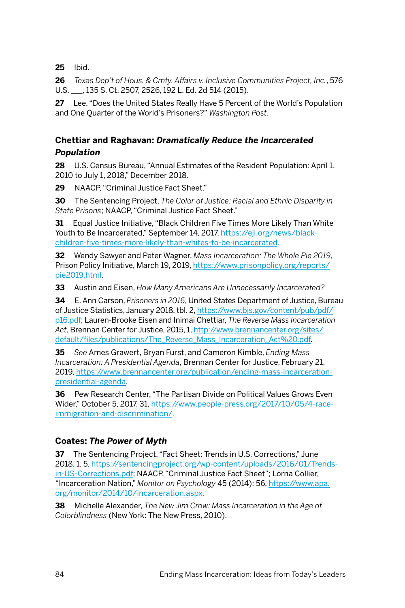**25** Ibid.

**26** *Texas Dep't of Hous. & Cmty. Affairs v. Inclusive Communities Project, Inc.*, 576 U.S. \_\_\_, 135 S. Ct. 2507, 2526, 192 L. Ed. 2d 514 (2015).

**27** Lee, "Does the United States Really Have 5 Percent of the World's Population and One Quarter of the World's Prisoners?" *Washington Post*.

## **Chettiar and Raghavan:** *Dramatically Reduce the Incarcerated Population*

**28** U.S. Census Bureau, "Annual Estimates of the Resident Population: April 1, 2010 to July 1, 2018," December 2018.

**29** NAACP, "Criminal Justice Fact Sheet."

**30** The Sentencing Project, *The Color of Justice: Racial and Ethnic Disparity in State Prisons*; NAACP, "Criminal Justice Fact Sheet."

**31** Equal Justice Initiative, "Black Children Five Times More Likely Than White Youth to Be Incarcerated," September 14, 2017, [https://eji.org/news/black](https://eji.org/news/black-children-five-times-more-likely-than-whites-to-be-incarcerated)[children-five-times-more-likely-than-whites-to-be-incarcerated](https://eji.org/news/black-children-five-times-more-likely-than-whites-to-be-incarcerated).

**32** Wendy Sawyer and Peter Wagner, *Mass Incarceration: The Whole Pie 2019*, Prison Policy Initiative, March 19, 2019, [https://www.prisonpolicy.org/reports/](https://www.prisonpolicy.org/reports/pie2019.html) [pie2019.html](https://www.prisonpolicy.org/reports/pie2019.html).

**33** Austin and Eisen, *How Many Americans Are Unnecessarily Incarcerated?*

**34** E. Ann Carson, *Prisoners in 2016*, United States Department of Justice, Bureau of Justice Statistics, January 2018, tbl. 2, [https://www.bjs.gov/content/pub/pdf/](https://www.bjs.gov/content/pub/pdf/p16.pdf) [p16.pdf](https://www.bjs.gov/content/pub/pdf/p16.pdf); Lauren-Brooke Eisen and Inimai Chettiar, *The Reverse Mass Incarceration Act*, Brennan Center for Justice, 2015, 1, [http://www.brennancenter.org/sites/](http://www.brennancenter.org/sites/default/files/publications/The_Reverse_Mass_Incarceration_Act%20.pdf) [default/files/publications/The\\_Reverse\\_Mass\\_Incarceration\\_Act%20.pdf.](http://www.brennancenter.org/sites/default/files/publications/The_Reverse_Mass_Incarceration_Act%20.pdf)

**35** *See* Ames Grawert, Bryan Furst, and Cameron Kimble, *Ending Mass Incarceration: A Presidential Agenda*, Brennan Center for Justice, February 21, 2019, [https://www.brennancenter.org/publication/ending-mass-incarceration](https://www.brennancenter.org/publication/ending-mass-incarceration-presidential-agenda)[presidential-agenda](https://www.brennancenter.org/publication/ending-mass-incarceration-presidential-agenda).

**36** Pew Research Center, "The Partisan Divide on Political Values Grows Even Wider," October 5, 2017, 31, [https://www.people-press.org/2017/10/05/4-race](https://www.people-press.org/2017/10/05/4-race-immigration-and-discrimination/)[immigration-and-discrimination/](https://www.people-press.org/2017/10/05/4-race-immigration-and-discrimination/).

## **Coates:** *The Power of Myth*

**37** The Sentencing Project, "Fact Sheet: Trends in U.S. Corrections," June 2018, 1, 5, [https://sentencingproject.org/wp-content/uploads/2016/01/Trends](https://sentencingproject.org/wp-content/uploads/2016/01/Trends-in-US-Corrections.pdf)[in-US-Corrections.pdf](https://sentencingproject.org/wp-content/uploads/2016/01/Trends-in-US-Corrections.pdf); NAACP, "Criminal Justice Fact Sheet"; Lorna Collier, "Incarceration Nation," *Monitor on Psychology* 45 (2014): 56, [https://www.apa.](https://www.apa.org/monitor/2014/10/incarceration.aspx) [org/monitor/2014/10/incarceration.aspx.](https://www.apa.org/monitor/2014/10/incarceration.aspx)

**38** Michelle Alexander, *The New Jim Crow: Mass Incarceration in the Age of Colorblindness* (New York: The New Press, 2010).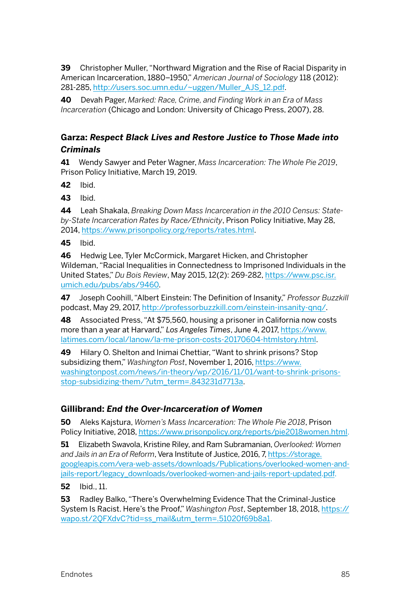**39** Christopher Muller, "Northward Migration and the Rise of Racial Disparity in American Incarceration, 1880–1950," *American Journal of Sociology* 118 (2012): 281-285, [http://users.soc.umn.edu/~uggen/Muller\\_AJS\\_12.pdf](http://users.soc.umn.edu/~uggen/Muller_AJS_12.pdf).

**40** Devah Pager, *Marked: Race, Crime, and Finding Work in an Era of Mass Incarceration* (Chicago and London: University of Chicago Press, 2007), 28.

## **Garza:** *Respect Black Lives and Restore Justice to Those Made into Criminals*

**41** Wendy Sawyer and Peter Wagner, *Mass Incarceration: The Whole Pie 2019*, Prison Policy Initiative, March 19, 2019.

**42** Ibid.

**43** Ibid[.](https://essiejusticegroup.org/2018/08/this-is-modern-day-slavery-how-the-bail-industry-targets-women-of-color/) 

**44** Leah Shakala, *Breaking Down Mass Incarceration in the 2010 Census: Stateby-State Incarceration Rates by Race/Ethnicity*, Prison Policy Initiative, May 28, 2014, <https://www.prisonpolicy.org/reports/rates.html>.

**45** Ibid.

**46** Hedwig Lee, Tyler McCormick, Margaret Hicken, and Christopher Wildeman, "Racial Inequalities in Connectedness to Imprisoned Individuals in the United States," *Du Bois Review*, May 2015, 12(2): 269-282, [https://www.psc.isr.](https://www.psc.isr.umich.edu/pubs/abs/9460) [umich.edu/pubs/abs/9460](https://www.psc.isr.umich.edu/pubs/abs/9460).

**47** Joseph Coohill, "Albert Einstein: The Definition of Insanity," *Professor Buzzkill* podcast, May 29, 2017, [http://professorbuzzkill.com/einstein-insanity-qnq/.](http://professorbuzzkill.com/einstein-insanity-qnq/)

**48** Associated Press, "At \$75,560, housing a prisoner in California now costs more than a year at Harvard," *Los Angeles Times*, June 4, 2017, [https://www.](https://www.latimes.com/local/lanow/la-me-prison-costs-20170604-htmlstory.html) [latimes.com/local/lanow/la-me-prison-costs-20170604-htmlstory.html](https://www.latimes.com/local/lanow/la-me-prison-costs-20170604-htmlstory.html).

**49** Hilary O. Shelton and Inimai Chettiar, "Want to shrink prisons? Stop subsidizing them," *Washington Post*, November 1, 2016, [https://www.](https://www.washingtonpost.com/news/in-theory/wp/2016/11/01/want-to-shrink-prisons-stop-subsidizing-them/?utm_term=.843231d7713a) [washingtonpost.com/news/in-theory/wp/2016/11/01/want-to-shrink-prisons](https://www.washingtonpost.com/news/in-theory/wp/2016/11/01/want-to-shrink-prisons-stop-subsidizing-them/?utm_term=.843231d7713a)[stop-subsidizing-them/?utm\\_term=.843231d7713a.](https://www.washingtonpost.com/news/in-theory/wp/2016/11/01/want-to-shrink-prisons-stop-subsidizing-them/?utm_term=.843231d7713a)

#### **Gillibrand:** *End the Over-Incarceration of Women*

**50** Aleks Kajstura, *Women's Mass Incarceration: The Whole Pie 2018*, Prison Policy Initiative, 2018, [https://www.prisonpolicy.org/reports/pie2018women.html.](https://www.prisonpolicy.org/reports/pie2018women.html)

**51** Elizabeth Swavola, Kristine Riley, and Ram Subramanian, *Overlooked: Women and Jails in an Era of Reform*, Vera Institute of Justice, 2016, 7, [https://storage.](https://storage.googleapis.com/vera-web-assets/downloads/Publications/overlooked-women-and-jails-report/legacy_downloads/overlooked-women-and-jails-report-updated.pdf) [googleapis.com/vera-web-assets/downloads/Publications/overlooked-women-and](https://storage.googleapis.com/vera-web-assets/downloads/Publications/overlooked-women-and-jails-report/legacy_downloads/overlooked-women-and-jails-report-updated.pdf)[jails-report/legacy\\_downloads/overlooked-women-and-jails-report-updated.pdf](https://storage.googleapis.com/vera-web-assets/downloads/Publications/overlooked-women-and-jails-report/legacy_downloads/overlooked-women-and-jails-report-updated.pdf).

**52** Ibid., 11.

**53** Radley Balko, "There's Overwhelming Evidence That the Criminal-Justice System Is Racist. Here's the Proof," *Washington Post*, September 18, 2018, [https://](https://wapo.st/2QFXdvC?tid=ss_mail&utm_term=.51020f69b8a1) [wapo.st/2QFXdvC?tid=ss\\_mail&utm\\_term=.51020f69b8a1](https://wapo.st/2QFXdvC?tid=ss_mail&utm_term=.51020f69b8a1).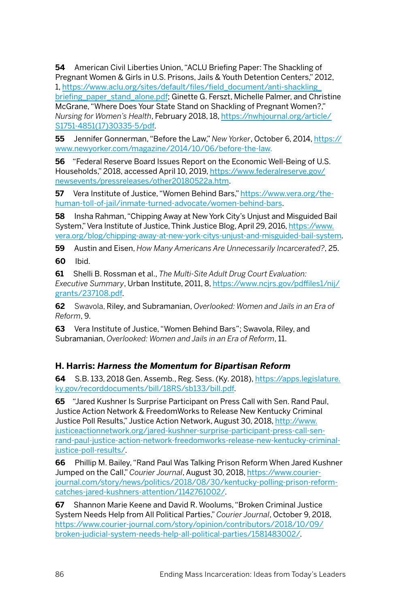**54** American Civil Liberties Union, "ACLU Briefing Paper: The Shackling of Pregnant Women & Girls in U.S. Prisons, Jails & Youth Detention Centers," 2012, 1, [https://www.aclu.org/sites/default/files/field\\_document/anti-shackling\\_](https://www.aclu.org/sites/default/files/field_document/anti-shackling_briefing_paper_stand_alone.pdf) [briefing\\_paper\\_stand\\_alone.pdf](https://www.aclu.org/sites/default/files/field_document/anti-shackling_briefing_paper_stand_alone.pdf); Ginette G. Ferszt, Michelle Palmer, and Christine McGrane, "Where Does Your State Stand on Shackling of Pregnant Women?," *Nursing for Women's Health*, February 2018, 18, [https://nwhjournal.org/article/](https://nwhjournal.org/article/S1751-4851(17)30335-5/pdf) [S1751-4851\(17\)30335-5/pdf.](https://nwhjournal.org/article/S1751-4851(17)30335-5/pdf)

**55** Jennifer Gonnerman, "Before the Law," *New Yorker*, October 6, 2014, [https://](https://www.newyorker.com/magazine/2014/10/06/before-the-law) [www.newyorker.com/magazine/2014/10/06/before-the-law](https://www.newyorker.com/magazine/2014/10/06/before-the-law).

**56** "Federal Reserve Board Issues Report on the Economic Well-Being of U.S. Households," 2018, accessed April 10, 2019, [https://www.federalreserve.gov/](https://www.federalreserve.gov/newsevents/pressreleases/other20180522a.htm) [newsevents/pressreleases/other20180522a.htm.](https://www.federalreserve.gov/newsevents/pressreleases/other20180522a.htm)

**57** Vera Institute of Justice, "Women Behind Bars," [https://www.vera.org/the](https://www.vera.org/the-human-toll-of-jail/inmate-turned-advocate/women-behind-bars)[human-toll-of-jail/inmate-turned-advocate/women-behind-bars.](https://www.vera.org/the-human-toll-of-jail/inmate-turned-advocate/women-behind-bars)

**58** Insha Rahman, "Chipping Away at New York City's Unjust and Misguided Bail System," Vera Institute of Justice, Think Justice Blog, April 29, 2016, [https://www.](https://www.vera.org/blog/chipping-away-at-new-york-citys-unjust-and-misguided-bail-system) [vera.org/blog/chipping-away-at-new-york-citys-unjust-and-misguided-bail-system.](https://www.vera.org/blog/chipping-away-at-new-york-citys-unjust-and-misguided-bail-system)

**59** Austin and Eisen, *How Many Americans Are Unnecessarily Incarcerated?*, 25.

**60** Ibid.

**61** Shelli B. Rossman et al., *The Multi-Site Adult Drug Court Evaluation: Executive Summary*, Urban Institute, 2011, 8, [https://www.ncjrs.gov/pdffiles1/nij/](https://www.ncjrs.gov/pdffiles1/nij/grants/237108.pdf) [grants/237108.pdf](https://www.ncjrs.gov/pdffiles1/nij/grants/237108.pdf).

**62** Swavola, Riley, and Subramanian, *Overlooked: Women and Jails in an Era of Reform*, 9.

**63** Vera Institute of Justice, "Women Behind Bars"; Swavola, Riley, and Subramanian, *Overlooked: Women and Jails in an Era of Reform*, 11.

## **H. Harris:** *Harness the Momentum for Bipartisan Reform*

**64** S.B. 133, 2018 Gen. Assemb., Reg. Sess. (Ky. 2018), [https://apps.legislature.](https://apps.legislature.ky.gov/recorddocuments/bill/18RS/sb133/bill.pdf) [ky.gov/recorddocuments/bill/18RS/sb133/bill.pdf.](https://apps.legislature.ky.gov/recorddocuments/bill/18RS/sb133/bill.pdf)

**65** "Jared Kushner Is Surprise Participant on Press Call with Sen. Rand Paul, Justice Action Network & FreedomWorks to Release New Kentucky Criminal Justice Poll Results," Justice Action Network, August 30, 2018, [http://www.](http://www.justiceactionnetwork.org/jared-kushner-surprise-participant-press-call-sen-rand-paul-justice-action-network-freedomworks-release-new-kentucky-criminal-justice-poll-results/) [justiceactionnetwork.org/jared-kushner-surprise-participant-press-call-sen](http://www.justiceactionnetwork.org/jared-kushner-surprise-participant-press-call-sen-rand-paul-justice-action-network-freedomworks-release-new-kentucky-criminal-justice-poll-results/)[rand-paul-justice-action-network-freedomworks-release-new-kentucky-criminal](http://www.justiceactionnetwork.org/jared-kushner-surprise-participant-press-call-sen-rand-paul-justice-action-network-freedomworks-release-new-kentucky-criminal-justice-poll-results/)[justice-poll-results/](http://www.justiceactionnetwork.org/jared-kushner-surprise-participant-press-call-sen-rand-paul-justice-action-network-freedomworks-release-new-kentucky-criminal-justice-poll-results/).

**66** Phillip M. Bailey, "Rand Paul Was Talking Prison Reform When Jared Kushner Jumped on the Call," *Courier Journal*, August 30, 2018, [https://www.courier](https://www.courier-journal.com/story/news/politics/2018/08/30/kentucky-polling-prison-reform-catches-jared-kushners-attention/1142761002/)[journal.com/story/news/politics/2018/08/30/kentucky-polling-prison-reform](https://www.courier-journal.com/story/news/politics/2018/08/30/kentucky-polling-prison-reform-catches-jared-kushners-attention/1142761002/)[catches-jared-kushners-attention/1142761002/.](https://www.courier-journal.com/story/news/politics/2018/08/30/kentucky-polling-prison-reform-catches-jared-kushners-attention/1142761002/)

**67** Shannon Marie Keene and David R. Woolums, "Broken Criminal Justice System Needs Help from All Political Parties," *Courier Journal*, October 9, 2018, [https://www.courier-journal.com/story/opinion/contributors/2018/10/09/](https://www.courier-journal.com/story/opinion/contributors/2018/10/09/broken-judicial-system-needs-help-all-political-parties/1581483002/) [broken-judicial-system-needs-help-all-political-parties/1581483002/](https://www.courier-journal.com/story/opinion/contributors/2018/10/09/broken-judicial-system-needs-help-all-political-parties/1581483002/).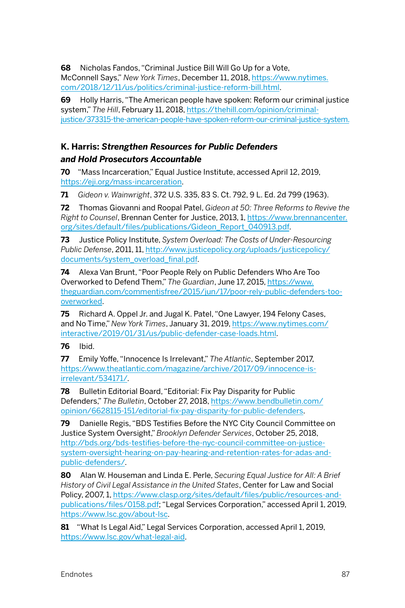**68** Nicholas Fandos, "Criminal Justice Bill Will Go Up for a Vote,

McConnell Says," *New York Times*, December 11, 2018, [https://www.nytimes.](https://www.nytimes.com/2018/12/11/us/politics/criminal-justice-reform-bill.html) [com/2018/12/11/us/politics/criminal-justice-reform-bill.html](https://www.nytimes.com/2018/12/11/us/politics/criminal-justice-reform-bill.html).

**69** Holly Harris, "The American people have spoken: Reform our criminal justice system," *The Hill*, February 11, 2018, [https://thehill.com/opinion/criminal](https://thehill.com/opinion/criminal-justice/373315-the-american-people-have-spoken-reform-our-criminal-justice-system)[justice/373315-the-american-people-have-spoken-reform-our-criminal-justice-system.](https://thehill.com/opinion/criminal-justice/373315-the-american-people-have-spoken-reform-our-criminal-justice-system)

## **K. Harris:** *Strengthen Resources for Public Defenders and Hold Prosecutors Accountable*

**70** "Mass Incarceration," Equal Justice Institute, accessed April 12, 2019, [https://eji.org/mass-incarceration.](https://eji.org/mass-incarceration)

**71** *Gideon v. Wainwright*, 372 U.S. 335, 83 S. Ct. 792, 9 L. Ed. 2d 799 (1963).

**72** Thomas Giovanni and Roopal Patel, *Gideon at 50: Three Reforms to Revive the Right to Counsel*, Brennan Center for Justice, 2013, 1, [https://www.brennancenter.](https://www.brennancenter.org/sites/default/files/publications/Gideon_Report_040913.pdf) [org/sites/default/files/publications/Gideon\\_Report\\_040913.pdf.](https://www.brennancenter.org/sites/default/files/publications/Gideon_Report_040913.pdf)

**73** Justice Policy Institute, *System Overload: The Costs of Under-Resourcing Public Defense*, 2011, 11, [http://www.justicepolicy.org/uploads/justicepolicy/](http://www.justicepolicy.org/uploads/justicepolicy/documents/system_overload_final.pdf) [documents/system\\_overload\\_final.pdf.](http://www.justicepolicy.org/uploads/justicepolicy/documents/system_overload_final.pdf)

**74** Alexa Van Brunt, "Poor People Rely on Public Defenders Who Are Too Overworked to Defend Them," *The Guardian*, June 17, 2015, [https://www.](https://www.theguardian.com/commentisfree/2015/jun/17/poor-rely-public-defenders-too-overworked) [theguardian.com/commentisfree/2015/jun/17/poor-rely-public-defenders-too](https://www.theguardian.com/commentisfree/2015/jun/17/poor-rely-public-defenders-too-overworked)[overworked.](https://www.theguardian.com/commentisfree/2015/jun/17/poor-rely-public-defenders-too-overworked)

**75** Richard A. Oppel Jr. and Jugal K. Patel, "One Lawyer, 194 Felony Cases, and No Time," *New York Times*, January 31, 2019, [https://www.nytimes.com/](https://www.nytimes.com/interactive/2019/01/31/us/public-defender-case-loads.html) [interactive/2019/01/31/us/public-defender-case-loads.html](https://www.nytimes.com/interactive/2019/01/31/us/public-defender-case-loads.html).

**76** Ibid.

**77** Emily Yoffe, "Innocence Is Irrelevant," *The Atlantic*, September 2017, [https://www.theatlantic.com/magazine/archive/2017/09/innocence-is](https://www.theatlantic.com/magazine/archive/2017/09/innocence-is-irrelevant/534171/)[irrelevant/534171/](https://www.theatlantic.com/magazine/archive/2017/09/innocence-is-irrelevant/534171/).

**78** Bulletin Editorial Board, "Editorial: Fix Pay Disparity for Public Defenders," *The Bulletin*, October 27, 2018, [https://www.bendbulletin.com/](https://www.bendbulletin.com/opinion/6628115-151/editorial-fix-pay-disparity-for-public-defenders) [opinion/6628115-151/editorial-fix-pay-disparity-for-public-defenders](https://www.bendbulletin.com/opinion/6628115-151/editorial-fix-pay-disparity-for-public-defenders).

**79** Danielle Regis, "BDS Testifies Before the NYC City Council Committee on Justice System Oversight," *Brooklyn Defender Services*, October 25, 2018, [http://bds.org/bds-testifies-before-the-nyc-council-committee-on-justice](http://bds.org/bds-testifies-before-the-nyc-council-committee-on-justice-system-oversight-hearing-on-pay-hearing-and-retention-rates-for-adas-and-public-defenders/)[system-oversight-hearing-on-pay-hearing-and-retention-rates-for-adas-and](http://bds.org/bds-testifies-before-the-nyc-council-committee-on-justice-system-oversight-hearing-on-pay-hearing-and-retention-rates-for-adas-and-public-defenders/)[public-defenders/](http://bds.org/bds-testifies-before-the-nyc-council-committee-on-justice-system-oversight-hearing-on-pay-hearing-and-retention-rates-for-adas-and-public-defenders/).

**80** Alan W. Houseman and Linda E. Perle, *Securing Equal Justice for All: A Brief History of Civil Legal Assistance in the United States*, Center for Law and Social Policy, 2007, 1, [https://www.clasp.org/sites/default/files/public/resources-and](https://www.clasp.org/sites/default/files/public/resources-and-publications/files/0158.pdf)[publications/files/0158.pdf](https://www.clasp.org/sites/default/files/public/resources-and-publications/files/0158.pdf); "Legal Services Corporation," accessed April 1, 2019, https://www.lsc.gov/about-lsc.

**81** "What Is Legal Aid," Legal Services Corporation, accessed April 1, 2019, [https://www.lsc.gov/what-legal-aid.](https://www.lsc.gov/what-legal-aid)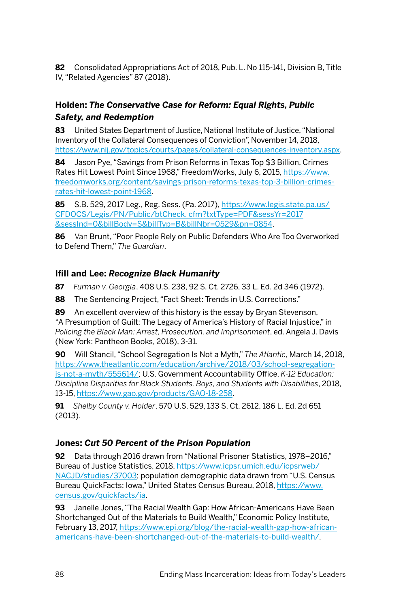**82** Consolidated Appropriations Act of 2018, Pub. L. No 115-141, Division B, Title IV, "Related Agencies" 87 (2018).

## **Holden:** *The Conservative Case for Reform: Equal Rights, Public Safety, and Redemption*

**83** United States Department of Justice, National Institute of Justice, "National Inventory of the Collateral Consequences of Conviction", November 14, 2018, <https://www.nij.gov/topics/courts/pages/collateral-consequences-inventory.aspx>.

**84** Jason Pye, "Savings from Prison Reforms in Texas Top \$3 Billion, Crimes Rates Hit Lowest Point Since 1968," FreedomWorks, July 6, 2015, [https://www.](https://www.freedomworks.org/content/savings-prison-reforms-texas-top-3-billion-crimes-rates-hit-lowest-point-1968) [freedomworks.org/content/savings-prison-reforms-texas-top-3-billion-crimes](https://www.freedomworks.org/content/savings-prison-reforms-texas-top-3-billion-crimes-rates-hit-lowest-point-1968)[rates-hit-lowest-point-1968.](https://www.freedomworks.org/content/savings-prison-reforms-texas-top-3-billion-crimes-rates-hit-lowest-point-1968)

**85** S.B. 529, 2017 Leg., Reg. Sess. (Pa. 2017), [https://www.legis.state.pa.us/](https://www.legis.state.pa.us/CFDOCS/Legis/PN/Public/btCheck.cfm?txtType=PDF&sessYr=2017&sessInd=0&billBody=S&billTyp=B&billNbr=0529&pn=0854) [CFDOCS/Legis/PN/Public/btCheck. cfm?txtType=PDF&sessYr=2017](https://www.legis.state.pa.us/CFDOCS/Legis/PN/Public/btCheck.cfm?txtType=PDF&sessYr=2017&sessInd=0&billBody=S&billTyp=B&billNbr=0529&pn=0854) [&sessInd=0&billBody=S&billTyp=B&billNbr=0529&pn=0854](https://www.legis.state.pa.us/CFDOCS/Legis/PN/Public/btCheck.cfm?txtType=PDF&sessYr=2017&sessInd=0&billBody=S&billTyp=B&billNbr=0529&pn=0854).

**86** Van Brunt, "Poor People Rely on Public Defenders Who Are Too Overworked to Defend Them," *The Guardian*.

#### **Ifill and Lee:** *Recognize Black Humanity*

**87** *Furman v. Georgia*, 408 U.S. 238, 92 S. Ct. 2726, 33 L. Ed. 2d 346 (1972).

**88** The Sentencing Project, "Fact Sheet: Trends in U.S. Corrections."

**89** An excellent overview of this history is the essay by Bryan Stevenson, "A Presumption of Guilt: The Legacy of America's History of Racial Injustice," in *Policing the Black Man: Arrest, Prosecution, and Imprisonment*, ed. Angela J. Davis (New York: Pantheon Books, 2018), 3-31.

**90** Will Stancil, "School Segregation Is Not a Myth," *The Atlantic*, March 14, 2018, [https://www.theatlantic.com/education/archive/2018/03/school-segregation](https://www.theatlantic.com/education/archive/2018/03/school-segregation-is-not-a-myth/555614/)[is-not-a-myth/555614/](https://www.theatlantic.com/education/archive/2018/03/school-segregation-is-not-a-myth/555614/); U.S. Government Accountability Office, *K-12 Education: Discipline Disparities for Black Students, Boys, and Students with Disabilities*, 2018, 13-15,<https://www.gao.gov/products/GAO-18-258>.

**91** *Shelby County v. Holder*, 570 U.S. 529, 133 S. Ct. 2612, 186 L. Ed. 2d 651 (2013).

## **Jones:** *Cut 50 Percent of the Prison Population*

**92** Data through 2016 drawn from "National Prisoner Statistics, 1978–2016," Bureau of Justice Statistics, 2018, [https://www.icpsr.umich.edu/icpsrweb/](https://www.icpsr.umich.edu/icpsrweb/NACJD/studies/37003) [NACJD/studies/37003;](https://www.icpsr.umich.edu/icpsrweb/NACJD/studies/37003) population demographic data drawn from "U.S. Census Bureau QuickFacts: Iowa," United States Census Bureau, 2018, [https://www.](https://www.census.gov/quickfacts/ia) [census.gov/quickfacts/ia](https://www.census.gov/quickfacts/ia).

**93** Janelle Jones, "The Racial Wealth Gap: How African-Americans Have Been Shortchanged Out of the Materials to Build Wealth," Economic Policy Institute, February 13, 2017, [https://www.epi.org/blog/the-racial-wealth-gap-how-african](https://www.epi.org/blog/the-racial-wealth-gap-how-african-americans-have-been-shortchanged-out-of-the-materials-to-build-wealth/)[americans-have-been-shortchanged-out-of-the-materials-to-build-wealth/.](https://www.epi.org/blog/the-racial-wealth-gap-how-african-americans-have-been-shortchanged-out-of-the-materials-to-build-wealth/)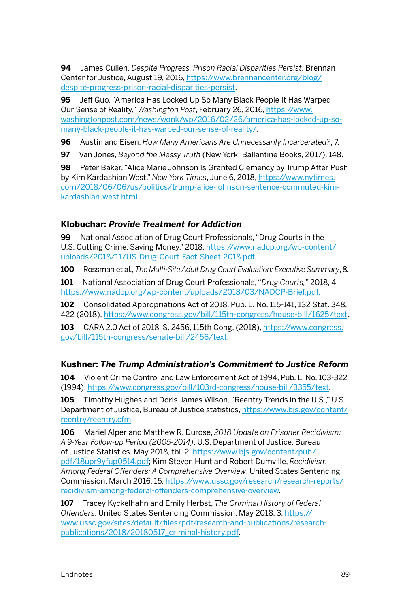**94** James Cullen, *Despite Progress, Prison Racial Disparities Persist*, Brennan Center for Justice, August 19, 2016, [https://www.brennancenter.org/blog/](https://www.brennancenter.org/blog/despite-progress-prison-racial-disparities-persist) [despite-progress-prison-racial-disparities-persist.](https://www.brennancenter.org/blog/despite-progress-prison-racial-disparities-persist)

**95** Jeff Guo, "America Has Locked Up So Many Black People It Has Warped Our Sense of Reality," *Washington Post*, February 26, 2016, [https://www.](https://www.washingtonpost.com/news/wonk/wp/2016/02/26/america-has-locked-up-so-many-black-people-it-has-warped-our-sense-of-reality/) [washingtonpost.com/news/wonk/wp/2016/02/26/america-has-locked-up-so](https://www.washingtonpost.com/news/wonk/wp/2016/02/26/america-has-locked-up-so-many-black-people-it-has-warped-our-sense-of-reality/)[many-black-people-it-has-warped-our-sense-of-reality/.](https://www.washingtonpost.com/news/wonk/wp/2016/02/26/america-has-locked-up-so-many-black-people-it-has-warped-our-sense-of-reality/)

**96** Austin and Eisen, *How Many Americans Are Unnecessarily Incarcerated?*, 7.

**97** Van Jones, *Beyond the Messy Truth* (New York: Ballantine Books, 2017), 148.

**98** Peter Baker, "Alice Marie Johnson Is Granted Clemency by Trump After Push by Kim Kardashian West," *New York Times*, June 6, 2018, [https://www.nytimes.](https://www.nytimes.com/2018/06/06/us/politics/trump-alice-johnson-sentence-commuted-kim-kardashian-west.html) [com/2018/06/06/us/politics/trump-alice-johnson-sentence-commuted-kim](https://www.nytimes.com/2018/06/06/us/politics/trump-alice-johnson-sentence-commuted-kim-kardashian-west.html)[kardashian-west.html](https://www.nytimes.com/2018/06/06/us/politics/trump-alice-johnson-sentence-commuted-kim-kardashian-west.html).

#### **Klobuchar:** *Provide Treatment for Addiction*

**99** National Association of Drug Court Professionals, "Drug Courts in the U.S. Cutting Crime, Saving Money," 2018, [https://www.nadcp.org/wp-content/](https://www.nadcp.org/wp-content/uploads/2018/11/US-Drug-Court-Fact-Sheet-2018.pdf) [uploads/2018/11/US-Drug-Court-Fact-Sheet-2018.pdf.](https://www.nadcp.org/wp-content/uploads/2018/11/US-Drug-Court-Fact-Sheet-2018.pdf)

**100** Rossman et al., *The Multi-Site Adult Drug Court Evaluation: Executive Summary*, 8.

**101** National Association of Drug Court Professionals, "*Drug Courts,*" 2018, 4, <https://www.nadcp.org/wp-content/uploads/2018/03/NADCP-Brief.pdf>.

**102** Consolidated Appropriations Act of 2018, Pub. L. No. 115-141, 132 Stat. 348, 422 (2018), [https://www.congress.gov/bill/115th-congress/house-bill/1625/text.](https://www.congress.gov/bill/115th-congress/house-bill/1625/text)

**103** CARA 2.0 Act of 2018, S. 2456, 115th Cong. (2018), [https://www.congress.](https://www.congress.gov/bill/115th-congress/senate-bill/2456/text) [gov/bill/115th-congress/senate-bill/2456/text.](https://www.congress.gov/bill/115th-congress/senate-bill/2456/text)

## **Kushner:** *The Trump Administration's Commitment to Justice Reform*

**104** Violent Crime Control and Law Enforcement Act of 1994, Pub. L. No. 103-322 (1994), [https://www.congress.gov/bill/103rd-congress/house-bill/3355/text.](https://www.congress.gov/bill/103rd-congress/house-bill/3355/text)

**105** Timothy Hughes and Doris James Wilson, "Reentry Trends in the U.S.," U.S Department of Justice, Bureau of Justice statistics, [https://www.bjs.gov/content/](https://www.bjs.gov/content/reentry/reentry.cfm) [reentry/reentry.cfm](https://www.bjs.gov/content/reentry/reentry.cfm).

**106** Mariel Alper and Matthew R. Durose, *2018 Update on Prisoner Recidivism: A 9-Year Follow-up Period (2005-2014)*, U.S. Department of Justice, Bureau of Justice Statistics, May 2018, tbl. 2, [https://www.bjs.gov/content/pub/](https://www.bjs.gov/content/pub/pdf/18upr9yfup0514.pdf) [pdf/18upr9yfup0514.pdf](https://www.bjs.gov/content/pub/pdf/18upr9yfup0514.pdf); Kim Steven Hunt and Robert Dumville, *Recidivism Among Federal Offenders: A Comprehensive Overview*, United States Sentencing Commission, March 2016, 15, [https://www.ussc.gov/research/research-reports/](https://www.ussc.gov/research/research-reports/recidivism-among-federal-offenders-comprehensive-overview) [recidivism-among-federal-offenders-comprehensive-overview.](https://www.ussc.gov/research/research-reports/recidivism-among-federal-offenders-comprehensive-overview)

**107** Tracey Kyckelhahn and Emily Herbst, *The Criminal History of Federal Offenders*, United States Sentencing Commission, May 2018, 3, [https://](https://www.ussc.gov/sites/default/files/pdf/research-and-publications/research-publications/2018/20180517_criminal-history.pdf) [www.ussc.gov/sites/default/files/pdf/research-and-publications/research](https://www.ussc.gov/sites/default/files/pdf/research-and-publications/research-publications/2018/20180517_criminal-history.pdf)[publications/2018/20180517\\_criminal-history.pdf](https://www.ussc.gov/sites/default/files/pdf/research-and-publications/research-publications/2018/20180517_criminal-history.pdf).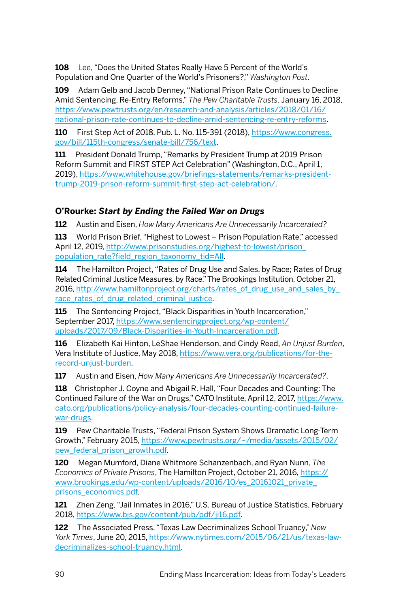**108** Lee, "Does the United States Really Have 5 Percent of the World's Population and One Quarter of the World's Prisoners?," *Washington Post*.

**109** Adam Gelb and Jacob Denney, "National Prison Rate Continues to Decline Amid Sentencing, Re-Entry Reforms," *The Pew Charitable Trusts*, January 16, 2018, [https://www.pewtrusts.org/en/research-and-analysis/articles/2018/01/16/](https://www.pewtrusts.org/en/research-and-analysis/articles/2018/01/16/national-prison-rate-continues-to-decline-amid-sentencing-re-entry-reforms) [national-prison-rate-continues-to-decline-amid-sentencing-re-entry-reforms.](https://www.pewtrusts.org/en/research-and-analysis/articles/2018/01/16/national-prison-rate-continues-to-decline-amid-sentencing-re-entry-reforms)

**110** First Step Act of 2018, Pub. L. No. 115-391 (2018), [https://www.congress.](https://www.congress.gov/bill/115th-congress/senate-bill/756/text) [gov/bill/115th-congress/senate-bill/756/text.](https://www.congress.gov/bill/115th-congress/senate-bill/756/text)

**111** President Donald Trump, "Remarks by President Trump at 2019 Prison Reform Summit and FIRST STEP Act Celebration" (Washington, D.C., April 1, 2019), [https://www.whitehouse.gov/briefings-statements/remarks-president](https://www.whitehouse.gov/briefings-statements/remarks-president-trump-2019-prison-reform-summit-first-step-act-celebration/)[trump-2019-prison-reform-summit-first-step-act-celebration/](https://www.whitehouse.gov/briefings-statements/remarks-president-trump-2019-prison-reform-summit-first-step-act-celebration/).

## **O'Rourke:** *Start by Ending the Failed War on Drugs*

**112** Austin and Eisen, *How Many Americans Are Unnecessarily Incarcerated?*

**113** World Prison Brief, "Highest to Lowest – Prison Population Rate," accessed April 12, 2019, [http://www.prisonstudies.org/highest-to-lowest/prison\\_](http://www.prisonstudies.org/highest-to-lowest/prison_population_rate?field_region_taxonomy_tid=All) [population\\_rate?field\\_region\\_taxonomy\\_tid=All](http://www.prisonstudies.org/highest-to-lowest/prison_population_rate?field_region_taxonomy_tid=All).

**114** The Hamilton Project, "Rates of Drug Use and Sales, by Race; Rates of Drug Related Criminal Justice Measures, by Race," The Brookings Institution, October 21, 2016, [http://www.hamiltonproject.org/charts/rates\\_of\\_drug\\_use\\_and\\_sales\\_by\\_](http://www.hamiltonproject.org/charts/rates_of_drug_use_and_sales_by_race_rates_of_drug_related_criminal_justice) [race\\_rates\\_of\\_drug\\_related\\_criminal\\_justice](http://www.hamiltonproject.org/charts/rates_of_drug_use_and_sales_by_race_rates_of_drug_related_criminal_justice).

**115** The Sentencing Project, "Black Disparities in Youth Incarceration," September 2017, [https://www.sentencingproject.org/wp-content/](https://www.sentencingproject.org/wp-content/uploads/2017/09/Black-Disparities-in-Youth-Incarceration.pdf) [uploads/2017/09/Black-Disparities-in-Youth-Incarceration.pdf](https://www.sentencingproject.org/wp-content/uploads/2017/09/Black-Disparities-in-Youth-Incarceration.pdf).

**116** Elizabeth Kai Hinton, LeShae Henderson, and Cindy Reed, *An Unjust Burden*, Vera Institute of Justice, May 2018, [https://www.vera.org/publications/for-the](https://www.vera.org/publications/for-the-record-unjust-burden)[record-unjust-burden](https://www.vera.org/publications/for-the-record-unjust-burden).

**117** Austin and Eisen, *How Many Americans Are Unnecessarily Incarcerated?*.

**118** Christopher J. Coyne and Abigail R. Hall, "Four Decades and Counting: The Continued Failure of the War on Drugs," CATO Institute, April 12, 2017, [https://www.](https://www.cato.org/publications/policy-analysis/four-decades-counting-continued-failure-war-drugs) [cato.org/publications/policy-analysis/four-decades-counting-continued-failure](https://www.cato.org/publications/policy-analysis/four-decades-counting-continued-failure-war-drugs)[war-drugs](https://www.cato.org/publications/policy-analysis/four-decades-counting-continued-failure-war-drugs).

**119** Pew Charitable Trusts, "Federal Prison System Shows Dramatic Long-Term Growth," February 2015, [https://www.pewtrusts.org/~/media/assets/2015/02/](https://www.pewtrusts.org/~/media/assets/2015/02/pew_federal_prison_growth.pdf) [pew\\_federal\\_prison\\_growth.pdf](https://www.pewtrusts.org/~/media/assets/2015/02/pew_federal_prison_growth.pdf).

**120** Megan Mumford, Diane Whitmore Schanzenbach, and Ryan Nunn, *The Economics of Private Prisons*, The Hamilton Project, October 21, 2016, [https://](https://www.brookings.edu/wp-content/uploads/2016/10/es_20161021_private_prisons_economics.pdf) [www.brookings.edu/wp-content/uploads/2016/10/es\\_20161021\\_private\\_](https://www.brookings.edu/wp-content/uploads/2016/10/es_20161021_private_prisons_economics.pdf) [prisons\\_economics.pdf.](https://www.brookings.edu/wp-content/uploads/2016/10/es_20161021_private_prisons_economics.pdf)

**121** Zhen Zeng, "Jail Inmates in 2016," U.S. Bureau of Justice Statistics, February 2018, <https://www.bjs.gov/content/pub/pdf/ji16.pdf>.

**122** The Associated Press, "Texas Law Decriminalizes School Truancy," *New York Times*, June 20, 2015, [https://www.nytimes.com/2015/06/21/us/texas-law](https://www.nytimes.com/2015/06/21/us/texas-law-decriminalizes-school-truancy.html)[decriminalizes-school-truancy.html.](https://www.nytimes.com/2015/06/21/us/texas-law-decriminalizes-school-truancy.html)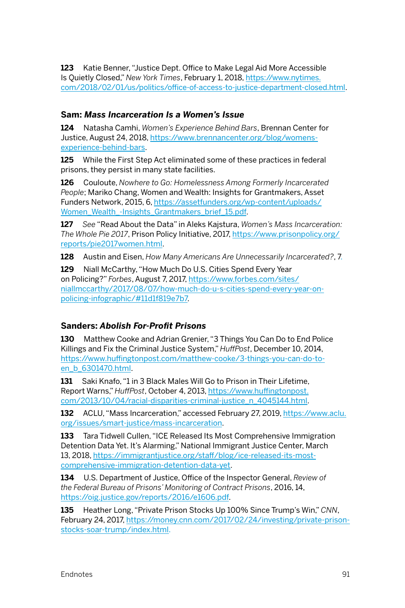**123** Katie Benner, "Justice Dept. Office to Make Legal Aid More Accessible Is Quietly Closed," *New York Times*, February 1, 2018, [https://www.nytimes.](https://www.nytimes.com/2018/02/01/us/politics/office-of-access-to-justice-department-closed.html) [com/2018/02/01/us/politics/office-of-access-to-justice-department-closed.html](https://www.nytimes.com/2018/02/01/us/politics/office-of-access-to-justice-department-closed.html).

#### **Sam:** *Mass Incarceration Is a Women's Issue*

**124** Natasha Camhi, *Women's Experience Behind Bars*, Brennan Center for Justice, August 24, 2018, [https://www.brennancenter.org/blog/womens](https://www.brennancenter.org/blog/womens-experience-behind-bars)[experience-behind-bars.](https://www.brennancenter.org/blog/womens-experience-behind-bars)

**125** While the First Step Act eliminated some of these practices in federal prisons, they persist in many state facilities.

**126** Couloute, *Nowhere to Go: Homelessness Among Formerly Incarcerated People*; Mariko Chang, Women and Wealth: Insights for Grantmakers, Asset Funders Network, 2015, 6, [https://assetfunders.org/wp-content/uploads/](https://assetfunders.org/wp-content/uploads/Women_Wealth_-Insights_Grantmakers_brief_15.pdf) Women Wealth -Insights Grantmakers brief 15.pdf.

**127** *See* "Read About the Data" in Aleks Kajstura, *Women's Mass Incarceration: The Whole Pie 2017*, Prison Policy Initiative, 2017, [https://www.prisonpolicy.org/](https://www.prisonpolicy.org/reports/pie2017women.html) [reports/pie2017women.html.](https://www.prisonpolicy.org/reports/pie2017women.html)

**128** Austin and Eisen, *How Many Americans Are Unnecessarily Incarcerated?*, 7.

**129** Niall McCarthy, "How Much Do U.S. Cities Spend Every Year on Policing?" *Forbes*, August 7, 2017, [https://www.forbes.com/sites/](https://www.forbes.com/sites/niallmccarthy/2017/08/07/how-much-do-u-s-cities-spend-every-year-on-policing-infographic/#11d1f819e7b7) [niallmccarthy/2017/08/07/how-much-do-u-s-cities-spend-every-year-on](https://www.forbes.com/sites/niallmccarthy/2017/08/07/how-much-do-u-s-cities-spend-every-year-on-policing-infographic/#11d1f819e7b7)[policing-infographic/#11d1f819e7b7](https://www.forbes.com/sites/niallmccarthy/2017/08/07/how-much-do-u-s-cities-spend-every-year-on-policing-infographic/#11d1f819e7b7).

## **Sanders:** *Abolish For-Profit Prisons*

**130** Matthew Cooke and Adrian Grenier, "3 Things You Can Do to End Police Killings and Fix the Criminal Justice System," *HuffPost*, December 10, 2014, [https://www.huffingtonpost.com/matthew-cooke/3-things-you-can-do-to](https://www.huffingtonpost.com/matthew-cooke/3-things-you-can-do-to-en_b_6301470.html)[en\\_b\\_6301470.html](https://www.huffingtonpost.com/matthew-cooke/3-things-you-can-do-to-en_b_6301470.html).

**131** Saki Knafo, "1 in 3 Black Males Will Go to Prison in Their Lifetime, Report Warns," *HuffPost*, October 4, 2013, [https://www.huffingtonpost.](https://www.huffingtonpost.com/2013/10/04/racial-disparities-criminal-justice_n_4045144.html) [com/2013/10/04/racial-disparities-criminal-justice\\_n\\_4045144.html](https://www.huffingtonpost.com/2013/10/04/racial-disparities-criminal-justice_n_4045144.html).

**132** ACLU, "Mass Incarceration," accessed February 27, 2019, [https://www.aclu.](https://www.aclu.org/issues/smart-justice/mass-incarceration) [org/issues/smart-justice/mass-incarceration](https://www.aclu.org/issues/smart-justice/mass-incarceration).

**133** Tara Tidwell Cullen, "ICE Released Its Most Comprehensive Immigration Detention Data Yet. It's Alarming," National Immigrant Justice Center, March 13, 2018, [https://immigrantjustice.org/staff/blog/ice-released-its-most](https://immigrantjustice.org/staff/blog/ice-released-its-most-comprehensive-immigration-detention-data-yet)[comprehensive-immigration-detention-data-yet](https://immigrantjustice.org/staff/blog/ice-released-its-most-comprehensive-immigration-detention-data-yet).

**134** U.S. Department of Justice, Office of the Inspector General, *Review of the Federal Bureau of Prisons' Monitoring of Contract Prisons*, 2016, 14, [https://oig.justice.gov/reports/2016/e1606.pdf.](https://oig.justice.gov/reports/2016/e1606.pdf)

**135** Heather Long, "Private Prison Stocks Up 100% Since Trump's Win," *CNN*, February 24, 2017, [https://money.cnn.com/2017/02/24/investing/private-prison](https://money.cnn.com/2017/02/24/investing/private-prison-stocks-soar-trump/index.html)[stocks-soar-trump/index.html.](https://money.cnn.com/2017/02/24/investing/private-prison-stocks-soar-trump/index.html)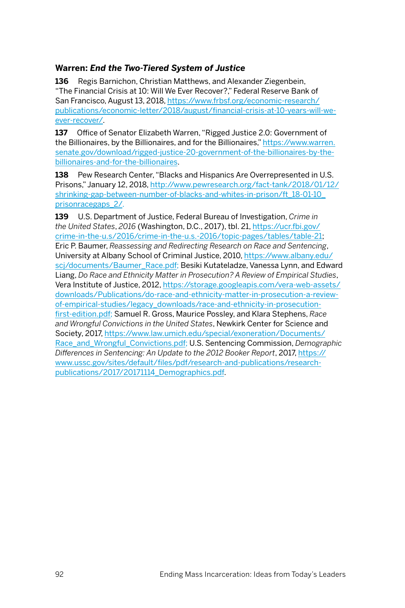### **Warren:** *End the Two-Tiered System of Justice*

**136** Regis Barnichon, Christian Matthews, and Alexander Ziegenbein, "The Financial Crisis at 10: Will We Ever Recover?," Federal Reserve Bank of San Francisco, August 13, 2018, [https://www.frbsf.org/economic-research/](https://www.frbsf.org/economic-research/publications/economic-letter/2018/august/financial-crisis-at-10-years-will-we-ever-recover/) [publications/economic-letter/2018/august/financial-crisis-at-10-years-will-we](https://www.frbsf.org/economic-research/publications/economic-letter/2018/august/financial-crisis-at-10-years-will-we-ever-recover/)[ever-recover/.](https://www.frbsf.org/economic-research/publications/economic-letter/2018/august/financial-crisis-at-10-years-will-we-ever-recover/)

**137** Office of Senator Elizabeth Warren, "Rigged Justice 2.0: Government of the Billionaires, by the Billionaires, and for the Billionaires," [https://www.warren.](https://www.warren.senate.gov/download/rigged-justice-20-government-of-the-billionaires-by-the-billionaires-and-for-the-billionaires) [senate.gov/download/rigged-justice-20-government-of-the-billionaires-by-the](https://www.warren.senate.gov/download/rigged-justice-20-government-of-the-billionaires-by-the-billionaires-and-for-the-billionaires)[billionaires-and-for-the-billionaires.](https://www.warren.senate.gov/download/rigged-justice-20-government-of-the-billionaires-by-the-billionaires-and-for-the-billionaires)

**138** Pew Research Center, "Blacks and Hispanics Are Overrepresented in U.S. Prisons," January 12, 2018, [http://www.pewresearch.org/fact-tank/2018/01/12/](http://www.pewresearch.org/fact-tank/2018/01/12/shrinking-gap-between-number-of-blacks-and-whites-in-prison/ft_18-01-10_prisonracegaps_2/) [shrinking-gap-between-number-of-blacks-and-whites-in-prison/ft\\_18-01-10\\_](http://www.pewresearch.org/fact-tank/2018/01/12/shrinking-gap-between-number-of-blacks-and-whites-in-prison/ft_18-01-10_prisonracegaps_2/) [prisonracegaps\\_2/.](http://www.pewresearch.org/fact-tank/2018/01/12/shrinking-gap-between-number-of-blacks-and-whites-in-prison/ft_18-01-10_prisonracegaps_2/)

**139** U.S. Department of Justice, Federal Bureau of Investigation, *Crime in the United States*, *2016* (Washington, D.C., 2017), tbl. 21, [https://ucr.fbi.gov/](https://ucr.fbi.gov/crime-in-the-u.s/2016/crime-in-the-u.s.-2016/topic-pages/tables/table-21) [crime-in-the-u.s/2016/crime-in-the-u.s.-2016/topic-pages/tables/table-21;](https://ucr.fbi.gov/crime-in-the-u.s/2016/crime-in-the-u.s.-2016/topic-pages/tables/table-21) Eric P. Baumer, *Reassessing and Redirecting Research on Race and Sentencing*, University at Albany School of Criminal Justice, 2010, [https://www.albany.edu/](https://www.albany.edu/scj/documents/Baumer_Race.pdf) [scj/documents/Baumer\\_Race.pdf;](https://www.albany.edu/scj/documents/Baumer_Race.pdf) Besiki Kutateladze, Vanessa Lynn, and Edward Liang, *Do Race and Ethnicity Matter in Prosecution? A Review of Empirical Studies*, Vera Institute of Justice, 2012, [https://storage.googleapis.com/vera-web-assets/](https://storage.googleapis.com/vera-web-assets/downloads/Publications/do-race-and-ethnicity-matter-in-prosecution-a-review-of-empirical-studies/legacy_downloads/race-and-ethnicity-in-prosecution-first-edition.pdf) [downloads/Publications/do-race-and-ethnicity-matter-in-prosecution-a-review](https://storage.googleapis.com/vera-web-assets/downloads/Publications/do-race-and-ethnicity-matter-in-prosecution-a-review-of-empirical-studies/legacy_downloads/race-and-ethnicity-in-prosecution-first-edition.pdf)[of-empirical-studies/legacy\\_downloads/race-and-ethnicity-in-prosecution](https://storage.googleapis.com/vera-web-assets/downloads/Publications/do-race-and-ethnicity-matter-in-prosecution-a-review-of-empirical-studies/legacy_downloads/race-and-ethnicity-in-prosecution-first-edition.pdf)[first-edition.pdf;](https://storage.googleapis.com/vera-web-assets/downloads/Publications/do-race-and-ethnicity-matter-in-prosecution-a-review-of-empirical-studies/legacy_downloads/race-and-ethnicity-in-prosecution-first-edition.pdf) Samuel R. Gross, Maurice Possley, and Klara Stephens, *Race and Wrongful Convictions in the United States*, Newkirk Center for Science and Society, 2017, [https://www.law.umich.edu/special/exoneration/Documents/](https://www.law.umich.edu/special/exoneration/Documents/Race_and_Wrongful_Convictions.pdf) [Race\\_and\\_Wrongful\\_Convictions.pdf](https://www.law.umich.edu/special/exoneration/Documents/Race_and_Wrongful_Convictions.pdf); U.S. Sentencing Commission, *Demographic Differences in Sentencing: An Update to the 2012 Booker Report*, 2017, [https://](https://www.ussc.gov/sites/default/files/pdf/research-and-publications/research-publications/2017/20171114_Demographics.pdf) [www.ussc.gov/sites/default/files/pdf/research-and-publications/research](https://www.ussc.gov/sites/default/files/pdf/research-and-publications/research-publications/2017/20171114_Demographics.pdf)[publications/2017/20171114\\_Demographics.pdf](https://www.ussc.gov/sites/default/files/pdf/research-and-publications/research-publications/2017/20171114_Demographics.pdf).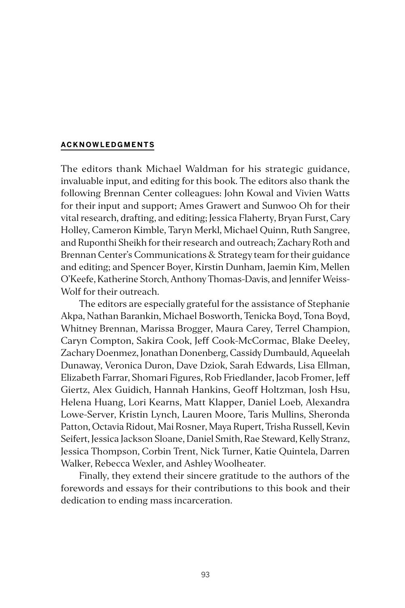#### **ACKNOWLEDGMENTS**

The editors thank Michael Waldman for his strategic guidance, invaluable input, and editing for this book. The editors also thank the following Brennan Center colleagues: John Kowal and Vivien Watts for their input and support; Ames Grawert and Sunwoo Oh for their vital research, drafting, and editing; Jessica Flaherty, Bryan Furst, Cary Holley, Cameron Kimble, Taryn Merkl, Michael Quinn, Ruth Sangree, and Ruponthi Sheikh for their research and outreach; Zachary Roth and Brennan Center's Communications & Strategy team for their guidance and editing; and Spencer Boyer, Kirstin Dunham, Jaemin Kim, Mellen O'Keefe, Katherine Storch, Anthony Thomas-Davis, and Jennifer Weiss-Wolf for their outreach.

The editors are especially grateful for the assistance of Stephanie Akpa, Nathan Barankin, Michael Bosworth, Tenicka Boyd, Tona Boyd, Whitney Brennan, Marissa Brogger, Maura Carey, Terrel Champion, Caryn Compton, Sakira Cook, Jeff Cook-McCormac, Blake Deeley, Zachary Doenmez, Jonathan Donenberg, Cassidy Dumbauld, Aqueelah Dunaway, Veronica Duron, Dave Dziok, Sarah Edwards, Lisa Ellman, Elizabeth Farrar, Shomari Figures, Rob Friedlander, Jacob Fromer, Jeff Giertz, Alex Guidich, Hannah Hankins, Geoff Holtzman, Josh Hsu, Helena Huang, Lori Kearns, Matt Klapper, Daniel Loeb, Alexandra Lowe-Server, Kristin Lynch, Lauren Moore, Taris Mullins, Sheronda Patton, Octavia Ridout, Mai Rosner, Maya Rupert, Trisha Russell, Kevin Seifert, Jessica Jackson Sloane, Daniel Smith, Rae Steward, Kelly Stranz, Jessica Thompson, Corbin Trent, Nick Turner, Katie Quintela, Darren Walker, Rebecca Wexler, and Ashley Woolheater.

Finally, they extend their sincere gratitude to the authors of the forewords and essays for their contributions to this book and their dedication to ending mass incarceration.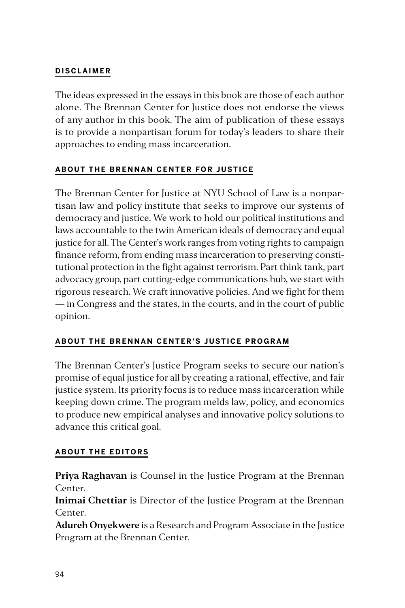# **DISCLAIMER**

The ideas expressed in the essays in this book are those of each author alone. The Brennan Center for Justice does not endorse the views of any author in this book. The aim of publication of these essays is to provide a nonpartisan forum for today's leaders to share their approaches to ending mass incarceration.

# **ABOUT THE BRENNAN CENTER FOR JUSTICE**

The Brennan Center for Justice at NYU School of Law is a nonpartisan law and policy institute that seeks to improve our systems of democracy and justice. We work to hold our political institutions and laws accountable to the twin American ideals of democracy and equal justice for all. The Center's work ranges from voting rights to campaign finance reform, from ending mass incarceration to preserving constitutional protection in the fight against terrorism. Part think tank, part advocacy group, part cutting-edge communications hub, we start with rigorous research. We craft innovative policies. And we fight for them — in Congress and the states, in the courts, and in the court of public opinion.

# **ABOUT THE BRENNAN CENTER'S JUSTICE PROGRAM**

The Brennan Center's Justice Program seeks to secure our nation's promise of equal justice for all by creating a rational, effective, and fair justice system. Its priority focus is to reduce mass incarceration while keeping down crime. The program melds law, policy, and economics to produce new empirical analyses and innovative policy solutions to advance this critical goal.

# **ABOUT THE EDITORS**

**Priya Raghavan** is Counsel in the Justice Program at the Brennan Center.

**Inimai Chettiar** is Director of the Justice Program at the Brennan Center.

**Adureh Onyekwere** is a Research and Program Associate in the Justice Program at the Brennan Center.